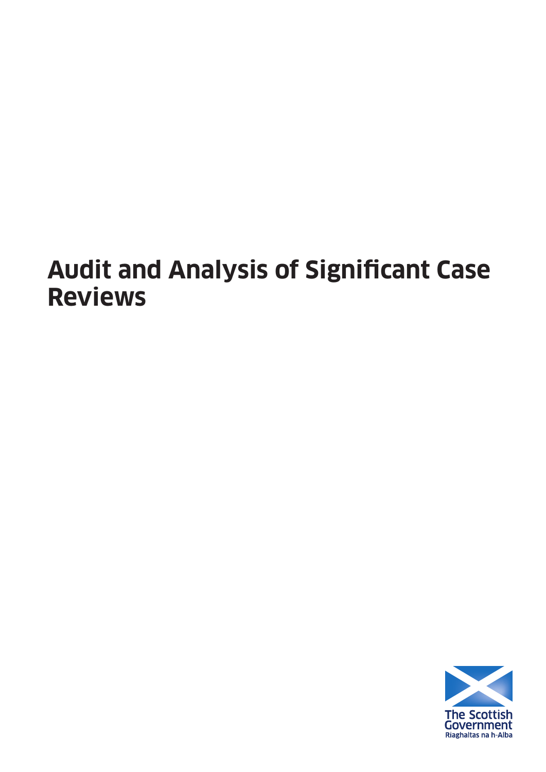# **Audit and Analysis of Significant Case Reviews**

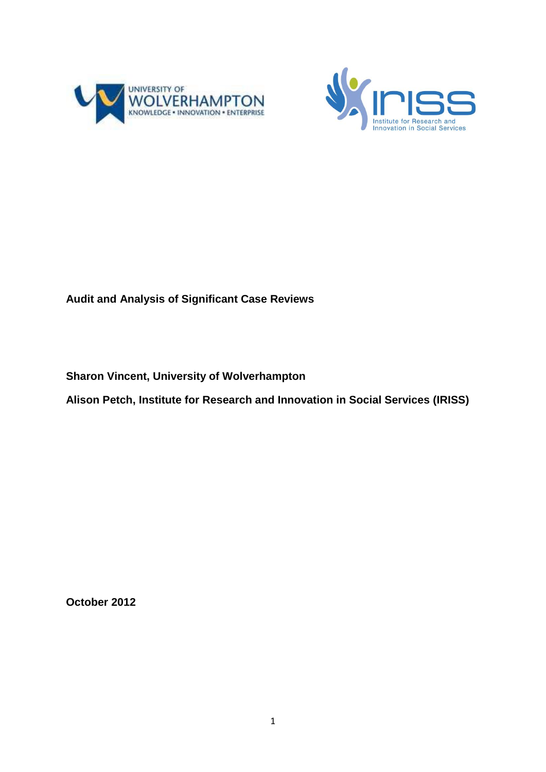



# **Audit and Analysis of Significant Case Reviews**

**Sharon Vincent, University of Wolverhampton**

**Alison Petch, Institute for Research and Innovation in Social Services (IRISS)**

**October 2012**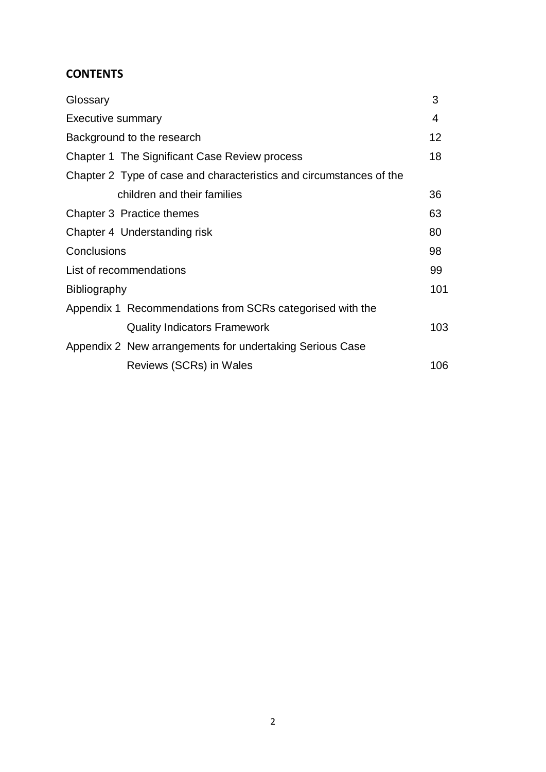# **CONTENTS**

| Glossary                                                            | 3   |
|---------------------------------------------------------------------|-----|
| <b>Executive summary</b>                                            | 4   |
| Background to the research                                          | 12  |
| Chapter 1 The Significant Case Review process                       | 18  |
| Chapter 2 Type of case and characteristics and circumstances of the |     |
| children and their families                                         | 36  |
| Chapter 3 Practice themes                                           | 63  |
| Chapter 4 Understanding risk                                        | 80  |
| Conclusions                                                         | 98  |
| List of recommendations                                             | 99  |
| <b>Bibliography</b>                                                 | 101 |
| Appendix 1 Recommendations from SCRs categorised with the           |     |
| <b>Quality Indicators Framework</b>                                 | 103 |
| Appendix 2 New arrangements for undertaking Serious Case            |     |
| Reviews (SCRs) in Wales                                             | 106 |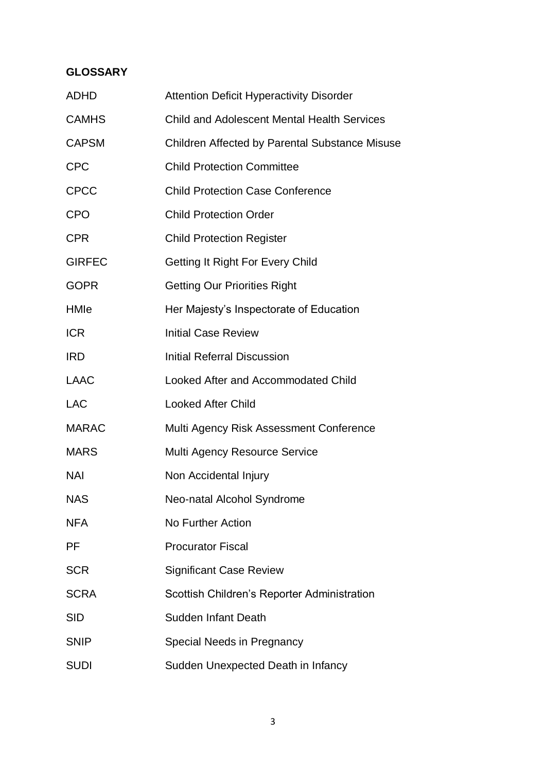# **GLOSSARY**

| <b>ADHD</b>   | <b>Attention Deficit Hyperactivity Disorder</b>    |
|---------------|----------------------------------------------------|
| <b>CAMHS</b>  | <b>Child and Adolescent Mental Health Services</b> |
| <b>CAPSM</b>  | Children Affected by Parental Substance Misuse     |
| <b>CPC</b>    | <b>Child Protection Committee</b>                  |
| <b>CPCC</b>   | <b>Child Protection Case Conference</b>            |
| <b>CPO</b>    | <b>Child Protection Order</b>                      |
| <b>CPR</b>    | <b>Child Protection Register</b>                   |
| <b>GIRFEC</b> | Getting It Right For Every Child                   |
| <b>GOPR</b>   | <b>Getting Our Priorities Right</b>                |
| HMIe          | Her Majesty's Inspectorate of Education            |
| <b>ICR</b>    | <b>Initial Case Review</b>                         |
| <b>IRD</b>    | <b>Initial Referral Discussion</b>                 |
| <b>LAAC</b>   | Looked After and Accommodated Child                |
| <b>LAC</b>    | <b>Looked After Child</b>                          |
| <b>MARAC</b>  | Multi Agency Risk Assessment Conference            |
| <b>MARS</b>   | Multi Agency Resource Service                      |
| <b>NAI</b>    | Non Accidental Injury                              |
| <b>NAS</b>    | Neo-natal Alcohol Syndrome                         |
| <b>NFA</b>    | No Further Action                                  |
| <b>PF</b>     | <b>Procurator Fiscal</b>                           |
| <b>SCR</b>    | <b>Significant Case Review</b>                     |
| <b>SCRA</b>   | Scottish Children's Reporter Administration        |
| <b>SID</b>    | <b>Sudden Infant Death</b>                         |
| <b>SNIP</b>   | Special Needs in Pregnancy                         |
| <b>SUDI</b>   | Sudden Unexpected Death in Infancy                 |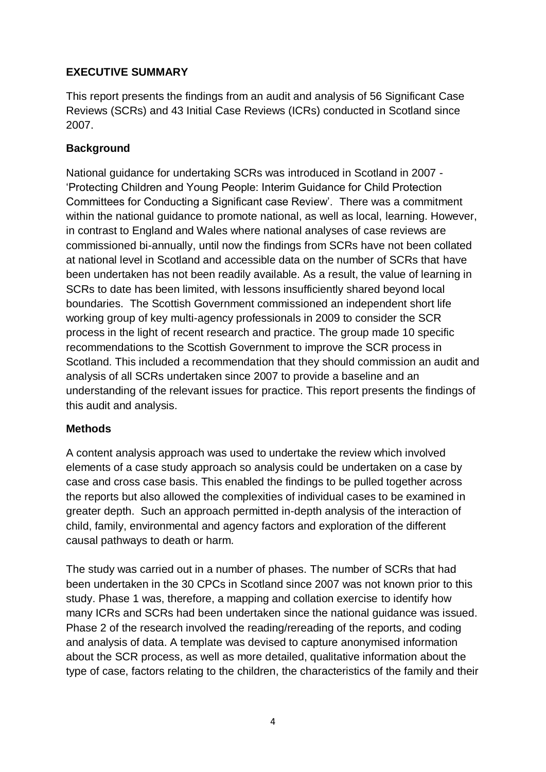## **EXECUTIVE SUMMARY**

This report presents the findings from an audit and analysis of 56 Significant Case Reviews (SCRs) and 43 Initial Case Reviews (ICRs) conducted in Scotland since 2007.

## **Background**

National guidance for undertaking SCRs was introduced in Scotland in 2007 - 'Protecting Children and Young People: Interim Guidance for Child Protection Committees for Conducting a Significant case Review'.There was a commitment within the national guidance to promote national, as well as local, learning. However, in contrast to England and Wales where national analyses of case reviews are commissioned bi-annually, until now the findings from SCRs have not been collated at national level in Scotland and accessible data on the number of SCRs that have been undertaken has not been readily available. As a result, the value of learning in SCRs to date has been limited, with lessons insufficiently shared beyond local boundaries. The Scottish Government commissioned an independent short life working group of key multi-agency professionals in 2009 to consider the SCR process in the light of recent research and practice. The group made 10 specific recommendations to the Scottish Government to improve the SCR process in Scotland. This included a recommendation that they should commission an audit and analysis of all SCRs undertaken since 2007 to provide a baseline and an understanding of the relevant issues for practice. This report presents the findings of this audit and analysis.

#### **Methods**

A content analysis approach was used to undertake the review which involved elements of a case study approach so analysis could be undertaken on a case by case and cross case basis. This enabled the findings to be pulled together across the reports but also allowed the complexities of individual cases to be examined in greater depth. Such an approach permitted in-depth analysis of the interaction of child, family, environmental and agency factors and exploration of the different causal pathways to death or harm.

The study was carried out in a number of phases. The number of SCRs that had been undertaken in the 30 CPCs in Scotland since 2007 was not known prior to this study. Phase 1 was, therefore, a mapping and collation exercise to identify how many ICRs and SCRs had been undertaken since the national guidance was issued. Phase 2 of the research involved the reading/rereading of the reports, and coding and analysis of data. A template was devised to capture anonymised information about the SCR process, as well as more detailed, qualitative information about the type of case, factors relating to the children, the characteristics of the family and their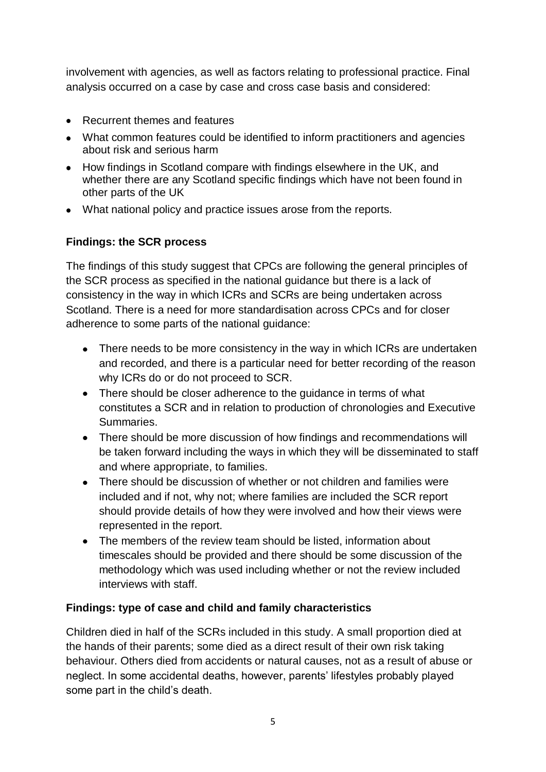involvement with agencies, as well as factors relating to professional practice. Final analysis occurred on a case by case and cross case basis and considered:

- Recurrent themes and features
- What common features could be identified to inform practitioners and agencies about risk and serious harm
- How findings in Scotland compare with findings elsewhere in the UK, and whether there are any Scotland specific findings which have not been found in other parts of the UK
- What national policy and practice issues arose from the reports.

# **Findings: the SCR process**

The findings of this study suggest that CPCs are following the general principles of the SCR process as specified in the national guidance but there is a lack of consistency in the way in which ICRs and SCRs are being undertaken across Scotland. There is a need for more standardisation across CPCs and for closer adherence to some parts of the national guidance:

- There needs to be more consistency in the way in which ICRs are undertaken and recorded, and there is a particular need for better recording of the reason why ICRs do or do not proceed to SCR.
- There should be closer adherence to the quidance in terms of what constitutes a SCR and in relation to production of chronologies and Executive Summaries.
- There should be more discussion of how findings and recommendations will be taken forward including the ways in which they will be disseminated to staff and where appropriate, to families.
- There should be discussion of whether or not children and families were included and if not, why not; where families are included the SCR report should provide details of how they were involved and how their views were represented in the report.
- The members of the review team should be listed, information about timescales should be provided and there should be some discussion of the methodology which was used including whether or not the review included interviews with staff.

# **Findings: type of case and child and family characteristics**

Children died in half of the SCRs included in this study. A small proportion died at the hands of their parents; some died as a direct result of their own risk taking behaviour. Others died from accidents or natural causes, not as a result of abuse or neglect. In some accidental deaths, however, parents' lifestyles probably played some part in the child's death.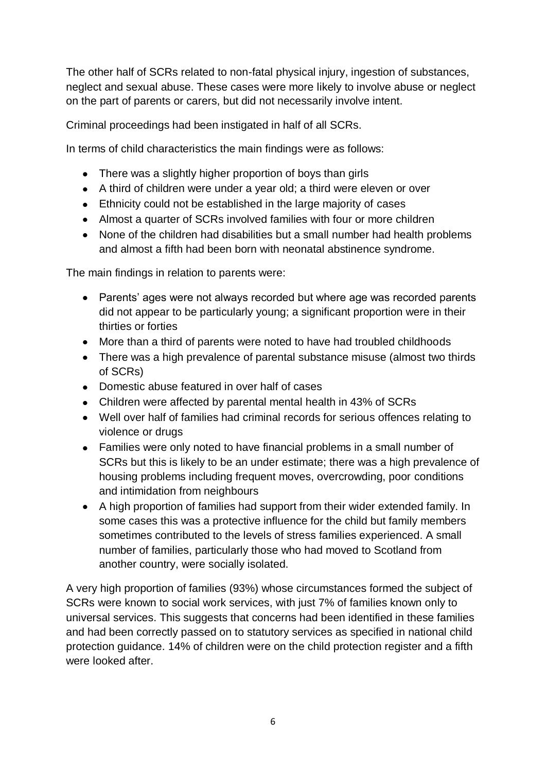The other half of SCRs related to non-fatal physical injury, ingestion of substances, neglect and sexual abuse. These cases were more likely to involve abuse or neglect on the part of parents or carers, but did not necessarily involve intent.

Criminal proceedings had been instigated in half of all SCRs.

In terms of child characteristics the main findings were as follows:

- There was a slightly higher proportion of boys than girls
- A third of children were under a year old; a third were eleven or over
- Ethnicity could not be established in the large majority of cases
- Almost a quarter of SCRs involved families with four or more children
- None of the children had disabilities but a small number had health problems and almost a fifth had been born with neonatal abstinence syndrome.

The main findings in relation to parents were:

- Parents' ages were not always recorded but where age was recorded parents did not appear to be particularly young; a significant proportion were in their thirties or forties
- More than a third of parents were noted to have had troubled childhoods
- There was a high prevalence of parental substance misuse (almost two thirds of SCRs)
- Domestic abuse featured in over half of cases
- Children were affected by parental mental health in 43% of SCRs
- Well over half of families had criminal records for serious offences relating to violence or drugs
- Families were only noted to have financial problems in a small number of SCRs but this is likely to be an under estimate; there was a high prevalence of housing problems including frequent moves, overcrowding, poor conditions and intimidation from neighbours
- A high proportion of families had support from their wider extended family. In some cases this was a protective influence for the child but family members sometimes contributed to the levels of stress families experienced. A small number of families, particularly those who had moved to Scotland from another country, were socially isolated.

A very high proportion of families (93%) whose circumstances formed the subject of SCRs were known to social work services, with just 7% of families known only to universal services. This suggests that concerns had been identified in these families and had been correctly passed on to statutory services as specified in national child protection guidance. 14% of children were on the child protection register and a fifth were looked after.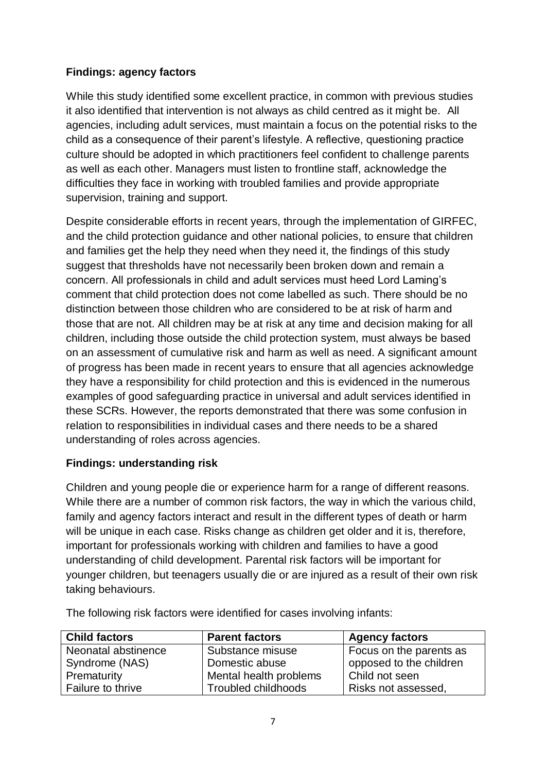## **Findings: agency factors**

While this study identified some excellent practice, in common with previous studies it also identified that intervention is not always as child centred as it might be. All agencies, including adult services, must maintain a focus on the potential risks to the child as a consequence of their parent's lifestyle. A reflective, questioning practice culture should be adopted in which practitioners feel confident to challenge parents as well as each other. Managers must listen to frontline staff, acknowledge the difficulties they face in working with troubled families and provide appropriate supervision, training and support.

Despite considerable efforts in recent years, through the implementation of GIRFEC, and the child protection guidance and other national policies, to ensure that children and families get the help they need when they need it, the findings of this study suggest that thresholds have not necessarily been broken down and remain a concern. All professionals in child and adult services must heed Lord Laming's comment that child protection does not come labelled as such. There should be no distinction between those children who are considered to be at risk of harm and those that are not. All children may be at risk at any time and decision making for all children, including those outside the child protection system, must always be based on an assessment of cumulative risk and harm as well as need. A significant amount of progress has been made in recent years to ensure that all agencies acknowledge they have a responsibility for child protection and this is evidenced in the numerous examples of good safeguarding practice in universal and adult services identified in these SCRs. However, the reports demonstrated that there was some confusion in relation to responsibilities in individual cases and there needs to be a shared understanding of roles across agencies.

# **Findings: understanding risk**

Children and young people die or experience harm for a range of different reasons. While there are a number of common risk factors, the way in which the various child, family and agency factors interact and result in the different types of death or harm will be unique in each case. Risks change as children get older and it is, therefore, important for professionals working with children and families to have a good understanding of child development. Parental risk factors will be important for younger children, but teenagers usually die or are injured as a result of their own risk taking behaviours.

The following risk factors were identified for cases involving infants:

| <b>Child factors</b> | <b>Parent factors</b>  | <b>Agency factors</b>   |
|----------------------|------------------------|-------------------------|
| Neonatal abstinence  | Substance misuse       | Focus on the parents as |
| Syndrome (NAS)       | Domestic abuse         | opposed to the children |
| Prematurity          | Mental health problems | Child not seen          |
| Failure to thrive    | Troubled childhoods    | Risks not assessed,     |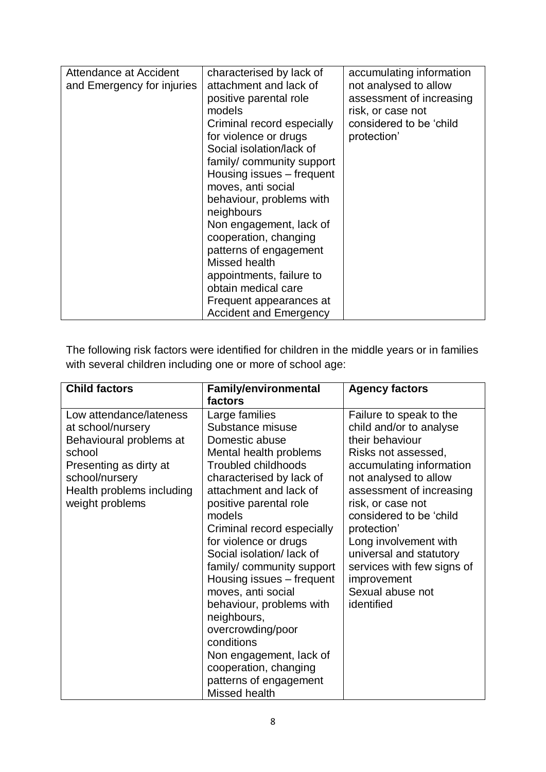| Attendance at Accident     | characterised by lack of                                                                                    | accumulating information |
|----------------------------|-------------------------------------------------------------------------------------------------------------|--------------------------|
| and Emergency for injuries | attachment and lack of                                                                                      | not analysed to allow    |
|                            | positive parental role                                                                                      | assessment of increasing |
|                            | models                                                                                                      | risk, or case not        |
|                            | Criminal record especially                                                                                  | considered to be 'child  |
|                            | for violence or drugs                                                                                       | protection'              |
|                            | Social isolation/lack of                                                                                    |                          |
|                            | family/community support                                                                                    |                          |
|                            | Housing issues – frequent                                                                                   |                          |
|                            | moves, anti social                                                                                          |                          |
|                            | behaviour, problems with                                                                                    |                          |
|                            | neighbours                                                                                                  |                          |
|                            | Non engagement, lack of                                                                                     |                          |
|                            | cooperation, changing                                                                                       |                          |
|                            | patterns of engagement                                                                                      |                          |
|                            | Missed health                                                                                               |                          |
|                            |                                                                                                             |                          |
|                            |                                                                                                             |                          |
|                            |                                                                                                             |                          |
|                            |                                                                                                             |                          |
|                            | appointments, failure to<br>obtain medical care<br>Frequent appearances at<br><b>Accident and Emergency</b> |                          |

The following risk factors were identified for children in the middle years or in families with several children including one or more of school age:

| <b>Child factors</b>                                                                                                                                                          | <b>Family/environmental</b>                                                                                                                                                                                                                                                                                                                                                                                                                                                                                                                                      | <b>Agency factors</b>                                                                                                                                                                                                                                                                                                                                                           |
|-------------------------------------------------------------------------------------------------------------------------------------------------------------------------------|------------------------------------------------------------------------------------------------------------------------------------------------------------------------------------------------------------------------------------------------------------------------------------------------------------------------------------------------------------------------------------------------------------------------------------------------------------------------------------------------------------------------------------------------------------------|---------------------------------------------------------------------------------------------------------------------------------------------------------------------------------------------------------------------------------------------------------------------------------------------------------------------------------------------------------------------------------|
| Low attendance/lateness<br>at school/nursery<br>Behavioural problems at<br>school<br>Presenting as dirty at<br>school/nursery<br>Health problems including<br>weight problems | factors<br>Large families<br>Substance misuse<br>Domestic abuse<br>Mental health problems<br><b>Troubled childhoods</b><br>characterised by lack of<br>attachment and lack of<br>positive parental role<br>models<br>Criminal record especially<br>for violence or drugs<br>Social isolation/lack of<br>family/community support<br>Housing issues - frequent<br>moves, anti social<br>behaviour, problems with<br>neighbours,<br>overcrowding/poor<br>conditions<br>Non engagement, lack of<br>cooperation, changing<br>patterns of engagement<br>Missed health | Failure to speak to the<br>child and/or to analyse<br>their behaviour<br>Risks not assessed,<br>accumulating information<br>not analysed to allow<br>assessment of increasing<br>risk, or case not<br>considered to be 'child<br>protection'<br>Long involvement with<br>universal and statutory<br>services with few signs of<br>improvement<br>Sexual abuse not<br>identified |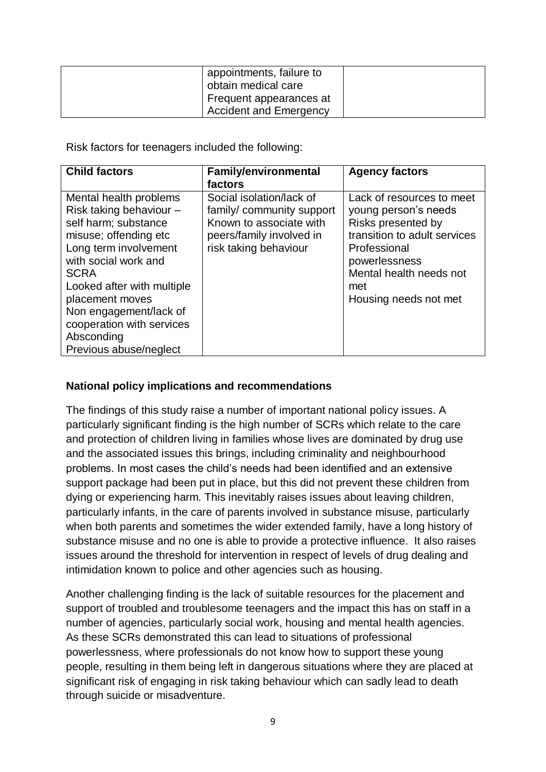| appointments, failure to<br>obtain medical care |  |
|-------------------------------------------------|--|
| Frequent appearances at                         |  |
| <b>Accident and Emergency</b>                   |  |

Risk factors for teenagers included the following:

| <b>Child factors</b>                                                                                                                                                                                                                                                                                               | <b>Family/environmental</b>                                                                                                          | <b>Agency factors</b>                                                                                                                                                                               |
|--------------------------------------------------------------------------------------------------------------------------------------------------------------------------------------------------------------------------------------------------------------------------------------------------------------------|--------------------------------------------------------------------------------------------------------------------------------------|-----------------------------------------------------------------------------------------------------------------------------------------------------------------------------------------------------|
|                                                                                                                                                                                                                                                                                                                    | factors                                                                                                                              |                                                                                                                                                                                                     |
| Mental health problems<br>Risk taking behaviour -<br>self harm; substance<br>misuse; offending etc<br>Long term involvement<br>with social work and<br><b>SCRA</b><br>Looked after with multiple<br>placement moves<br>Non engagement/lack of<br>cooperation with services<br>Absconding<br>Previous abuse/neglect | Social isolation/lack of<br>family/community support<br>Known to associate with<br>peers/family involved in<br>risk taking behaviour | Lack of resources to meet<br>young person's needs<br>Risks presented by<br>transition to adult services<br>Professional<br>powerlessness<br>Mental health needs not<br>met<br>Housing needs not met |

#### **National policy implications and recommendations**

The findings of this study raise a number of important national policy issues. A particularly significant finding is the high number of SCRs which relate to the care and protection of children living in families whose lives are dominated by drug use and the associated issues this brings, including criminality and neighbourhood problems. In most cases the child's needs had been identified and an extensive support package had been put in place, but this did not prevent these children from dying or experiencing harm. This inevitably raises issues about leaving children, particularly infants, in the care of parents involved in substance misuse, particularly when both parents and sometimes the wider extended family, have a long history of substance misuse and no one is able to provide a protective influence. It also raises issues around the threshold for intervention in respect of levels of drug dealing and intimidation known to police and other agencies such as housing.

Another challenging finding is the lack of suitable resources for the placement and support of troubled and troublesome teenagers and the impact this has on staff in a number of agencies, particularly social work, housing and mental health agencies. As these SCRs demonstrated this can lead to situations of professional powerlessness, where professionals do not know how to support these young people, resulting in them being left in dangerous situations where they are placed at significant risk of engaging in risk taking behaviour which can sadly lead to death through suicide or misadventure.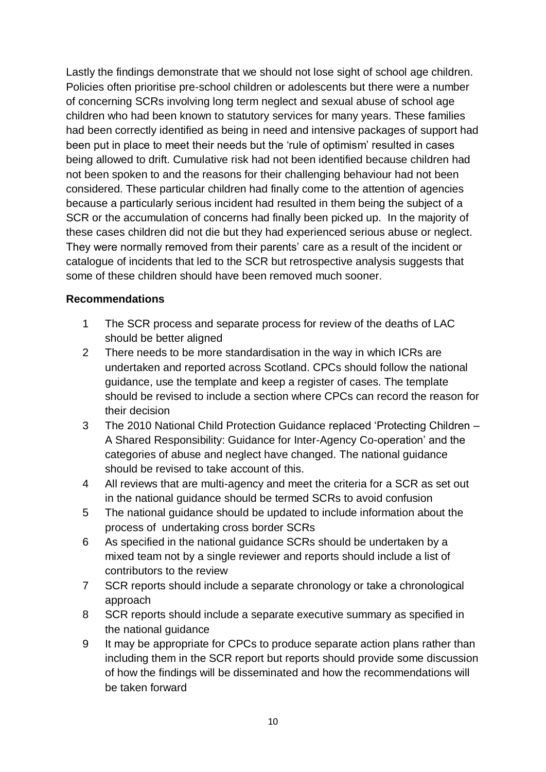Lastly the findings demonstrate that we should not lose sight of school age children. Policies often prioritise pre-school children or adolescents but there were a number of concerning SCRs involving long term neglect and sexual abuse of school age children who had been known to statutory services for many years. These families had been correctly identified as being in need and intensive packages of support had been put in place to meet their needs but the 'rule of optimism' resulted in cases being allowed to drift. Cumulative risk had not been identified because children had not been spoken to and the reasons for their challenging behaviour had not been considered. These particular children had finally come to the attention of agencies because a particularly serious incident had resulted in them being the subject of a SCR or the accumulation of concerns had finally been picked up. In the majority of these cases children did not die but they had experienced serious abuse or neglect. They were normally removed from their parents' care as a result of the incident or catalogue of incidents that led to the SCR but retrospective analysis suggests that some of these children should have been removed much sooner.

#### **Recommendations**

- 1 The SCR process and separate process for review of the deaths of LAC should be better aligned
- 2 There needs to be more standardisation in the way in which ICRs are undertaken and reported across Scotland. CPCs should follow the national guidance, use the template and keep a register of cases. The template should be revised to include a section where CPCs can record the reason for their decision
- 3 The 2010 National Child Protection Guidance replaced 'Protecting Children A Shared Responsibility: Guidance for Inter-Agency Co-operation' and the categories of abuse and neglect have changed. The national guidance should be revised to take account of this.
- 4 All reviews that are multi-agency and meet the criteria for a SCR as set out in the national guidance should be termed SCRs to avoid confusion
- 5 The national guidance should be updated to include information about the process of undertaking cross border SCRs
- 6 As specified in the national guidance SCRs should be undertaken by a mixed team not by a single reviewer and reports should include a list of contributors to the review
- 7 SCR reports should include a separate chronology or take a chronological approach
- 8 SCR reports should include a separate executive summary as specified in the national guidance
- 9 It may be appropriate for CPCs to produce separate action plans rather than including them in the SCR report but reports should provide some discussion of how the findings will be disseminated and how the recommendations will be taken forward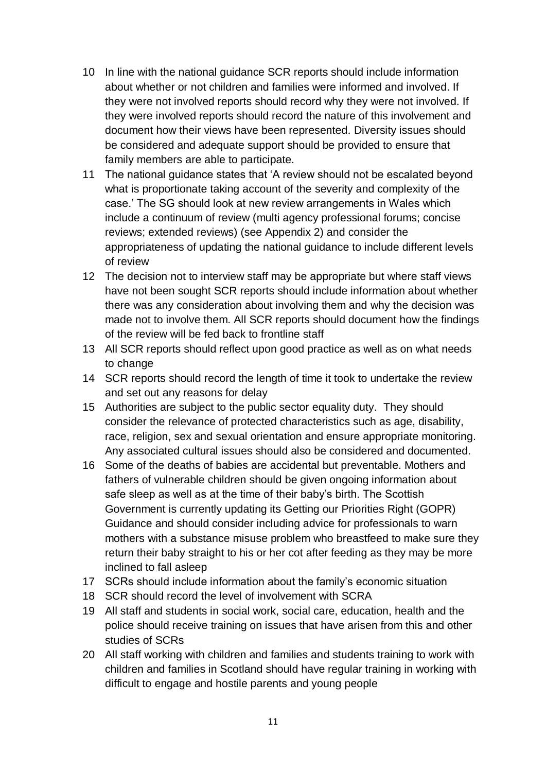- 10 In line with the national guidance SCR reports should include information about whether or not children and families were informed and involved. If they were not involved reports should record why they were not involved. If they were involved reports should record the nature of this involvement and document how their views have been represented. Diversity issues should be considered and adequate support should be provided to ensure that family members are able to participate.
- 11 The national guidance states that 'A review should not be escalated beyond what is proportionate taking account of the severity and complexity of the case.' The SG should look at new review arrangements in Wales which include a continuum of review (multi agency professional forums; concise reviews; extended reviews) (see Appendix 2) and consider the appropriateness of updating the national guidance to include different levels of review
- 12 The decision not to interview staff may be appropriate but where staff views have not been sought SCR reports should include information about whether there was any consideration about involving them and why the decision was made not to involve them. All SCR reports should document how the findings of the review will be fed back to frontline staff
- 13 All SCR reports should reflect upon good practice as well as on what needs to change
- 14 SCR reports should record the length of time it took to undertake the review and set out any reasons for delay
- 15 Authorities are subject to the public sector equality duty. They should consider the relevance of protected characteristics such as age, disability, race, religion, sex and sexual orientation and ensure appropriate monitoring. Any associated cultural issues should also be considered and documented.
- 16 Some of the deaths of babies are accidental but preventable. Mothers and fathers of vulnerable children should be given ongoing information about safe sleep as well as at the time of their baby's birth. The Scottish Government is currently updating its Getting our Priorities Right (GOPR) Guidance and should consider including advice for professionals to warn mothers with a substance misuse problem who breastfeed to make sure they return their baby straight to his or her cot after feeding as they may be more inclined to fall asleep
- 17 SCRs should include information about the family's economic situation
- 18 SCR should record the level of involvement with SCRA
- 19 All staff and students in social work, social care, education, health and the police should receive training on issues that have arisen from this and other studies of SCRs
- 20 All staff working with children and families and students training to work with children and families in Scotland should have regular training in working with difficult to engage and hostile parents and young people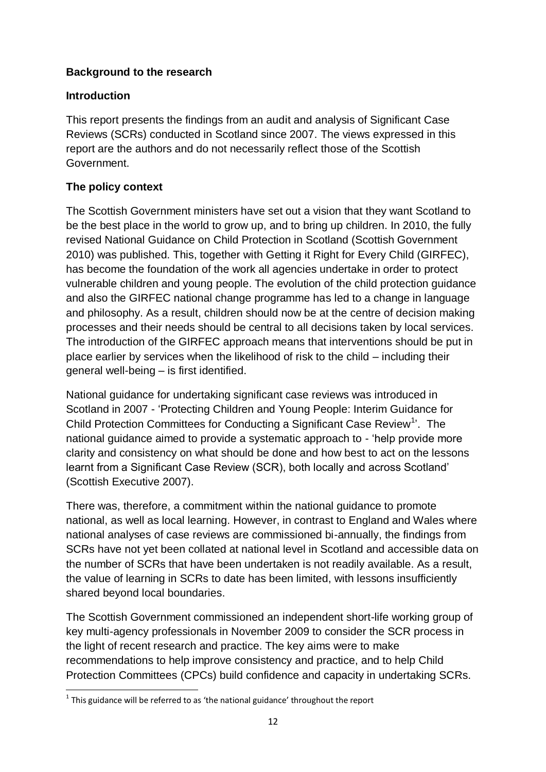## **Background to the research**

#### **Introduction**

This report presents the findings from an audit and analysis of Significant Case Reviews (SCRs) conducted in Scotland since 2007. The views expressed in this report are the authors and do not necessarily reflect those of the Scottish Government.

## **The policy context**

**.** 

The Scottish Government ministers have set out a vision that they want Scotland to be the best place in the world to grow up, and to bring up children. In 2010, the fully revised National Guidance on Child Protection in Scotland (Scottish Government 2010) was published. This, together with Getting it Right for Every Child (GIRFEC), has become the foundation of the work all agencies undertake in order to protect vulnerable children and young people. The evolution of the child protection guidance and also the GIRFEC national change programme has led to a change in language and philosophy. As a result, children should now be at the centre of decision making processes and their needs should be central to all decisions taken by local services. The introduction of the GIRFEC approach means that interventions should be put in place earlier by services when the likelihood of risk to the child – including their general well-being – is first identified.

National guidance for undertaking significant case reviews was introduced in Scotland in 2007 - 'Protecting Children and Young People: Interim Guidance for Child Protection Committees for Conducting a Significant Case Review<sup>1</sup>'. The national guidance aimed to provide a systematic approach to - 'help provide more clarity and consistency on what should be done and how best to act on the lessons learnt from a Significant Case Review (SCR), both locally and across Scotland' (Scottish Executive 2007).

There was, therefore, a commitment within the national guidance to promote national, as well as local learning. However, in contrast to England and Wales where national analyses of case reviews are commissioned bi-annually, the findings from SCRs have not yet been collated at national level in Scotland and accessible data on the number of SCRs that have been undertaken is not readily available. As a result, the value of learning in SCRs to date has been limited, with lessons insufficiently shared beyond local boundaries.

The Scottish Government commissioned an independent short-life working group of key multi-agency professionals in November 2009 to consider the SCR process in the light of recent research and practice. The key aims were to make recommendations to help improve consistency and practice, and to help Child Protection Committees (CPCs) build confidence and capacity in undertaking SCRs.

 $1$  This guidance will be referred to as 'the national guidance' throughout the report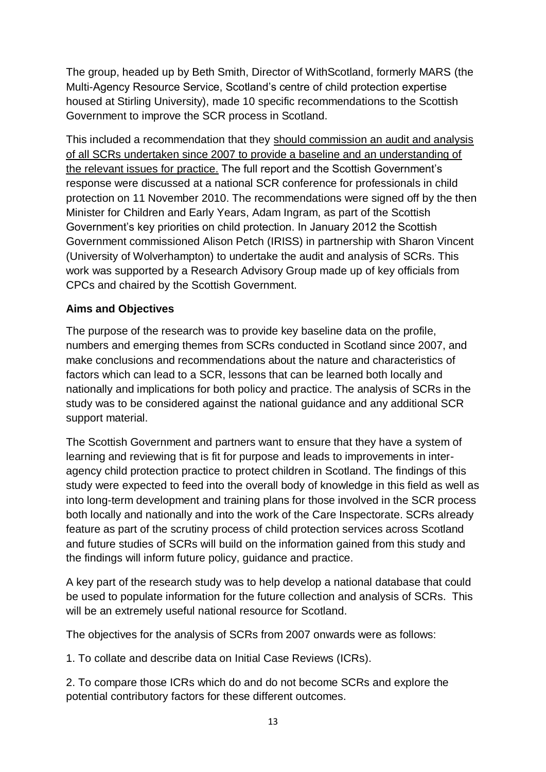The group, headed up by Beth Smith, Director of WithScotland, formerly MARS (the Multi-Agency Resource Service, Scotland's centre of child protection expertise housed at Stirling University), made 10 specific recommendations to the Scottish Government to improve the SCR process in Scotland.

This included a recommendation that they should commission an audit and analysis of all SCRs undertaken since 2007 to provide a baseline and an understanding of the relevant issues for practice. The full report and the Scottish Government's response were discussed at a national SCR conference for professionals in child protection on 11 November 2010. The recommendations were signed off by the then Minister for Children and Early Years, Adam Ingram, as part of the Scottish Government's key priorities on child protection. In January 2012 the Scottish Government commissioned Alison Petch (IRISS) in partnership with Sharon Vincent (University of Wolverhampton) to undertake the audit and analysis of SCRs. This work was supported by a Research Advisory Group made up of key officials from CPCs and chaired by the Scottish Government.

## **Aims and Objectives**

The purpose of the research was to provide key baseline data on the profile, numbers and emerging themes from SCRs conducted in Scotland since 2007, and make conclusions and recommendations about the nature and characteristics of factors which can lead to a SCR, lessons that can be learned both locally and nationally and implications for both policy and practice. The analysis of SCRs in the study was to be considered against the national guidance and any additional SCR support material.

The Scottish Government and partners want to ensure that they have a system of learning and reviewing that is fit for purpose and leads to improvements in interagency child protection practice to protect children in Scotland. The findings of this study were expected to feed into the overall body of knowledge in this field as well as into long-term development and training plans for those involved in the SCR process both locally and nationally and into the work of the Care Inspectorate. SCRs already feature as part of the scrutiny process of child protection services across Scotland and future studies of SCRs will build on the information gained from this study and the findings will inform future policy, guidance and practice.

A key part of the research study was to help develop a national database that could be used to populate information for the future collection and analysis of SCRs. This will be an extremely useful national resource for Scotland.

The objectives for the analysis of SCRs from 2007 onwards were as follows:

1. To collate and describe data on Initial Case Reviews (ICRs).

2. To compare those ICRs which do and do not become SCRs and explore the potential contributory factors for these different outcomes.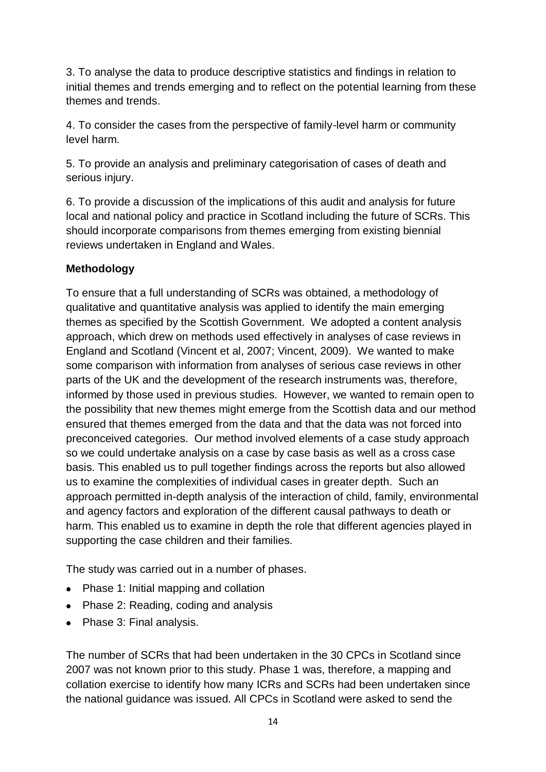3. To analyse the data to produce descriptive statistics and findings in relation to initial themes and trends emerging and to reflect on the potential learning from these themes and trends.

4. To consider the cases from the perspective of family-level harm or community level harm.

5. To provide an analysis and preliminary categorisation of cases of death and serious injury.

6. To provide a discussion of the implications of this audit and analysis for future local and national policy and practice in Scotland including the future of SCRs. This should incorporate comparisons from themes emerging from existing biennial reviews undertaken in England and Wales.

# **Methodology**

To ensure that a full understanding of SCRs was obtained, a methodology of qualitative and quantitative analysis was applied to identify the main emerging themes as specified by the Scottish Government. We adopted a content analysis approach, which drew on methods used effectively in analyses of case reviews in England and Scotland (Vincent et al, 2007; Vincent, 2009). We wanted to make some comparison with information from analyses of serious case reviews in other parts of the UK and the development of the research instruments was, therefore, informed by those used in previous studies. However, we wanted to remain open to the possibility that new themes might emerge from the Scottish data and our method ensured that themes emerged from the data and that the data was not forced into preconceived categories. Our method involved elements of a case study approach so we could undertake analysis on a case by case basis as well as a cross case basis. This enabled us to pull together findings across the reports but also allowed us to examine the complexities of individual cases in greater depth. Such an approach permitted in-depth analysis of the interaction of child, family, environmental and agency factors and exploration of the different causal pathways to death or harm. This enabled us to examine in depth the role that different agencies played in supporting the case children and their families.

The study was carried out in a number of phases.

- Phase 1: Initial mapping and collation
- Phase 2: Reading, coding and analysis
- Phase 3: Final analysis.

The number of SCRs that had been undertaken in the 30 CPCs in Scotland since 2007 was not known prior to this study. Phase 1 was, therefore, a mapping and collation exercise to identify how many ICRs and SCRs had been undertaken since the national guidance was issued. All CPCs in Scotland were asked to send the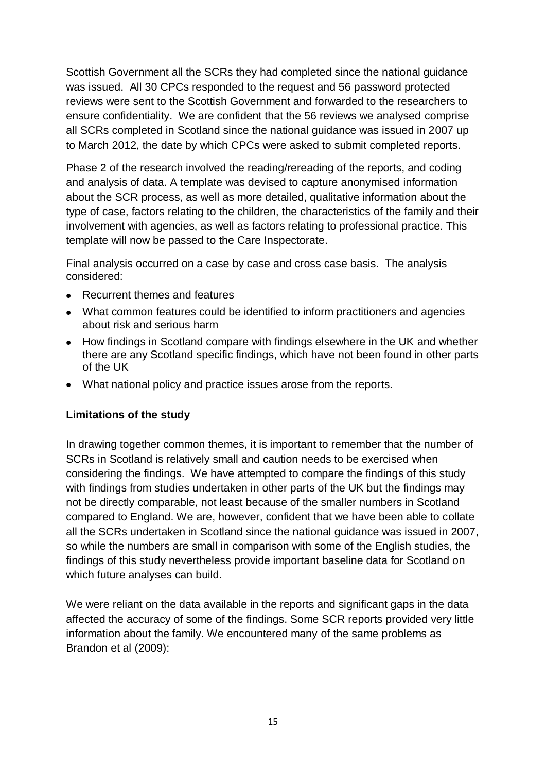Scottish Government all the SCRs they had completed since the national guidance was issued. All 30 CPCs responded to the request and 56 password protected reviews were sent to the Scottish Government and forwarded to the researchers to ensure confidentiality. We are confident that the 56 reviews we analysed comprise all SCRs completed in Scotland since the national guidance was issued in 2007 up to March 2012, the date by which CPCs were asked to submit completed reports.

Phase 2 of the research involved the reading/rereading of the reports, and coding and analysis of data. A template was devised to capture anonymised information about the SCR process, as well as more detailed, qualitative information about the type of case, factors relating to the children, the characteristics of the family and their involvement with agencies, as well as factors relating to professional practice. This template will now be passed to the Care Inspectorate.

Final analysis occurred on a case by case and cross case basis. The analysis considered:

- Recurrent themes and features
- What common features could be identified to inform practitioners and agencies about risk and serious harm
- How findings in Scotland compare with findings elsewhere in the UK and whether there are any Scotland specific findings, which have not been found in other parts of the UK
- What national policy and practice issues arose from the reports.

#### **Limitations of the study**

In drawing together common themes, it is important to remember that the number of SCRs in Scotland is relatively small and caution needs to be exercised when considering the findings. We have attempted to compare the findings of this study with findings from studies undertaken in other parts of the UK but the findings may not be directly comparable, not least because of the smaller numbers in Scotland compared to England. We are, however, confident that we have been able to collate all the SCRs undertaken in Scotland since the national guidance was issued in 2007, so while the numbers are small in comparison with some of the English studies, the findings of this study nevertheless provide important baseline data for Scotland on which future analyses can build.

We were reliant on the data available in the reports and significant gaps in the data affected the accuracy of some of the findings. Some SCR reports provided very little information about the family. We encountered many of the same problems as Brandon et al (2009):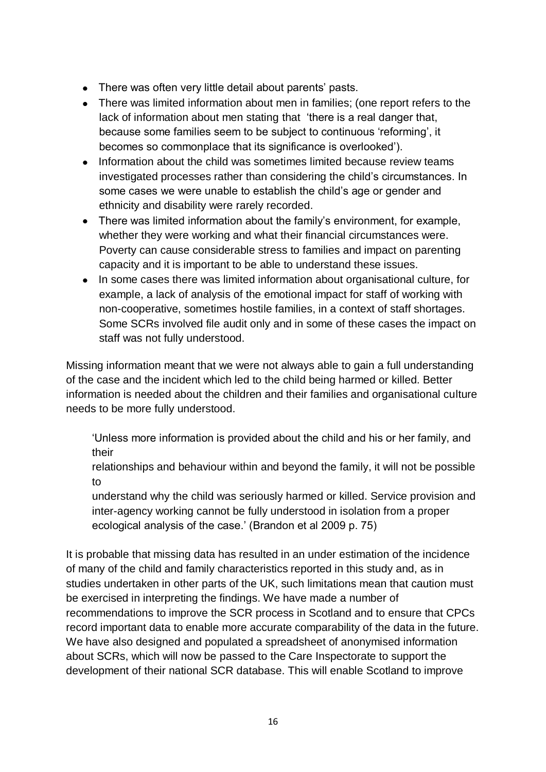- There was often very little detail about parents' pasts.
- There was limited information about men in families; (one report refers to the lack of information about men stating that 'there is a real danger that, because some families seem to be subject to continuous 'reforming', it becomes so commonplace that its significance is overlooked').
- Information about the child was sometimes limited because review teams investigated processes rather than considering the child's circumstances. In some cases we were unable to establish the child's age or gender and ethnicity and disability were rarely recorded.
- There was limited information about the family's environment, for example, whether they were working and what their financial circumstances were. Poverty can cause considerable stress to families and impact on parenting capacity and it is important to be able to understand these issues.
- In some cases there was limited information about organisational culture, for example, a lack of analysis of the emotional impact for staff of working with non-cooperative, sometimes hostile families, in a context of staff shortages. Some SCRs involved file audit only and in some of these cases the impact on staff was not fully understood.

Missing information meant that we were not always able to gain a full understanding of the case and the incident which led to the child being harmed or killed. Better information is needed about the children and their families and organisational culture needs to be more fully understood.

'Unless more information is provided about the child and his or her family, and their

relationships and behaviour within and beyond the family, it will not be possible to

understand why the child was seriously harmed or killed. Service provision and inter-agency working cannot be fully understood in isolation from a proper ecological analysis of the case.' (Brandon et al 2009 p. 75)

It is probable that missing data has resulted in an under estimation of the incidence of many of the child and family characteristics reported in this study and, as in studies undertaken in other parts of the UK, such limitations mean that caution must be exercised in interpreting the findings. We have made a number of recommendations to improve the SCR process in Scotland and to ensure that CPCs record important data to enable more accurate comparability of the data in the future. We have also designed and populated a spreadsheet of anonymised information about SCRs, which will now be passed to the Care Inspectorate to support the development of their national SCR database. This will enable Scotland to improve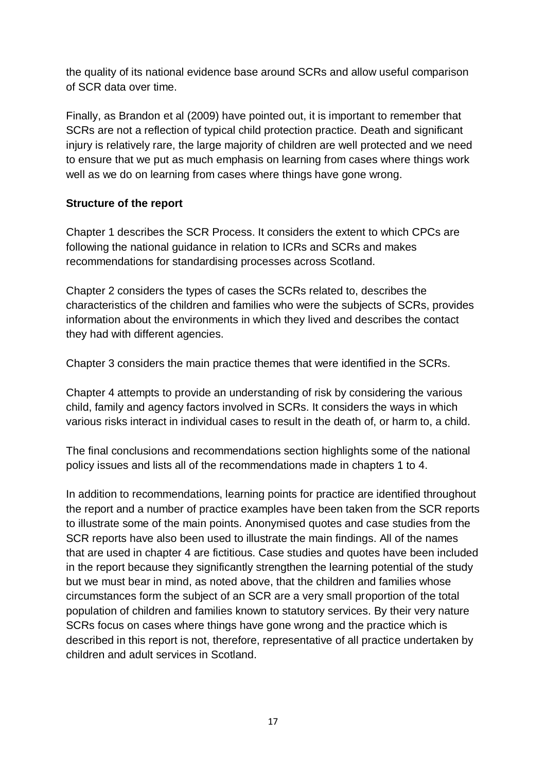the quality of its national evidence base around SCRs and allow useful comparison of SCR data over time.

Finally, as Brandon et al (2009) have pointed out, it is important to remember that SCRs are not a reflection of typical child protection practice. Death and significant injury is relatively rare, the large majority of children are well protected and we need to ensure that we put as much emphasis on learning from cases where things work well as we do on learning from cases where things have gone wrong.

## **Structure of the report**

Chapter 1 describes the SCR Process. It considers the extent to which CPCs are following the national guidance in relation to ICRs and SCRs and makes recommendations for standardising processes across Scotland.

Chapter 2 considers the types of cases the SCRs related to, describes the characteristics of the children and families who were the subjects of SCRs, provides information about the environments in which they lived and describes the contact they had with different agencies.

Chapter 3 considers the main practice themes that were identified in the SCRs.

Chapter 4 attempts to provide an understanding of risk by considering the various child, family and agency factors involved in SCRs. It considers the ways in which various risks interact in individual cases to result in the death of, or harm to, a child.

The final conclusions and recommendations section highlights some of the national policy issues and lists all of the recommendations made in chapters 1 to 4.

In addition to recommendations, learning points for practice are identified throughout the report and a number of practice examples have been taken from the SCR reports to illustrate some of the main points. Anonymised quotes and case studies from the SCR reports have also been used to illustrate the main findings. All of the names that are used in chapter 4 are fictitious. Case studies and quotes have been included in the report because they significantly strengthen the learning potential of the study but we must bear in mind, as noted above, that the children and families whose circumstances form the subject of an SCR are a very small proportion of the total population of children and families known to statutory services. By their very nature SCRs focus on cases where things have gone wrong and the practice which is described in this report is not, therefore, representative of all practice undertaken by children and adult services in Scotland.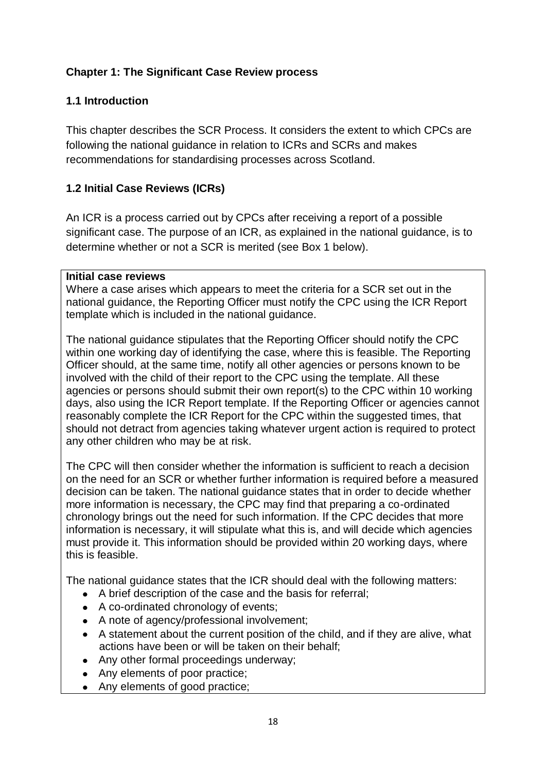## **Chapter 1: The Significant Case Review process**

## **1.1 Introduction**

This chapter describes the SCR Process. It considers the extent to which CPCs are following the national guidance in relation to ICRs and SCRs and makes recommendations for standardising processes across Scotland.

## **1.2 Initial Case Reviews (ICRs)**

An ICR is a process carried out by CPCs after receiving a report of a possible significant case. The purpose of an ICR, as explained in the national guidance, is to determine whether or not a SCR is merited (see Box 1 below).

#### **Initial case reviews**

Where a case arises which appears to meet the criteria for a SCR set out in the national guidance, the Reporting Officer must notify the CPC using the ICR Report template which is included in the national guidance.

The national guidance stipulates that the Reporting Officer should notify the CPC within one working day of identifying the case, where this is feasible. The Reporting Officer should, at the same time, notify all other agencies or persons known to be involved with the child of their report to the CPC using the template. All these agencies or persons should submit their own report(s) to the CPC within 10 working days, also using the ICR Report template. If the Reporting Officer or agencies cannot reasonably complete the ICR Report for the CPC within the suggested times, that should not detract from agencies taking whatever urgent action is required to protect any other children who may be at risk.

The CPC will then consider whether the information is sufficient to reach a decision on the need for an SCR or whether further information is required before a measured decision can be taken. The national guidance states that in order to decide whether more information is necessary, the CPC may find that preparing a co-ordinated chronology brings out the need for such information. If the CPC decides that more information is necessary, it will stipulate what this is, and will decide which agencies must provide it. This information should be provided within 20 working days, where this is feasible.

The national guidance states that the ICR should deal with the following matters:

- A brief description of the case and the basis for referral;
- A co-ordinated chronology of events;
- A note of agency/professional involvement;
- A statement about the current position of the child, and if they are alive, what actions have been or will be taken on their behalf;
- Any other formal proceedings underway;
- Any elements of poor practice;
- Any elements of good practice;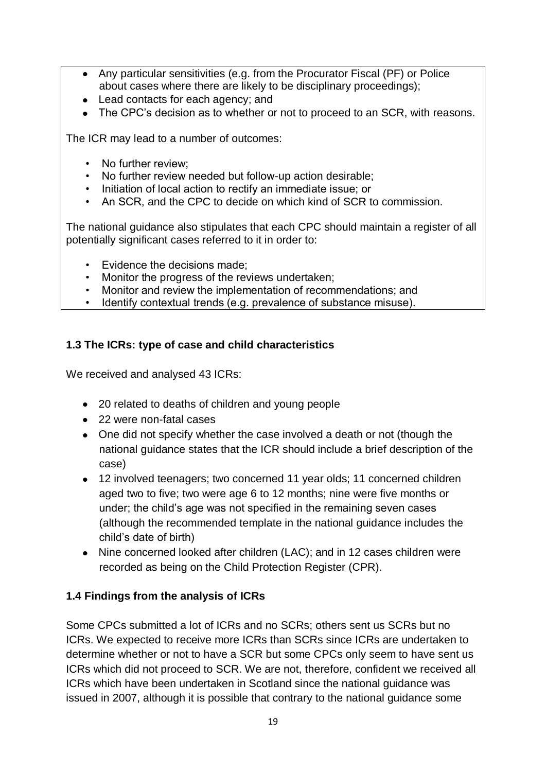- Any particular sensitivities (e.g. from the Procurator Fiscal (PF) or Police about cases where there are likely to be disciplinary proceedings);
- Lead contacts for each agency; and
- The CPC's decision as to whether or not to proceed to an SCR, with reasons.

The ICR may lead to a number of outcomes:

- No further review;
- No further review needed but follow-up action desirable;
- Initiation of local action to rectify an immediate issue; or
- An SCR, and the CPC to decide on which kind of SCR to commission.

The national guidance also stipulates that each CPC should maintain a register of all potentially significant cases referred to it in order to:

- Evidence the decisions made:
- Monitor the progress of the reviews undertaken;
- Monitor and review the implementation of recommendations; and
- Identify contextual trends (e.g. prevalence of substance misuse).

# **1.3 The ICRs: type of case and child characteristics**

We received and analysed 43 ICRs:

- 20 related to deaths of children and young people
- 22 were non-fatal cases
- One did not specify whether the case involved a death or not (though the national guidance states that the ICR should include a brief description of the case)
- 12 involved teenagers; two concerned 11 year olds; 11 concerned children aged two to five; two were age 6 to 12 months; nine were five months or under; the child's age was not specified in the remaining seven cases (although the recommended template in the national guidance includes the child's date of birth)
- Nine concerned looked after children (LAC); and in 12 cases children were recorded as being on the Child Protection Register (CPR).

# **1.4 Findings from the analysis of ICRs**

Some CPCs submitted a lot of ICRs and no SCRs; others sent us SCRs but no ICRs. We expected to receive more ICRs than SCRs since ICRs are undertaken to determine whether or not to have a SCR but some CPCs only seem to have sent us ICRs which did not proceed to SCR. We are not, therefore, confident we received all ICRs which have been undertaken in Scotland since the national guidance was issued in 2007, although it is possible that contrary to the national guidance some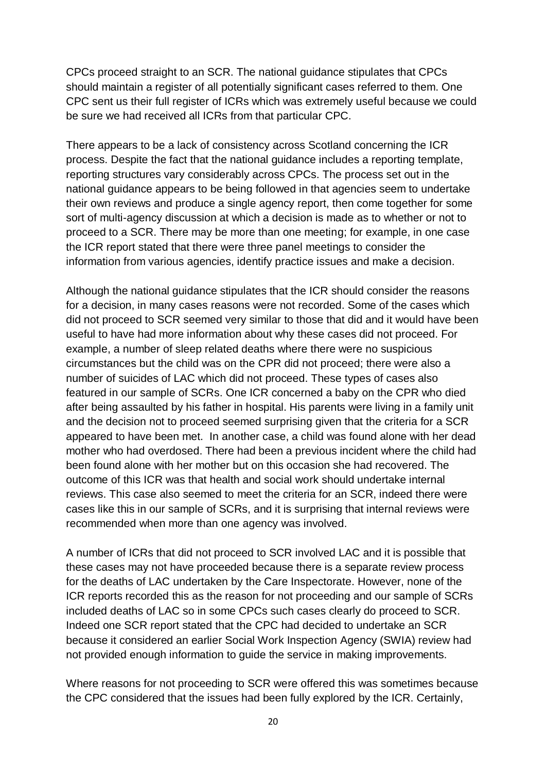CPCs proceed straight to an SCR. The national guidance stipulates that CPCs should maintain a register of all potentially significant cases referred to them. One CPC sent us their full register of ICRs which was extremely useful because we could be sure we had received all ICRs from that particular CPC.

There appears to be a lack of consistency across Scotland concerning the ICR process. Despite the fact that the national guidance includes a reporting template, reporting structures vary considerably across CPCs. The process set out in the national guidance appears to be being followed in that agencies seem to undertake their own reviews and produce a single agency report, then come together for some sort of multi-agency discussion at which a decision is made as to whether or not to proceed to a SCR. There may be more than one meeting; for example, in one case the ICR report stated that there were three panel meetings to consider the information from various agencies, identify practice issues and make a decision.

Although the national guidance stipulates that the ICR should consider the reasons for a decision, in many cases reasons were not recorded. Some of the cases which did not proceed to SCR seemed very similar to those that did and it would have been useful to have had more information about why these cases did not proceed. For example, a number of sleep related deaths where there were no suspicious circumstances but the child was on the CPR did not proceed; there were also a number of suicides of LAC which did not proceed. These types of cases also featured in our sample of SCRs. One ICR concerned a baby on the CPR who died after being assaulted by his father in hospital. His parents were living in a family unit and the decision not to proceed seemed surprising given that the criteria for a SCR appeared to have been met. In another case, a child was found alone with her dead mother who had overdosed. There had been a previous incident where the child had been found alone with her mother but on this occasion she had recovered. The outcome of this ICR was that health and social work should undertake internal reviews. This case also seemed to meet the criteria for an SCR, indeed there were cases like this in our sample of SCRs, and it is surprising that internal reviews were recommended when more than one agency was involved.

A number of ICRs that did not proceed to SCR involved LAC and it is possible that these cases may not have proceeded because there is a separate review process for the deaths of LAC undertaken by the Care Inspectorate. However, none of the ICR reports recorded this as the reason for not proceeding and our sample of SCRs included deaths of LAC so in some CPCs such cases clearly do proceed to SCR. Indeed one SCR report stated that the CPC had decided to undertake an SCR because it considered an earlier Social Work Inspection Agency (SWIA) review had not provided enough information to guide the service in making improvements.

Where reasons for not proceeding to SCR were offered this was sometimes because the CPC considered that the issues had been fully explored by the ICR. Certainly,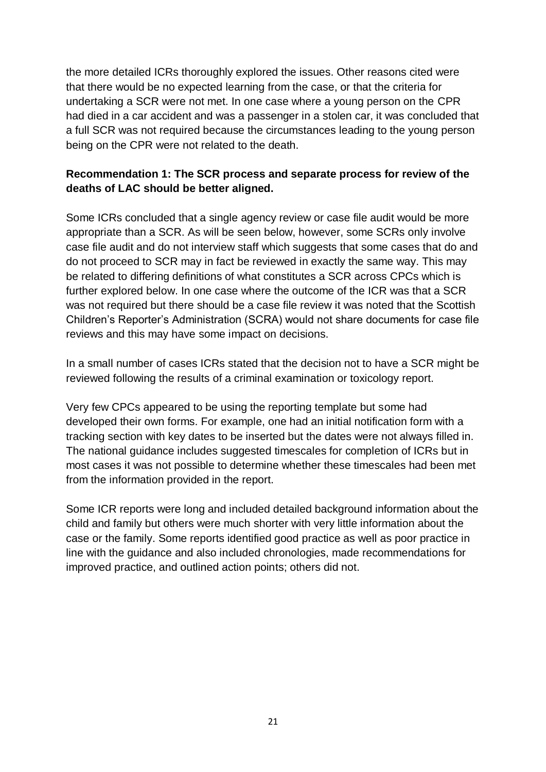the more detailed ICRs thoroughly explored the issues. Other reasons cited were that there would be no expected learning from the case, or that the criteria for undertaking a SCR were not met. In one case where a young person on the CPR had died in a car accident and was a passenger in a stolen car, it was concluded that a full SCR was not required because the circumstances leading to the young person being on the CPR were not related to the death.

## **Recommendation 1: The SCR process and separate process for review of the deaths of LAC should be better aligned.**

Some ICRs concluded that a single agency review or case file audit would be more appropriate than a SCR. As will be seen below, however, some SCRs only involve case file audit and do not interview staff which suggests that some cases that do and do not proceed to SCR may in fact be reviewed in exactly the same way. This may be related to differing definitions of what constitutes a SCR across CPCs which is further explored below. In one case where the outcome of the ICR was that a SCR was not required but there should be a case file review it was noted that the Scottish Children's Reporter's Administration (SCRA) would not share documents for case file reviews and this may have some impact on decisions.

In a small number of cases ICRs stated that the decision not to have a SCR might be reviewed following the results of a criminal examination or toxicology report.

Very few CPCs appeared to be using the reporting template but some had developed their own forms. For example, one had an initial notification form with a tracking section with key dates to be inserted but the dates were not always filled in. The national guidance includes suggested timescales for completion of ICRs but in most cases it was not possible to determine whether these timescales had been met from the information provided in the report.

Some ICR reports were long and included detailed background information about the child and family but others were much shorter with very little information about the case or the family. Some reports identified good practice as well as poor practice in line with the guidance and also included chronologies, made recommendations for improved practice, and outlined action points; others did not.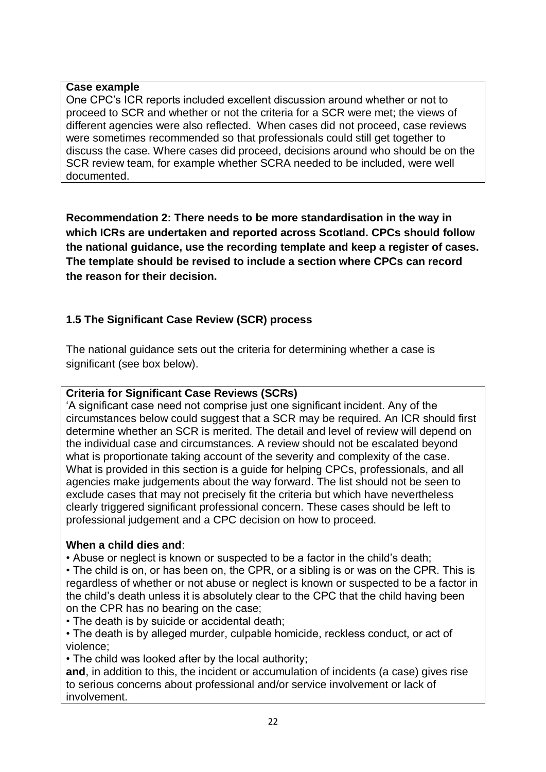#### **Case example**

One CPC's ICR reports included excellent discussion around whether or not to proceed to SCR and whether or not the criteria for a SCR were met; the views of different agencies were also reflected. When cases did not proceed, case reviews were sometimes recommended so that professionals could still get together to discuss the case. Where cases did proceed, decisions around who should be on the SCR review team, for example whether SCRA needed to be included, were well documented.

**Recommendation 2: There needs to be more standardisation in the way in which ICRs are undertaken and reported across Scotland. CPCs should follow the national guidance, use the recording template and keep a register of cases. The template should be revised to include a section where CPCs can record the reason for their decision.** 

# **1.5 The Significant Case Review (SCR) process**

The national guidance sets out the criteria for determining whether a case is significant (see box below).

## **Criteria for Significant Case Reviews (SCRs)**

'A significant case need not comprise just one significant incident. Any of the circumstances below could suggest that a SCR may be required. An ICR should first determine whether an SCR is merited. The detail and level of review will depend on the individual case and circumstances. A review should not be escalated beyond what is proportionate taking account of the severity and complexity of the case. What is provided in this section is a guide for helping CPCs, professionals, and all agencies make judgements about the way forward. The list should not be seen to exclude cases that may not precisely fit the criteria but which have nevertheless clearly triggered significant professional concern. These cases should be left to professional judgement and a CPC decision on how to proceed.

# **When a child dies and**:

• Abuse or neglect is known or suspected to be a factor in the child's death;

• The child is on, or has been on, the CPR, or a sibling is or was on the CPR. This is regardless of whether or not abuse or neglect is known or suspected to be a factor in the child's death unless it is absolutely clear to the CPC that the child having been on the CPR has no bearing on the case;

• The death is by suicide or accidental death;

• The death is by alleged murder, culpable homicide, reckless conduct, or act of violence;

• The child was looked after by the local authority;

**and**, in addition to this, the incident or accumulation of incidents (a case) gives rise to serious concerns about professional and/or service involvement or lack of involvement.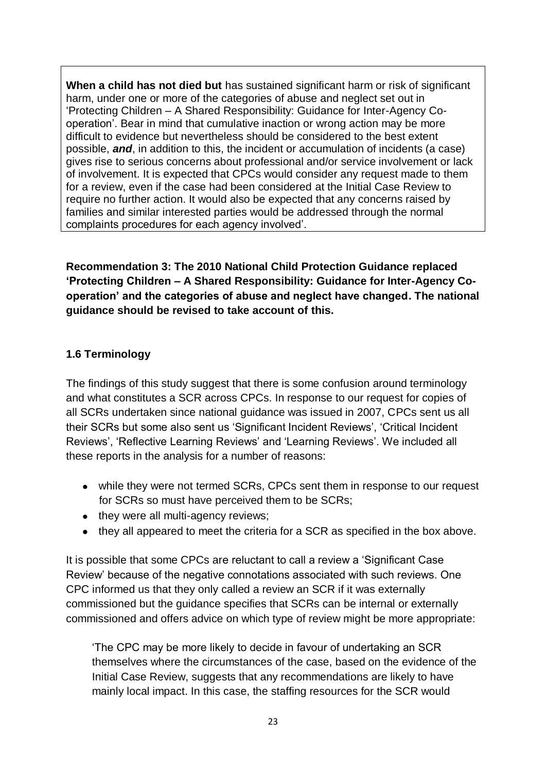**When a child has not died but** has sustained significant harm or risk of significant harm, under one or more of the categories of abuse and neglect set out in 'Protecting Children – A Shared Responsibility: Guidance for Inter-Agency Cooperation'. Bear in mind that cumulative inaction or wrong action may be more difficult to evidence but nevertheless should be considered to the best extent possible, *and*, in addition to this, the incident or accumulation of incidents (a case) gives rise to serious concerns about professional and/or service involvement or lack of involvement. It is expected that CPCs would consider any request made to them for a review, even if the case had been considered at the Initial Case Review to require no further action. It would also be expected that any concerns raised by families and similar interested parties would be addressed through the normal complaints procedures for each agency involved'.

**Recommendation 3: The 2010 National Child Protection Guidance replaced 'Protecting Children – A Shared Responsibility: Guidance for Inter-Agency Cooperation' and the categories of abuse and neglect have changed. The national guidance should be revised to take account of this.**

## **1.6 Terminology**

The findings of this study suggest that there is some confusion around terminology and what constitutes a SCR across CPCs. In response to our request for copies of all SCRs undertaken since national guidance was issued in 2007, CPCs sent us all their SCRs but some also sent us 'Significant Incident Reviews', 'Critical Incident Reviews', 'Reflective Learning Reviews' and 'Learning Reviews'. We included all these reports in the analysis for a number of reasons:

- while they were not termed SCRs, CPCs sent them in response to our request for SCRs so must have perceived them to be SCRs;
- they were all multi-agency reviews;
- they all appeared to meet the criteria for a SCR as specified in the box above.

It is possible that some CPCs are reluctant to call a review a 'Significant Case Review' because of the negative connotations associated with such reviews. One CPC informed us that they only called a review an SCR if it was externally commissioned but the guidance specifies that SCRs can be internal or externally commissioned and offers advice on which type of review might be more appropriate:

'The CPC may be more likely to decide in favour of undertaking an SCR themselves where the circumstances of the case, based on the evidence of the Initial Case Review, suggests that any recommendations are likely to have mainly local impact. In this case, the staffing resources for the SCR would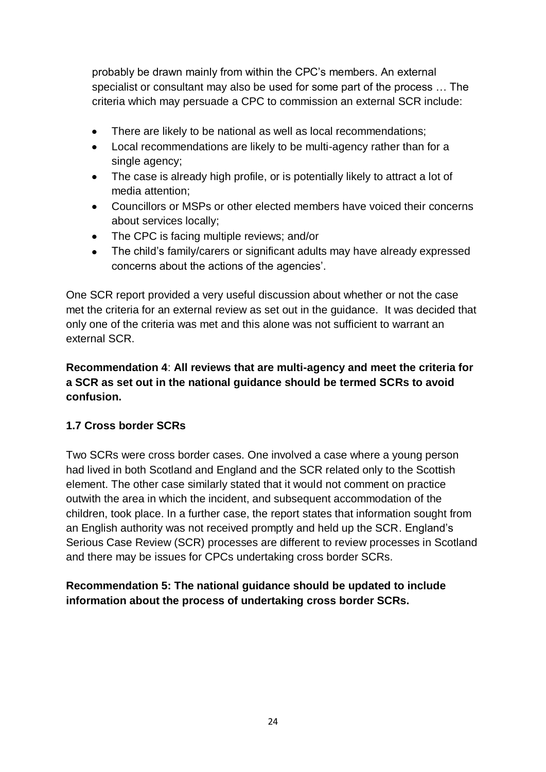probably be drawn mainly from within the CPC's members. An external specialist or consultant may also be used for some part of the process … The criteria which may persuade a CPC to commission an external SCR include:

- There are likely to be national as well as local recommendations;
- Local recommendations are likely to be multi-agency rather than for a single agency;
- The case is already high profile, or is potentially likely to attract a lot of media attention;
- Councillors or MSPs or other elected members have voiced their concerns about services locally;
- The CPC is facing multiple reviews; and/or
- The child's family/carers or significant adults may have already expressed concerns about the actions of the agencies'.

One SCR report provided a very useful discussion about whether or not the case met the criteria for an external review as set out in the guidance. It was decided that only one of the criteria was met and this alone was not sufficient to warrant an external SCR.

## **Recommendation 4**: **All reviews that are multi-agency and meet the criteria for a SCR as set out in the national guidance should be termed SCRs to avoid confusion.**

# **1.7 Cross border SCRs**

Two SCRs were cross border cases. One involved a case where a young person had lived in both Scotland and England and the SCR related only to the Scottish element. The other case similarly stated that it would not comment on practice outwith the area in which the incident, and subsequent accommodation of the children, took place. In a further case, the report states that information sought from an English authority was not received promptly and held up the SCR. England's Serious Case Review (SCR) processes are different to review processes in Scotland and there may be issues for CPCs undertaking cross border SCRs.

**Recommendation 5: The national guidance should be updated to include information about the process of undertaking cross border SCRs.**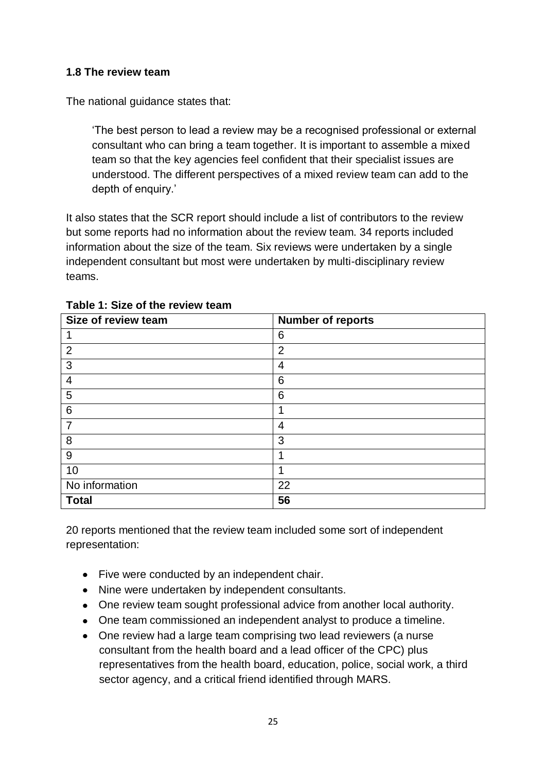### **1.8 The review team**

The national guidance states that:

'The best person to lead a review may be a recognised professional or external consultant who can bring a team together. It is important to assemble a mixed team so that the key agencies feel confident that their specialist issues are understood. The different perspectives of a mixed review team can add to the depth of enquiry.'

It also states that the SCR report should include a list of contributors to the review but some reports had no information about the review team. 34 reports included information about the size of the team. Six reviews were undertaken by a single independent consultant but most were undertaken by multi-disciplinary review teams.

| Size of review team | <b>Number of reports</b> |
|---------------------|--------------------------|
| 1                   | 6                        |
| $\overline{2}$      | $\overline{2}$           |
| 3                   | $\overline{4}$           |
| $\overline{4}$      | 6                        |
| 5                   | 6                        |
| $6\phantom{1}6$     |                          |
| $\overline{7}$      | 4                        |
| 8                   | 3                        |
| 9                   | 1                        |
| 10                  |                          |
| No information      | 22                       |
| <b>Total</b>        | 56                       |

#### **Table 1: Size of the review team**

20 reports mentioned that the review team included some sort of independent representation:

- Five were conducted by an independent chair.
- Nine were undertaken by independent consultants.
- One review team sought professional advice from another local authority.
- One team commissioned an independent analyst to produce a timeline.
- One review had a large team comprising two lead reviewers (a nurse consultant from the health board and a lead officer of the CPC) plus representatives from the health board, education, police, social work, a third sector agency, and a critical friend identified through MARS.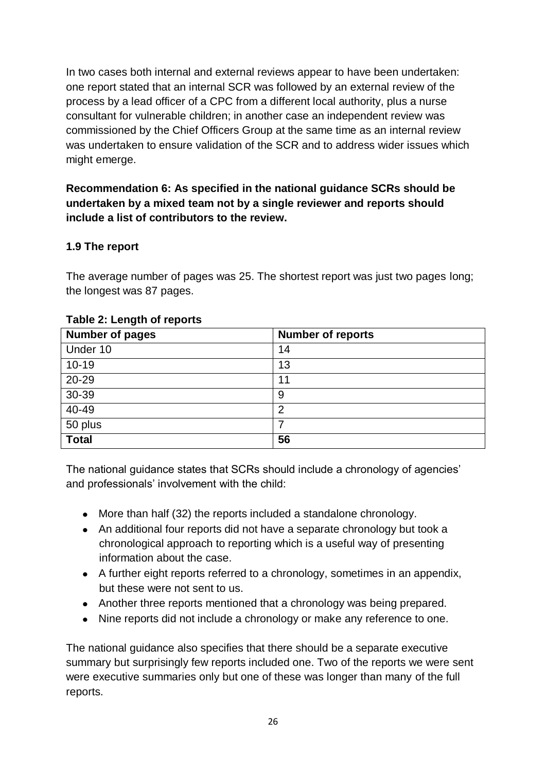In two cases both internal and external reviews appear to have been undertaken: one report stated that an internal SCR was followed by an external review of the process by a lead officer of a CPC from a different local authority, plus a nurse consultant for vulnerable children; in another case an independent review was commissioned by the Chief Officers Group at the same time as an internal review was undertaken to ensure validation of the SCR and to address wider issues which might emerge.

## **Recommendation 6: As specified in the national guidance SCRs should be undertaken by a mixed team not by a single reviewer and reports should include a list of contributors to the review.**

# **1.9 The report**

The average number of pages was 25. The shortest report was just two pages long; the longest was 87 pages.

| <b>Number of pages</b> | <b>Number of reports</b> |
|------------------------|--------------------------|
| Under 10               | 14                       |
| $10 - 19$              | 13                       |
| 20-29                  | 11                       |
| 30-39                  | 9                        |
| 40-49                  | 2                        |
| 50 plus                |                          |
| <b>Total</b>           | 56                       |

# **Table 2: Length of reports**

The national guidance states that SCRs should include a chronology of agencies' and professionals' involvement with the child:

- More than half (32) the reports included a standalone chronology.
- An additional four reports did not have a separate chronology but took a chronological approach to reporting which is a useful way of presenting information about the case.
- A further eight reports referred to a chronology, sometimes in an appendix, but these were not sent to us.
- Another three reports mentioned that a chronology was being prepared.
- Nine reports did not include a chronology or make any reference to one.

The national guidance also specifies that there should be a separate executive summary but surprisingly few reports included one. Two of the reports we were sent were executive summaries only but one of these was longer than many of the full reports.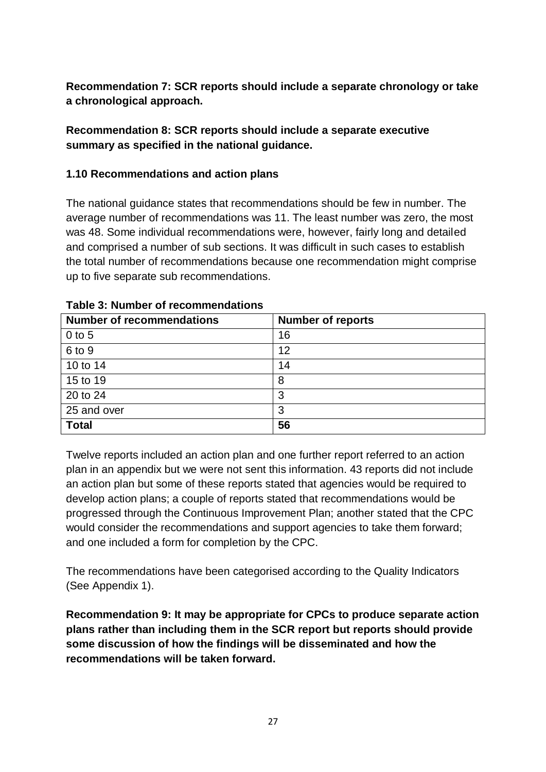**Recommendation 7: SCR reports should include a separate chronology or take a chronological approach.**

## **Recommendation 8: SCR reports should include a separate executive summary as specified in the national guidance.**

## **1.10 Recommendations and action plans**

The national guidance states that recommendations should be few in number. The average number of recommendations was 11. The least number was zero, the most was 48. Some individual recommendations were, however, fairly long and detailed and comprised a number of sub sections. It was difficult in such cases to establish the total number of recommendations because one recommendation might comprise up to five separate sub recommendations.

| <b>Number of recommendations</b> | <b>Number of reports</b> |
|----------------------------------|--------------------------|
| $0$ to 5                         | 16                       |
| 6 to 9                           | 12                       |
| 10 to 14                         | 14                       |
| 15 to 19                         | 8                        |
| 20 to 24                         | 3                        |
| 25 and over                      | 3                        |
| <b>Total</b>                     | 56                       |

**Table 3: Number of recommendations**

Twelve reports included an action plan and one further report referred to an action plan in an appendix but we were not sent this information. 43 reports did not include an action plan but some of these reports stated that agencies would be required to develop action plans; a couple of reports stated that recommendations would be progressed through the Continuous Improvement Plan; another stated that the CPC would consider the recommendations and support agencies to take them forward; and one included a form for completion by the CPC.

The recommendations have been categorised according to the Quality Indicators (See Appendix 1).

**Recommendation 9: It may be appropriate for CPCs to produce separate action plans rather than including them in the SCR report but reports should provide some discussion of how the findings will be disseminated and how the recommendations will be taken forward.**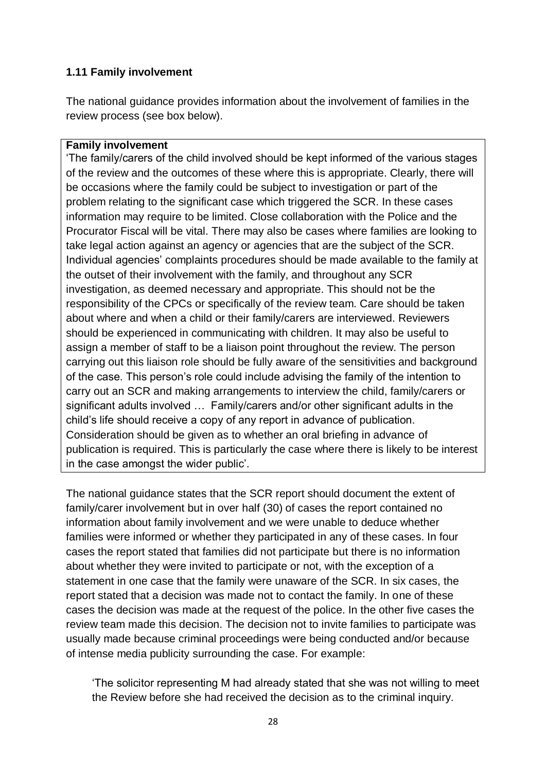#### **1.11 Family involvement**

The national guidance provides information about the involvement of families in the review process (see box below).

#### **Family involvement**

'The family/carers of the child involved should be kept informed of the various stages of the review and the outcomes of these where this is appropriate. Clearly, there will be occasions where the family could be subject to investigation or part of the problem relating to the significant case which triggered the SCR. In these cases information may require to be limited. Close collaboration with the Police and the Procurator Fiscal will be vital. There may also be cases where families are looking to take legal action against an agency or agencies that are the subject of the SCR. Individual agencies' complaints procedures should be made available to the family at the outset of their involvement with the family, and throughout any SCR investigation, as deemed necessary and appropriate. This should not be the responsibility of the CPCs or specifically of the review team. Care should be taken about where and when a child or their family/carers are interviewed. Reviewers should be experienced in communicating with children. It may also be useful to assign a member of staff to be a liaison point throughout the review. The person carrying out this liaison role should be fully aware of the sensitivities and background of the case. This person's role could include advising the family of the intention to carry out an SCR and making arrangements to interview the child, family/carers or significant adults involved … Family/carers and/or other significant adults in the child's life should receive a copy of any report in advance of publication. Consideration should be given as to whether an oral briefing in advance of publication is required. This is particularly the case where there is likely to be interest in the case amongst the wider public'.

The national guidance states that the SCR report should document the extent of family/carer involvement but in over half (30) of cases the report contained no information about family involvement and we were unable to deduce whether families were informed or whether they participated in any of these cases. In four cases the report stated that families did not participate but there is no information about whether they were invited to participate or not, with the exception of a statement in one case that the family were unaware of the SCR. In six cases, the report stated that a decision was made not to contact the family. In one of these cases the decision was made at the request of the police. In the other five cases the review team made this decision. The decision not to invite families to participate was usually made because criminal proceedings were being conducted and/or because of intense media publicity surrounding the case. For example:

'The solicitor representing M had already stated that she was not willing to meet the Review before she had received the decision as to the criminal inquiry.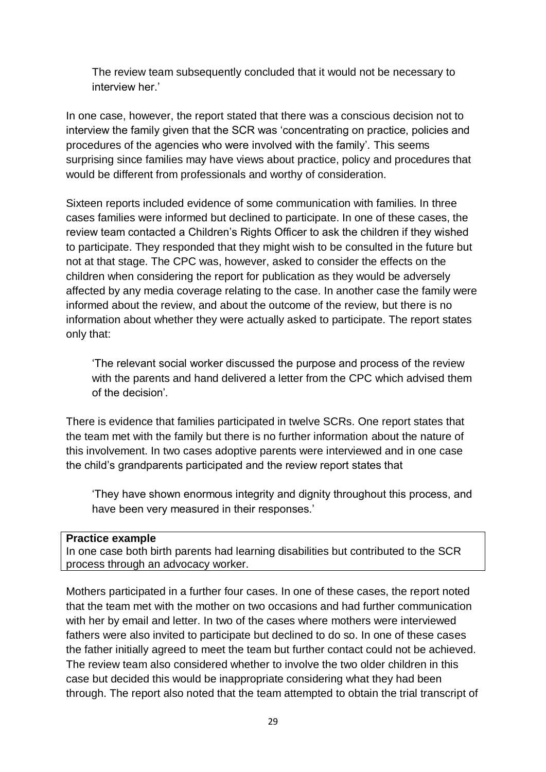The review team subsequently concluded that it would not be necessary to interview her.'

In one case, however, the report stated that there was a conscious decision not to interview the family given that the SCR was 'concentrating on practice, policies and procedures of the agencies who were involved with the family'*.* This seems surprising since families may have views about practice, policy and procedures that would be different from professionals and worthy of consideration.

Sixteen reports included evidence of some communication with families. In three cases families were informed but declined to participate. In one of these cases, the review team contacted a Children's Rights Officer to ask the children if they wished to participate. They responded that they might wish to be consulted in the future but not at that stage. The CPC was, however, asked to consider the effects on the children when considering the report for publication as they would be adversely affected by any media coverage relating to the case. In another case the family were informed about the review, and about the outcome of the review, but there is no information about whether they were actually asked to participate. The report states only that:

'The relevant social worker discussed the purpose and process of the review with the parents and hand delivered a letter from the CPC which advised them of the decision'*.*

There is evidence that families participated in twelve SCRs. One report states that the team met with the family but there is no further information about the nature of this involvement. In two cases adoptive parents were interviewed and in one case the child's grandparents participated and the review report states that

'They have shown enormous integrity and dignity throughout this process, and have been very measured in their responses.'

#### **Practice example**

In one case both birth parents had learning disabilities but contributed to the SCR process through an advocacy worker.

Mothers participated in a further four cases. In one of these cases, the report noted that the team met with the mother on two occasions and had further communication with her by email and letter. In two of the cases where mothers were interviewed fathers were also invited to participate but declined to do so. In one of these cases the father initially agreed to meet the team but further contact could not be achieved. The review team also considered whether to involve the two older children in this case but decided this would be inappropriate considering what they had been through. The report also noted that the team attempted to obtain the trial transcript of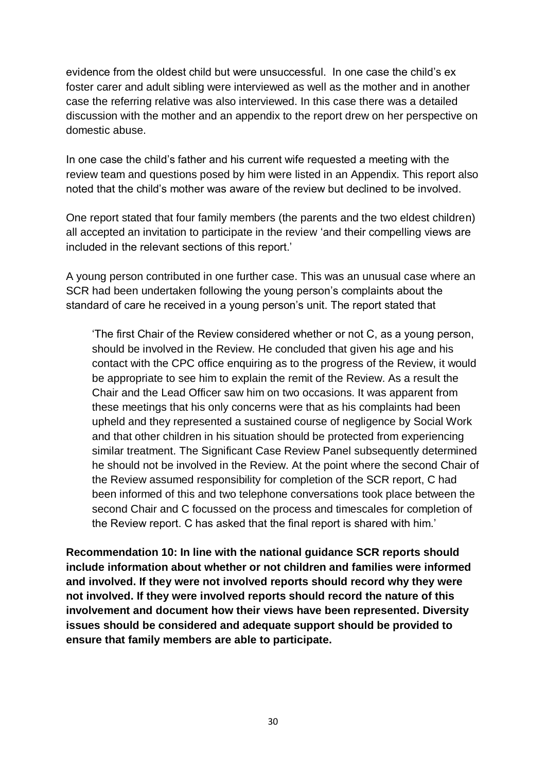evidence from the oldest child but were unsuccessful. In one case the child's ex foster carer and adult sibling were interviewed as well as the mother and in another case the referring relative was also interviewed. In this case there was a detailed discussion with the mother and an appendix to the report drew on her perspective on domestic abuse.

In one case the child's father and his current wife requested a meeting with the review team and questions posed by him were listed in an Appendix. This report also noted that the child's mother was aware of the review but declined to be involved.

One report stated that four family members (the parents and the two eldest children) all accepted an invitation to participate in the review 'and their compelling views are included in the relevant sections of this report.'

A young person contributed in one further case. This was an unusual case where an SCR had been undertaken following the young person's complaints about the standard of care he received in a young person's unit. The report stated that

'The first Chair of the Review considered whether or not C, as a young person, should be involved in the Review. He concluded that given his age and his contact with the CPC office enquiring as to the progress of the Review, it would be appropriate to see him to explain the remit of the Review. As a result the Chair and the Lead Officer saw him on two occasions. It was apparent from these meetings that his only concerns were that as his complaints had been upheld and they represented a sustained course of negligence by Social Work and that other children in his situation should be protected from experiencing similar treatment. The Significant Case Review Panel subsequently determined he should not be involved in the Review. At the point where the second Chair of the Review assumed responsibility for completion of the SCR report, C had been informed of this and two telephone conversations took place between the second Chair and C focussed on the process and timescales for completion of the Review report. C has asked that the final report is shared with him.'

**Recommendation 10: In line with the national guidance SCR reports should include information about whether or not children and families were informed and involved. If they were not involved reports should record why they were not involved. If they were involved reports should record the nature of this involvement and document how their views have been represented. Diversity issues should be considered and adequate support should be provided to ensure that family members are able to participate.**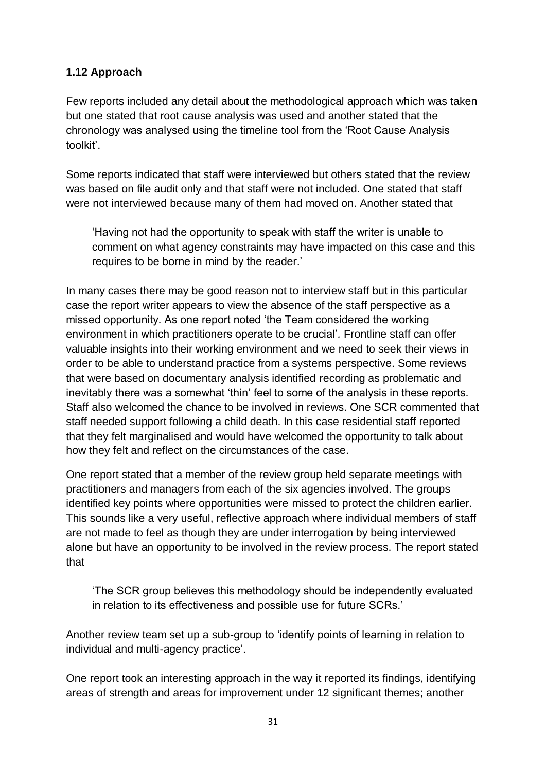## **1.12 Approach**

Few reports included any detail about the methodological approach which was taken but one stated that root cause analysis was used and another stated that the chronology was analysed using the timeline tool from the 'Root Cause Analysis toolkit'.

Some reports indicated that staff were interviewed but others stated that the review was based on file audit only and that staff were not included. One stated that staff were not interviewed because many of them had moved on. Another stated that

'Having not had the opportunity to speak with staff the writer is unable to comment on what agency constraints may have impacted on this case and this requires to be borne in mind by the reader.'

In many cases there may be good reason not to interview staff but in this particular case the report writer appears to view the absence of the staff perspective as a missed opportunity. As one report noted 'the Team considered the working environment in which practitioners operate to be crucial'*.* Frontline staff can offer valuable insights into their working environment and we need to seek their views in order to be able to understand practice from a systems perspective. Some reviews that were based on documentary analysis identified recording as problematic and inevitably there was a somewhat 'thin' feel to some of the analysis in these reports. Staff also welcomed the chance to be involved in reviews. One SCR commented that staff needed support following a child death. In this case residential staff reported that they felt marginalised and would have welcomed the opportunity to talk about how they felt and reflect on the circumstances of the case.

One report stated that a member of the review group held separate meetings with practitioners and managers from each of the six agencies involved. The groups identified key points where opportunities were missed to protect the children earlier. This sounds like a very useful, reflective approach where individual members of staff are not made to feel as though they are under interrogation by being interviewed alone but have an opportunity to be involved in the review process. The report stated that

'The SCR group believes this methodology should be independently evaluated in relation to its effectiveness and possible use for future SCRs.'

Another review team set up a sub-group to 'identify points of learning in relation to individual and multi-agency practice'.

One report took an interesting approach in the way it reported its findings, identifying areas of strength and areas for improvement under 12 significant themes; another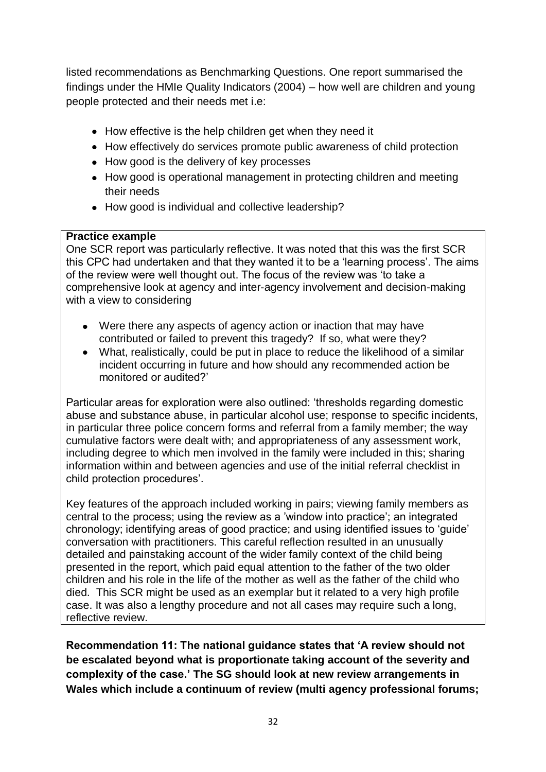listed recommendations as Benchmarking Questions. One report summarised the findings under the HMIe Quality Indicators (2004) – how well are children and young people protected and their needs met i.e:

- How effective is the help children get when they need it
- How effectively do services promote public awareness of child protection
- How good is the delivery of key processes
- How good is operational management in protecting children and meeting their needs
- How good is individual and collective leadership?

#### **Practice example**

One SCR report was particularly reflective. It was noted that this was the first SCR this CPC had undertaken and that they wanted it to be a 'learning process'. The aims of the review were well thought out. The focus of the review was 'to take a comprehensive look at agency and inter-agency involvement and decision-making with a view to considering

- Were there any aspects of agency action or inaction that may have contributed or failed to prevent this tragedy? If so, what were they?
- What, realistically, could be put in place to reduce the likelihood of a similar incident occurring in future and how should any recommended action be monitored or audited?'

Particular areas for exploration were also outlined: 'thresholds regarding domestic abuse and substance abuse, in particular alcohol use; response to specific incidents, in particular three police concern forms and referral from a family member; the way cumulative factors were dealt with; and appropriateness of any assessment work, including degree to which men involved in the family were included in this; sharing information within and between agencies and use of the initial referral checklist in child protection procedures'.

Key features of the approach included working in pairs; viewing family members as central to the process; using the review as a 'window into practice'; an integrated chronology; identifying areas of good practice; and using identified issues to 'guide' conversation with practitioners. This careful reflection resulted in an unusually detailed and painstaking account of the wider family context of the child being presented in the report, which paid equal attention to the father of the two older children and his role in the life of the mother as well as the father of the child who died. This SCR might be used as an exemplar but it related to a very high profile case. It was also a lengthy procedure and not all cases may require such a long, reflective review.

**Recommendation 11: The national guidance states that 'A review should not be escalated beyond what is proportionate taking account of the severity and complexity of the case.' The SG should look at new review arrangements in Wales which include a continuum of review (multi agency professional forums;**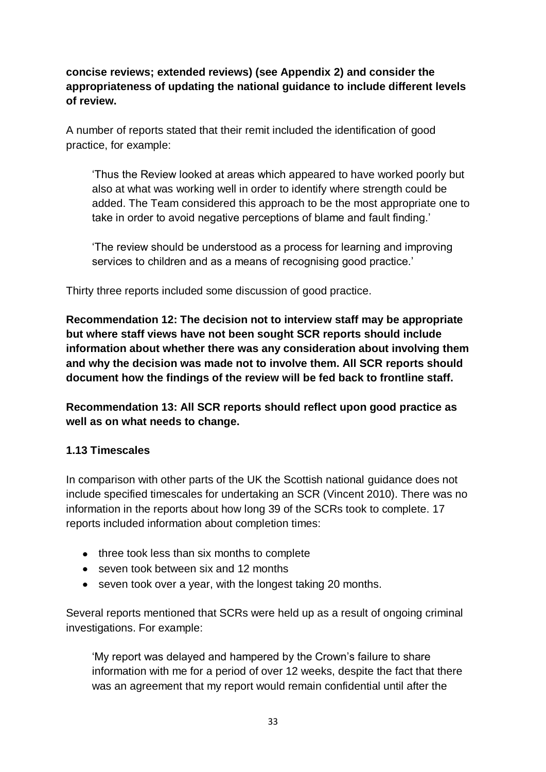**concise reviews; extended reviews) (see Appendix 2) and consider the appropriateness of updating the national guidance to include different levels of review.**

A number of reports stated that their remit included the identification of good practice, for example:

'Thus the Review looked at areas which appeared to have worked poorly but also at what was working well in order to identify where strength could be added. The Team considered this approach to be the most appropriate one to take in order to avoid negative perceptions of blame and fault finding.'

'The review should be understood as a process for learning and improving services to children and as a means of recognising good practice.'

Thirty three reports included some discussion of good practice.

**Recommendation 12: The decision not to interview staff may be appropriate but where staff views have not been sought SCR reports should include information about whether there was any consideration about involving them and why the decision was made not to involve them. All SCR reports should document how the findings of the review will be fed back to frontline staff.**

**Recommendation 13: All SCR reports should reflect upon good practice as well as on what needs to change.** 

# **1.13 Timescales**

In comparison with other parts of the UK the Scottish national guidance does not include specified timescales for undertaking an SCR (Vincent 2010). There was no information in the reports about how long 39 of the SCRs took to complete. 17 reports included information about completion times:

- three took less than six months to complete
- seven took between six and 12 months
- seven took over a year, with the longest taking 20 months.

Several reports mentioned that SCRs were held up as a result of ongoing criminal investigations. For example:

'My report was delayed and hampered by the Crown's failure to share information with me for a period of over 12 weeks, despite the fact that there was an agreement that my report would remain confidential until after the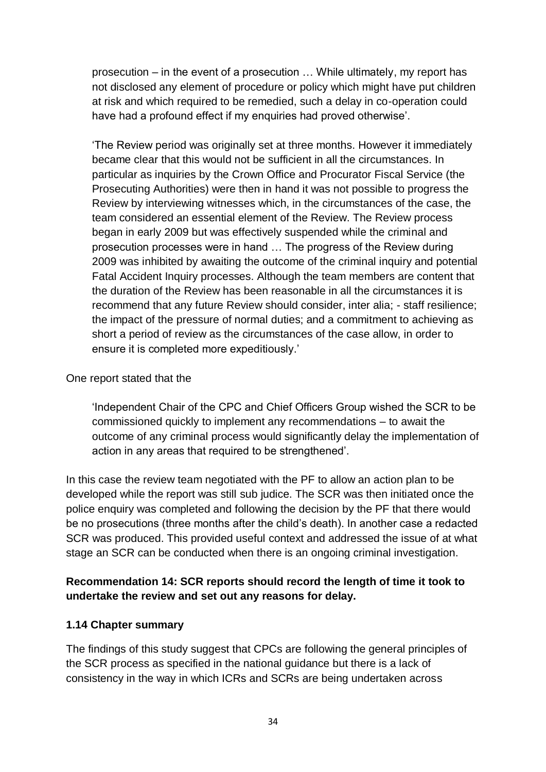prosecution – in the event of a prosecution … While ultimately, my report has not disclosed any element of procedure or policy which might have put children at risk and which required to be remedied, such a delay in co-operation could have had a profound effect if my enquiries had proved otherwise'.

'The Review period was originally set at three months. However it immediately became clear that this would not be sufficient in all the circumstances. In particular as inquiries by the Crown Office and Procurator Fiscal Service (the Prosecuting Authorities) were then in hand it was not possible to progress the Review by interviewing witnesses which, in the circumstances of the case, the team considered an essential element of the Review. The Review process began in early 2009 but was effectively suspended while the criminal and prosecution processes were in hand … The progress of the Review during 2009 was inhibited by awaiting the outcome of the criminal inquiry and potential Fatal Accident Inquiry processes. Although the team members are content that the duration of the Review has been reasonable in all the circumstances it is recommend that any future Review should consider, inter alia; - staff resilience; the impact of the pressure of normal duties; and a commitment to achieving as short a period of review as the circumstances of the case allow, in order to ensure it is completed more expeditiously.'

#### One report stated that the

'Independent Chair of the CPC and Chief Officers Group wished the SCR to be commissioned quickly to implement any recommendations – to await the outcome of any criminal process would significantly delay the implementation of action in any areas that required to be strengthened'.

In this case the review team negotiated with the PF to allow an action plan to be developed while the report was still sub judice. The SCR was then initiated once the police enquiry was completed and following the decision by the PF that there would be no prosecutions (three months after the child's death). In another case a redacted SCR was produced. This provided useful context and addressed the issue of at what stage an SCR can be conducted when there is an ongoing criminal investigation.

## **Recommendation 14: SCR reports should record the length of time it took to undertake the review and set out any reasons for delay.**

#### **1.14 Chapter summary**

The findings of this study suggest that CPCs are following the general principles of the SCR process as specified in the national guidance but there is a lack of consistency in the way in which ICRs and SCRs are being undertaken across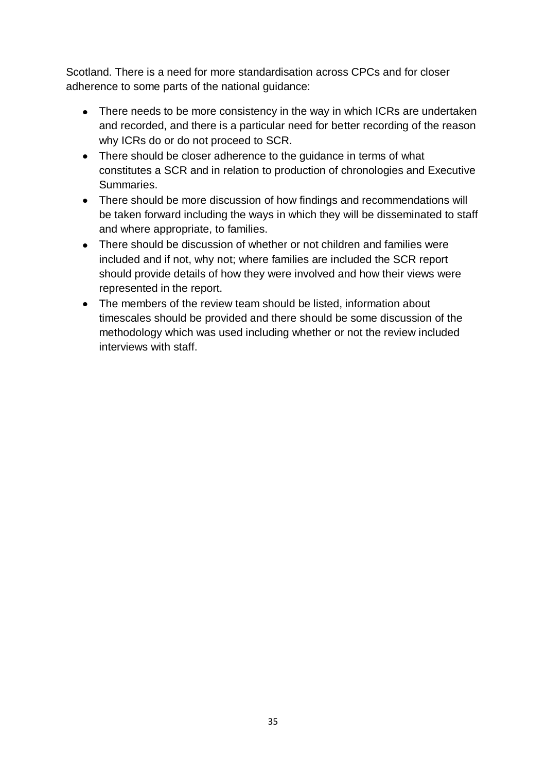Scotland. There is a need for more standardisation across CPCs and for closer adherence to some parts of the national guidance:

- There needs to be more consistency in the way in which ICRs are undertaken and recorded, and there is a particular need for better recording of the reason why ICRs do or do not proceed to SCR.
- There should be closer adherence to the quidance in terms of what constitutes a SCR and in relation to production of chronologies and Executive Summaries.
- There should be more discussion of how findings and recommendations will be taken forward including the ways in which they will be disseminated to staff and where appropriate, to families.
- There should be discussion of whether or not children and families were included and if not, why not; where families are included the SCR report should provide details of how they were involved and how their views were represented in the report.
- The members of the review team should be listed, information about timescales should be provided and there should be some discussion of the methodology which was used including whether or not the review included interviews with staff.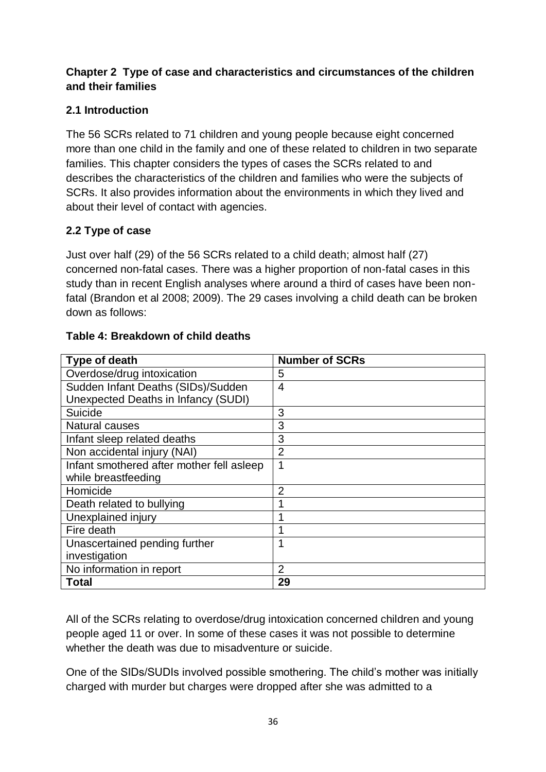# **Chapter 2 Type of case and characteristics and circumstances of the children and their families**

# **2.1 Introduction**

The 56 SCRs related to 71 children and young people because eight concerned more than one child in the family and one of these related to children in two separate families. This chapter considers the types of cases the SCRs related to and describes the characteristics of the children and families who were the subjects of SCRs. It also provides information about the environments in which they lived and about their level of contact with agencies.

# **2.2 Type of case**

Just over half (29) of the 56 SCRs related to a child death; almost half (27) concerned non-fatal cases. There was a higher proportion of non-fatal cases in this study than in recent English analyses where around a third of cases have been nonfatal (Brandon et al 2008; 2009). The 29 cases involving a child death can be broken down as follows:

| Type of death                              | <b>Number of SCRs</b> |
|--------------------------------------------|-----------------------|
| Overdose/drug intoxication                 | 5                     |
| Sudden Infant Deaths (SIDs)/Sudden         | 4                     |
| <b>Unexpected Deaths in Infancy (SUDI)</b> |                       |
| Suicide                                    | 3                     |
| Natural causes                             | 3                     |
| Infant sleep related deaths                | 3                     |
| Non accidental injury (NAI)                | 2                     |
| Infant smothered after mother fell asleep  | 1                     |
| while breastfeeding                        |                       |
| Homicide                                   | $\overline{2}$        |
| Death related to bullying                  |                       |
| Unexplained injury                         |                       |
| Fire death                                 | 1                     |
| Unascertained pending further              | 1                     |
| investigation                              |                       |
| No information in report                   | $\overline{2}$        |
| <b>Total</b>                               | 29                    |

## **Table 4: Breakdown of child deaths**

All of the SCRs relating to overdose/drug intoxication concerned children and young people aged 11 or over. In some of these cases it was not possible to determine whether the death was due to misadventure or suicide.

One of the SIDs/SUDIs involved possible smothering. The child's mother was initially charged with murder but charges were dropped after she was admitted to a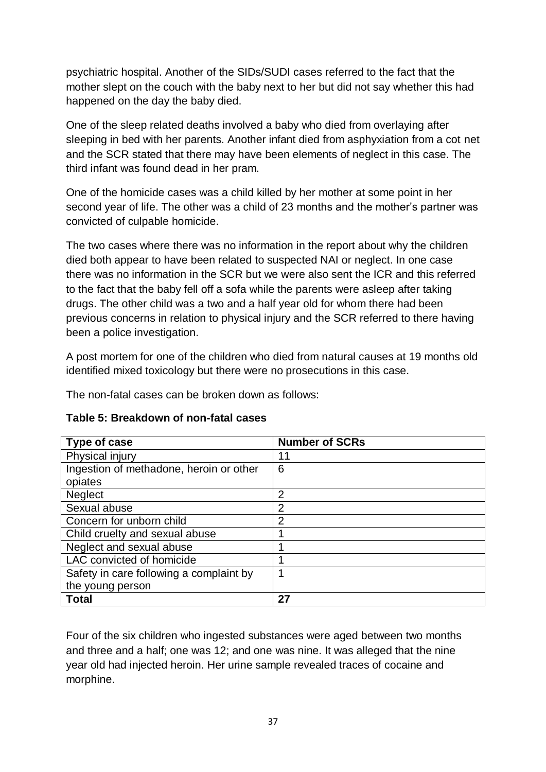psychiatric hospital. Another of the SIDs/SUDI cases referred to the fact that the mother slept on the couch with the baby next to her but did not say whether this had happened on the day the baby died.

One of the sleep related deaths involved a baby who died from overlaying after sleeping in bed with her parents. Another infant died from asphyxiation from a cot net and the SCR stated that there may have been elements of neglect in this case. The third infant was found dead in her pram.

One of the homicide cases was a child killed by her mother at some point in her second year of life. The other was a child of 23 months and the mother's partner was convicted of culpable homicide.

The two cases where there was no information in the report about why the children died both appear to have been related to suspected NAI or neglect. In one case there was no information in the SCR but we were also sent the ICR and this referred to the fact that the baby fell off a sofa while the parents were asleep after taking drugs. The other child was a two and a half year old for whom there had been previous concerns in relation to physical injury and the SCR referred to there having been a police investigation.

A post mortem for one of the children who died from natural causes at 19 months old identified mixed toxicology but there were no prosecutions in this case.

The non-fatal cases can be broken down as follows:

| Type of case                            | <b>Number of SCRs</b> |
|-----------------------------------------|-----------------------|
| Physical injury                         | 11                    |
| Ingestion of methadone, heroin or other | 6                     |
| opiates                                 |                       |
| <b>Neglect</b>                          | 2                     |
| Sexual abuse                            | $\overline{2}$        |
| Concern for unborn child                | $\overline{2}$        |
| Child cruelty and sexual abuse          | 1                     |
| Neglect and sexual abuse                | и                     |
| LAC convicted of homicide               |                       |
| Safety in care following a complaint by | ◀                     |
| the young person                        |                       |
| <b>Total</b>                            | 27                    |

## **Table 5: Breakdown of non-fatal cases**

Four of the six children who ingested substances were aged between two months and three and a half; one was 12; and one was nine. It was alleged that the nine year old had injected heroin. Her urine sample revealed traces of cocaine and morphine.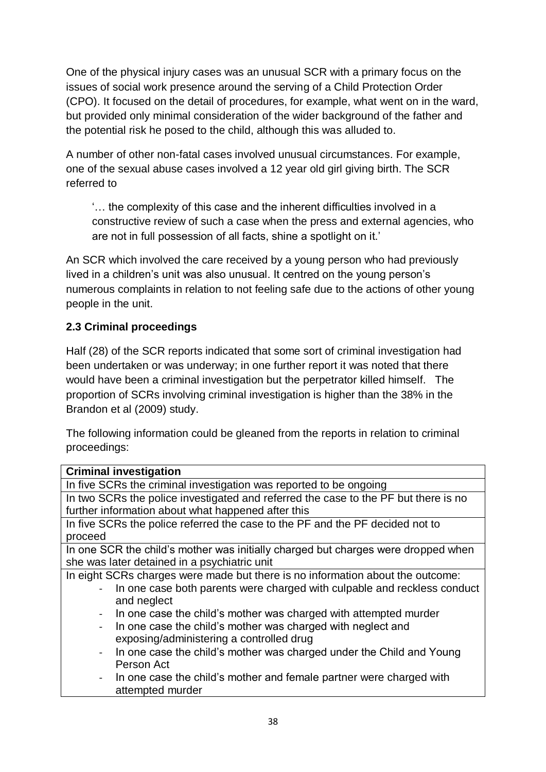One of the physical injury cases was an unusual SCR with a primary focus on the issues of social work presence around the serving of a Child Protection Order (CPO). It focused on the detail of procedures, for example, what went on in the ward, but provided only minimal consideration of the wider background of the father and the potential risk he posed to the child, although this was alluded to.

A number of other non-fatal cases involved unusual circumstances. For example, one of the sexual abuse cases involved a 12 year old girl giving birth. The SCR referred to

'… the complexity of this case and the inherent difficulties involved in a constructive review of such a case when the press and external agencies, who are not in full possession of all facts, shine a spotlight on it.'

An SCR which involved the care received by a young person who had previously lived in a children's unit was also unusual. It centred on the young person's numerous complaints in relation to not feeling safe due to the actions of other young people in the unit.

# **2.3 Criminal proceedings**

Half (28) of the SCR reports indicated that some sort of criminal investigation had been undertaken or was underway; in one further report it was noted that there would have been a criminal investigation but the perpetrator killed himself. The proportion of SCRs involving criminal investigation is higher than the 38% in the Brandon et al (2009) study.

The following information could be gleaned from the reports in relation to criminal proceedings:

| <b>Criminal investigation</b>                                                       |
|-------------------------------------------------------------------------------------|
| In five SCRs the criminal investigation was reported to be ongoing                  |
| In two SCRs the police investigated and referred the case to the PF but there is no |
| further information about what happened after this                                  |
| In five SCRs the police referred the case to the PF and the PF decided not to       |
| proceed                                                                             |
| In one SCR the child's mother was initially charged but charges were dropped when   |
| she was later detained in a psychiatric unit                                        |
| In eight SCRs charges were made but there is no information about the outcome:      |
| In one case both parents were charged with culpable and reckless conduct            |
| and neglect                                                                         |
| In one case the child's mother was charged with attempted murder                    |
| In one case the child's mother was charged with neglect and                         |
| exposing/administering a controlled drug                                            |
| In one case the child's mother was charged under the Child and Young<br>$\sim$ .    |
| Person Act                                                                          |
| - In one case the child's mother and female partner were charged with               |
| attempted murder                                                                    |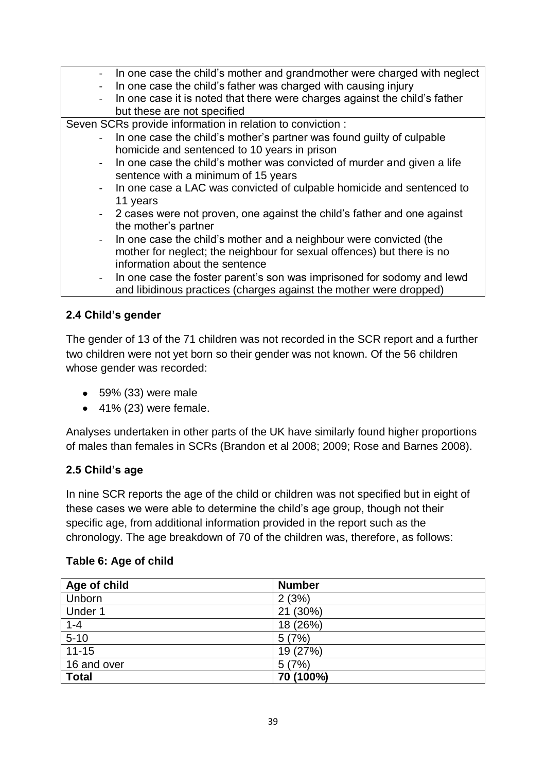| - In one case the child's mother and grandmother were charged with neglect   |
|------------------------------------------------------------------------------|
| In one case the child's father was charged with causing injury               |
| - In one case it is noted that there were charges against the child's father |
| but these are not specified                                                  |
| Seven SCRs provide information in relation to conviction :                   |
| - In one case the child's mother's partner was found guilty of culpable      |
| homicide and sentenced to 10 years in prison                                 |
| - In one case the child's mother was convicted of murder and given a life    |
| sentence with a minimum of 15 years                                          |
| - In one case a LAC was convicted of culpable homicide and sentenced to      |
| 11 years                                                                     |
| - 2 cases were not proven, one against the child's father and one against    |
| the mother's partner                                                         |
| - In one case the child's mother and a neighbour were convicted (the         |
| mother for neglect; the neighbour for sexual offences) but there is no       |
| information about the sentence                                               |
| - In one case the foster parent's son was imprisoned for sodomy and lewd     |
| and libidinous practices (charges against the mother were dropped)           |
|                                                                              |

## **2.4 Child's gender**

The gender of 13 of the 71 children was not recorded in the SCR report and a further two children were not yet born so their gender was not known. Of the 56 children whose gender was recorded:

- 59% (33) were male
- $\bullet$  41% (23) were female.

Analyses undertaken in other parts of the UK have similarly found higher proportions of males than females in SCRs (Brandon et al 2008; 2009; Rose and Barnes 2008).

## **2.5 Child's age**

In nine SCR reports the age of the child or children was not specified but in eight of these cases we were able to determine the child's age group, though not their specific age, from additional information provided in the report such as the chronology. The age breakdown of 70 of the children was, therefore, as follows:

| Table 6: Age of child |  |  |
|-----------------------|--|--|
|                       |  |  |

| Age of child | <b>Number</b> |
|--------------|---------------|
| Unborn       | 2(3%)         |
| Under 1      | 21 (30%)      |
| $1 - 4$      | 18 (26%)      |
| $5 - 10$     | 5(7%)         |
| $11 - 15$    | 19 (27%)      |
| 16 and over  | 5(7%)         |
| <b>Total</b> | 70 (100%)     |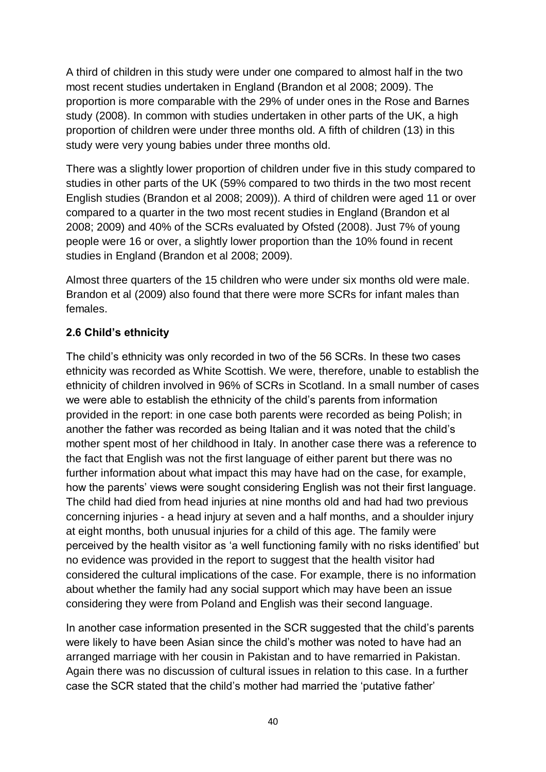A third of children in this study were under one compared to almost half in the two most recent studies undertaken in England (Brandon et al 2008; 2009). The proportion is more comparable with the 29% of under ones in the Rose and Barnes study (2008). In common with studies undertaken in other parts of the UK, a high proportion of children were under three months old. A fifth of children (13) in this study were very young babies under three months old.

There was a slightly lower proportion of children under five in this study compared to studies in other parts of the UK (59% compared to two thirds in the two most recent English studies (Brandon et al 2008; 2009)). A third of children were aged 11 or over compared to a quarter in the two most recent studies in England (Brandon et al 2008; 2009) and 40% of the SCRs evaluated by Ofsted (2008). Just 7% of young people were 16 or over, a slightly lower proportion than the 10% found in recent studies in England (Brandon et al 2008; 2009).

Almost three quarters of the 15 children who were under six months old were male. Brandon et al (2009) also found that there were more SCRs for infant males than females.

## **2.6 Child's ethnicity**

The child's ethnicity was only recorded in two of the 56 SCRs. In these two cases ethnicity was recorded as White Scottish. We were, therefore, unable to establish the ethnicity of children involved in 96% of SCRs in Scotland. In a small number of cases we were able to establish the ethnicity of the child's parents from information provided in the report: in one case both parents were recorded as being Polish; in another the father was recorded as being Italian and it was noted that the child's mother spent most of her childhood in Italy. In another case there was a reference to the fact that English was not the first language of either parent but there was no further information about what impact this may have had on the case, for example, how the parents' views were sought considering English was not their first language. The child had died from head injuries at nine months old and had had two previous concerning injuries - a head injury at seven and a half months, and a shoulder injury at eight months, both unusual injuries for a child of this age. The family were perceived by the health visitor as 'a well functioning family with no risks identified' but no evidence was provided in the report to suggest that the health visitor had considered the cultural implications of the case. For example, there is no information about whether the family had any social support which may have been an issue considering they were from Poland and English was their second language.

In another case information presented in the SCR suggested that the child's parents were likely to have been Asian since the child's mother was noted to have had an arranged marriage with her cousin in Pakistan and to have remarried in Pakistan. Again there was no discussion of cultural issues in relation to this case. In a further case the SCR stated that the child's mother had married the 'putative father'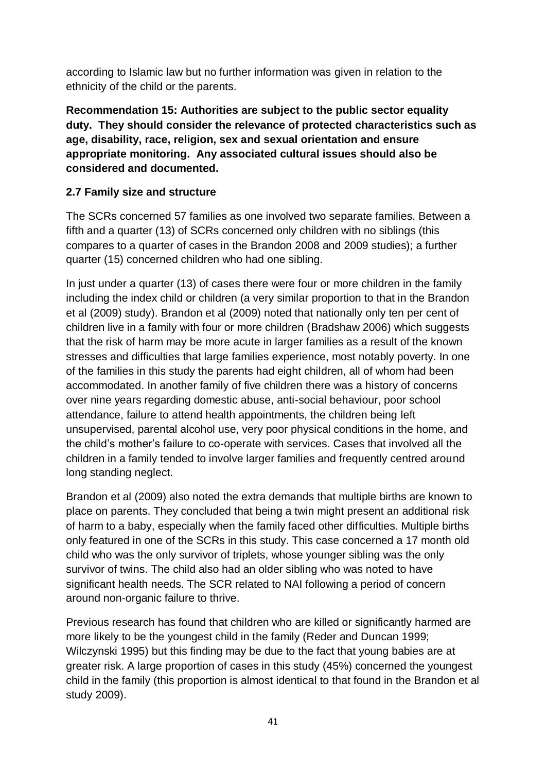according to Islamic law but no further information was given in relation to the ethnicity of the child or the parents.

**Recommendation 15: Authorities are subject to the public sector equality duty. They should consider the relevance of protected characteristics such as age, disability, race, religion, sex and sexual orientation and ensure appropriate monitoring. Any associated cultural issues should also be considered and documented.**

# **2.7 Family size and structure**

The SCRs concerned 57 families as one involved two separate families. Between a fifth and a quarter (13) of SCRs concerned only children with no siblings (this compares to a quarter of cases in the Brandon 2008 and 2009 studies); a further quarter (15) concerned children who had one sibling.

In just under a quarter (13) of cases there were four or more children in the family including the index child or children (a very similar proportion to that in the Brandon et al (2009) study). Brandon et al (2009) noted that nationally only ten per cent of children live in a family with four or more children (Bradshaw 2006) which suggests that the risk of harm may be more acute in larger families as a result of the known stresses and difficulties that large families experience, most notably poverty. In one of the families in this study the parents had eight children, all of whom had been accommodated. In another family of five children there was a history of concerns over nine years regarding domestic abuse, anti-social behaviour, poor school attendance, failure to attend health appointments, the children being left unsupervised, parental alcohol use, very poor physical conditions in the home, and the child's mother's failure to co-operate with services. Cases that involved all the children in a family tended to involve larger families and frequently centred around long standing neglect.

Brandon et al (2009) also noted the extra demands that multiple births are known to place on parents. They concluded that being a twin might present an additional risk of harm to a baby, especially when the family faced other difficulties. Multiple births only featured in one of the SCRs in this study. This case concerned a 17 month old child who was the only survivor of triplets, whose younger sibling was the only survivor of twins. The child also had an older sibling who was noted to have significant health needs. The SCR related to NAI following a period of concern around non-organic failure to thrive.

Previous research has found that children who are killed or significantly harmed are more likely to be the youngest child in the family (Reder and Duncan 1999; Wilczynski 1995) but this finding may be due to the fact that young babies are at greater risk. A large proportion of cases in this study (45%) concerned the youngest child in the family (this proportion is almost identical to that found in the Brandon et al study 2009).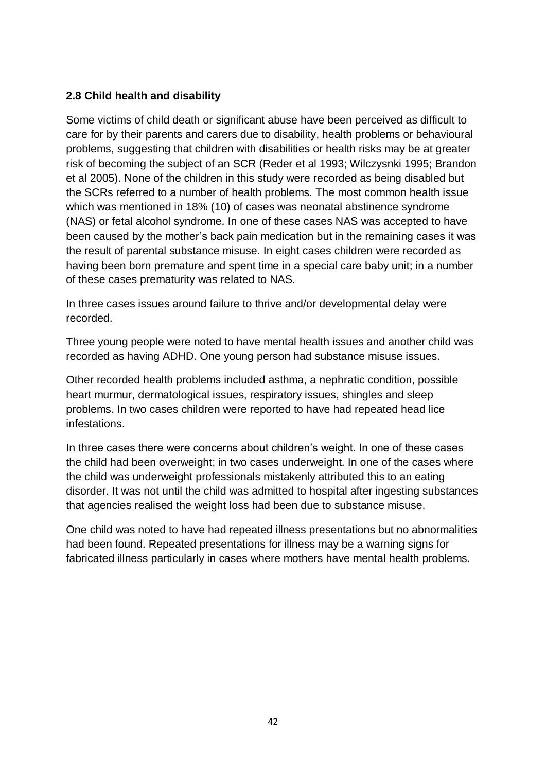### **2.8 Child health and disability**

Some victims of child death or significant abuse have been perceived as difficult to care for by their parents and carers due to disability, health problems or behavioural problems, suggesting that children with disabilities or health risks may be at greater risk of becoming the subject of an SCR (Reder et al 1993; Wilczysnki 1995; Brandon et al 2005). None of the children in this study were recorded as being disabled but the SCRs referred to a number of health problems. The most common health issue which was mentioned in 18% (10) of cases was neonatal abstinence syndrome (NAS) or fetal alcohol syndrome. In one of these cases NAS was accepted to have been caused by the mother's back pain medication but in the remaining cases it was the result of parental substance misuse. In eight cases children were recorded as having been born premature and spent time in a special care baby unit; in a number of these cases prematurity was related to NAS.

In three cases issues around failure to thrive and/or developmental delay were recorded.

Three young people were noted to have mental health issues and another child was recorded as having ADHD. One young person had substance misuse issues.

Other recorded health problems included asthma, a nephratic condition, possible heart murmur, dermatological issues, respiratory issues, shingles and sleep problems. In two cases children were reported to have had repeated head lice infestations.

In three cases there were concerns about children's weight. In one of these cases the child had been overweight; in two cases underweight. In one of the cases where the child was underweight professionals mistakenly attributed this to an eating disorder. It was not until the child was admitted to hospital after ingesting substances that agencies realised the weight loss had been due to substance misuse.

One child was noted to have had repeated illness presentations but no abnormalities had been found. Repeated presentations for illness may be a warning signs for fabricated illness particularly in cases where mothers have mental health problems.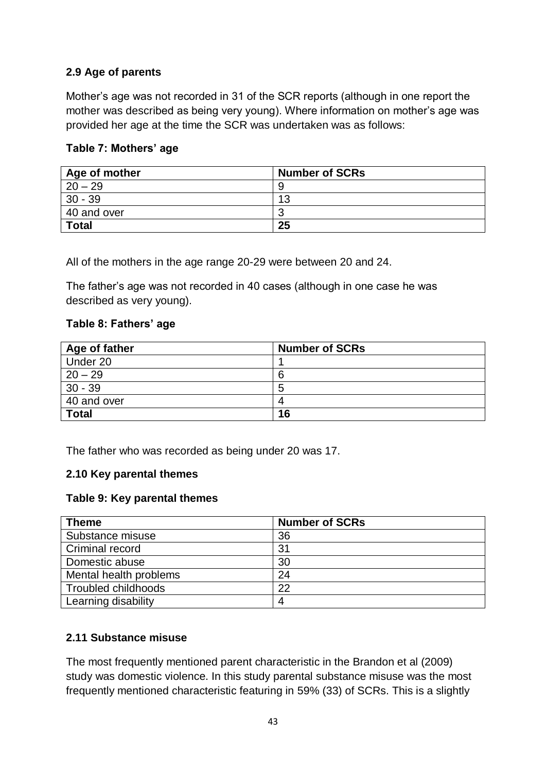## **2.9 Age of parents**

Mother's age was not recorded in 31 of the SCR reports (although in one report the mother was described as being very young). Where information on mother's age was provided her age at the time the SCR was undertaken was as follows:

### **Table 7: Mothers' age**

| Age of mother | <b>Number of SCRs</b> |
|---------------|-----------------------|
| $20 - 29$     | 9                     |
| $30 - 39$     | 13                    |
| 40 and over   | w                     |
| <b>Total</b>  | 25                    |

All of the mothers in the age range 20-29 were between 20 and 24.

The father's age was not recorded in 40 cases (although in one case he was described as very young).

#### **Table 8: Fathers' age**

| Age of father | <b>Number of SCRs</b> |
|---------------|-----------------------|
| Under 20      |                       |
| $20 - 29$     | 6                     |
| $30 - 39$     | 5                     |
| 40 and over   | 4                     |
| <b>Total</b>  | 16                    |

The father who was recorded as being under 20 was 17.

## **2.10 Key parental themes**

#### **Table 9: Key parental themes**

| <b>Theme</b>           | <b>Number of SCRs</b> |
|------------------------|-----------------------|
| Substance misuse       | 36                    |
| Criminal record        | 31                    |
| Domestic abuse         | 30                    |
| Mental health problems | 24                    |
| Troubled childhoods    | 22                    |
| Learning disability    | 4                     |

## **2.11 Substance misuse**

The most frequently mentioned parent characteristic in the Brandon et al (2009) study was domestic violence. In this study parental substance misuse was the most frequently mentioned characteristic featuring in 59% (33) of SCRs. This is a slightly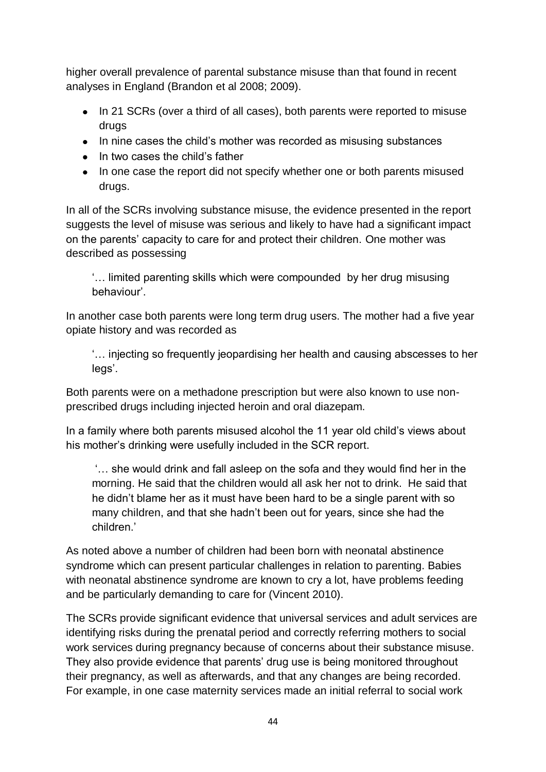higher overall prevalence of parental substance misuse than that found in recent analyses in England (Brandon et al 2008; 2009).

- In 21 SCRs (over a third of all cases), both parents were reported to misuse drugs
- In nine cases the child's mother was recorded as misusing substances
- In two cases the child's father
- In one case the report did not specify whether one or both parents misused drugs.

In all of the SCRs involving substance misuse, the evidence presented in the report suggests the level of misuse was serious and likely to have had a significant impact on the parents' capacity to care for and protect their children. One mother was described as possessing

'… limited parenting skills which were compounded by her drug misusing behaviour'.

In another case both parents were long term drug users. The mother had a five year opiate history and was recorded as

'… injecting so frequently jeopardising her health and causing abscesses to her legs'.

Both parents were on a methadone prescription but were also known to use nonprescribed drugs including injected heroin and oral diazepam.

In a family where both parents misused alcohol the 11 year old child's views about his mother's drinking were usefully included in the SCR report.

'… she would drink and fall asleep on the sofa and they would find her in the morning. He said that the children would all ask her not to drink. He said that he didn't blame her as it must have been hard to be a single parent with so many children, and that she hadn't been out for years, since she had the children.'

As noted above a number of children had been born with neonatal abstinence syndrome which can present particular challenges in relation to parenting. Babies with neonatal abstinence syndrome are known to cry a lot, have problems feeding and be particularly demanding to care for (Vincent 2010).

The SCRs provide significant evidence that universal services and adult services are identifying risks during the prenatal period and correctly referring mothers to social work services during pregnancy because of concerns about their substance misuse. They also provide evidence that parents' drug use is being monitored throughout their pregnancy, as well as afterwards, and that any changes are being recorded. For example, in one case maternity services made an initial referral to social work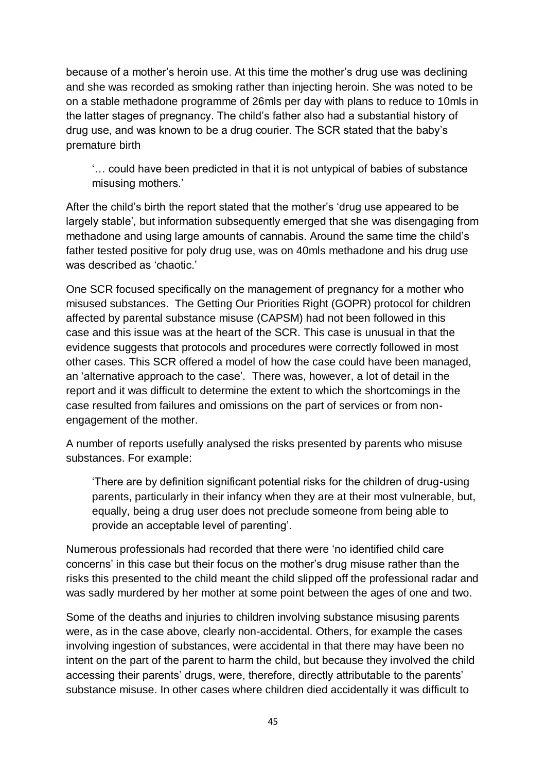because of a mother's heroin use. At this time the mother's drug use was declining and she was recorded as smoking rather than injecting heroin. She was noted to be on a stable methadone programme of 26mls per day with plans to reduce to 10mls in the latter stages of pregnancy. The child's father also had a substantial history of drug use, and was known to be a drug courier. The SCR stated that the baby's premature birth

'… could have been predicted in that it is not untypical of babies of substance misusing mothers.'

After the child's birth the report stated that the mother's 'drug use appeared to be largely stable'*,* but information subsequently emerged that she was disengaging from methadone and using large amounts of cannabis. Around the same time the child's father tested positive for poly drug use, was on 40mls methadone and his drug use was described as 'chaotic.'

One SCR focused specifically on the management of pregnancy for a mother who misused substances. The Getting Our Priorities Right (GOPR) protocol for children affected by parental substance misuse (CAPSM) had not been followed in this case and this issue was at the heart of the SCR. This case is unusual in that the evidence suggests that protocols and procedures were correctly followed in most other cases. This SCR offered a model of how the case could have been managed, an 'alternative approach to the case'*.* There was, however, a lot of detail in the report and it was difficult to determine the extent to which the shortcomings in the case resulted from failures and omissions on the part of services or from nonengagement of the mother.

A number of reports usefully analysed the risks presented by parents who misuse substances. For example:

'There are by definition significant potential risks for the children of drug-using parents, particularly in their infancy when they are at their most vulnerable, but, equally, being a drug user does not preclude someone from being able to provide an acceptable level of parenting'.

Numerous professionals had recorded that there were 'no identified child care concerns' in this case but their focus on the mother's drug misuse rather than the risks this presented to the child meant the child slipped off the professional radar and was sadly murdered by her mother at some point between the ages of one and two.

Some of the deaths and injuries to children involving substance misusing parents were, as in the case above, clearly non-accidental. Others, for example the cases involving ingestion of substances, were accidental in that there may have been no intent on the part of the parent to harm the child, but because they involved the child accessing their parents' drugs, were, therefore, directly attributable to the parents' substance misuse. In other cases where children died accidentally it was difficult to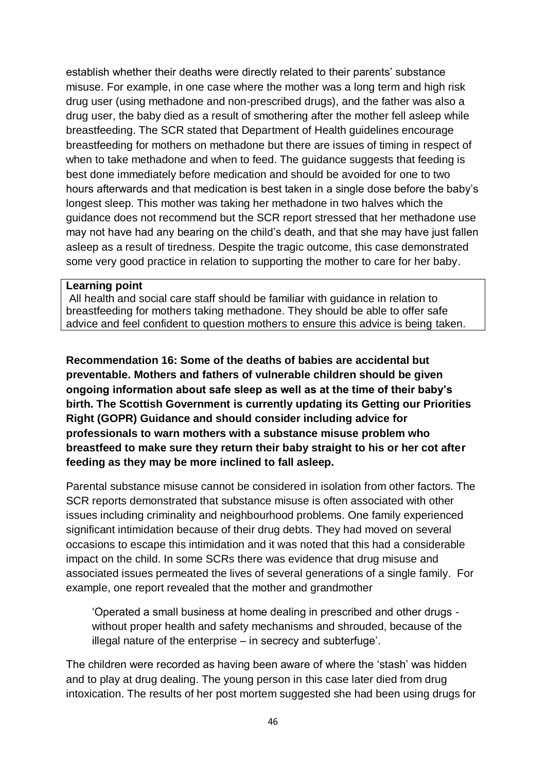establish whether their deaths were directly related to their parents' substance misuse. For example, in one case where the mother was a long term and high risk drug user (using methadone and non-prescribed drugs), and the father was also a drug user, the baby died as a result of smothering after the mother fell asleep while breastfeeding. The SCR stated that Department of Health guidelines encourage breastfeeding for mothers on methadone but there are issues of timing in respect of when to take methadone and when to feed. The guidance suggests that feeding is best done immediately before medication and should be avoided for one to two hours afterwards and that medication is best taken in a single dose before the baby's longest sleep. This mother was taking her methadone in two halves which the guidance does not recommend but the SCR report stressed that her methadone use may not have had any bearing on the child's death, and that she may have just fallen asleep as a result of tiredness. Despite the tragic outcome, this case demonstrated some very good practice in relation to supporting the mother to care for her baby.

#### **Learning point**

All health and social care staff should be familiar with guidance in relation to breastfeeding for mothers taking methadone. They should be able to offer safe advice and feel confident to question mothers to ensure this advice is being taken.

**Recommendation 16: Some of the deaths of babies are accidental but preventable. Mothers and fathers of vulnerable children should be given ongoing information about safe sleep as well as at the time of their baby's birth. The Scottish Government is currently updating its Getting our Priorities Right (GOPR) Guidance and should consider including advice for professionals to warn mothers with a substance misuse problem who breastfeed to make sure they return their baby straight to his or her cot after feeding as they may be more inclined to fall asleep.**

Parental substance misuse cannot be considered in isolation from other factors. The SCR reports demonstrated that substance misuse is often associated with other issues including criminality and neighbourhood problems. One family experienced significant intimidation because of their drug debts. They had moved on several occasions to escape this intimidation and it was noted that this had a considerable impact on the child. In some SCRs there was evidence that drug misuse and associated issues permeated the lives of several generations of a single family. For example, one report revealed that the mother and grandmother

'Operated a small business at home dealing in prescribed and other drugs without proper health and safety mechanisms and shrouded, because of the illegal nature of the enterprise – in secrecy and subterfuge'.

The children were recorded as having been aware of where the 'stash' was hidden and to play at drug dealing. The young person in this case later died from drug intoxication. The results of her post mortem suggested she had been using drugs for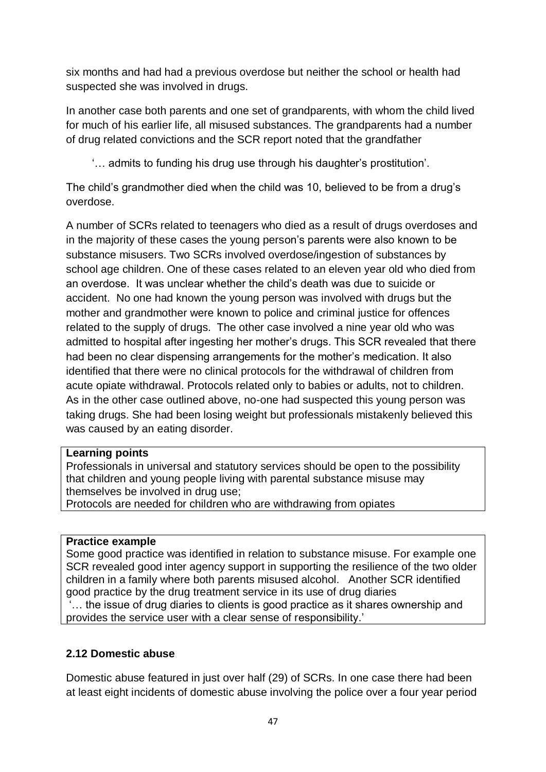six months and had had a previous overdose but neither the school or health had suspected she was involved in drugs.

In another case both parents and one set of grandparents, with whom the child lived for much of his earlier life, all misused substances. The grandparents had a number of drug related convictions and the SCR report noted that the grandfather

'… admits to funding his drug use through his daughter's prostitution'.

The child's grandmother died when the child was 10, believed to be from a drug's overdose.

A number of SCRs related to teenagers who died as a result of drugs overdoses and in the majority of these cases the young person's parents were also known to be substance misusers. Two SCRs involved overdose/ingestion of substances by school age children. One of these cases related to an eleven year old who died from an overdose. It was unclear whether the child's death was due to suicide or accident. No one had known the young person was involved with drugs but the mother and grandmother were known to police and criminal justice for offences related to the supply of drugs. The other case involved a nine year old who was admitted to hospital after ingesting her mother's drugs. This SCR revealed that there had been no clear dispensing arrangements for the mother's medication. It also identified that there were no clinical protocols for the withdrawal of children from acute opiate withdrawal. Protocols related only to babies or adults, not to children. As in the other case outlined above, no-one had suspected this young person was taking drugs. She had been losing weight but professionals mistakenly believed this was caused by an eating disorder.

## **Learning points**

Professionals in universal and statutory services should be open to the possibility that children and young people living with parental substance misuse may themselves be involved in drug use;

Protocols are needed for children who are withdrawing from opiates

#### **Practice example**

Some good practice was identified in relation to substance misuse. For example one SCR revealed good inter agency support in supporting the resilience of the two older children in a family where both parents misused alcohol. Another SCR identified good practice by the drug treatment service in its use of drug diaries ... the issue of drug diaries to clients is good practice as it shares ownership and provides the service user with a clear sense of responsibility.'

## **2.12 Domestic abuse**

Domestic abuse featured in just over half (29) of SCRs. In one case there had been at least eight incidents of domestic abuse involving the police over a four year period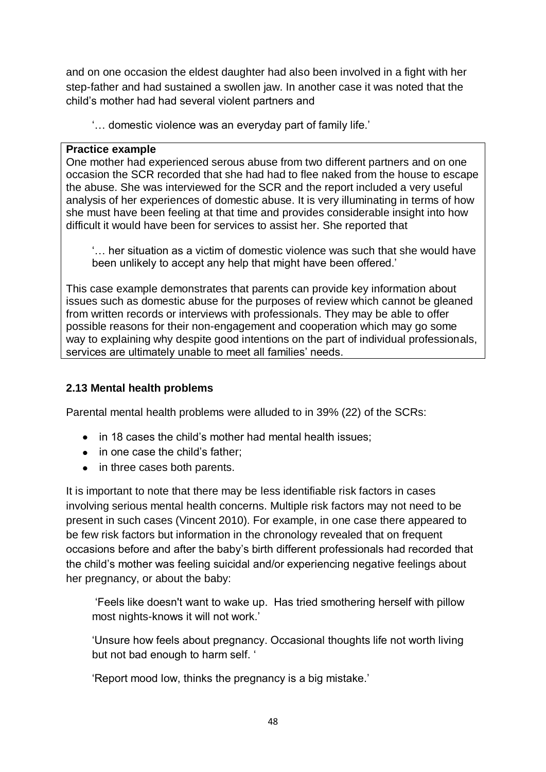and on one occasion the eldest daughter had also been involved in a fight with her step-father and had sustained a swollen jaw. In another case it was noted that the child's mother had had several violent partners and

'… domestic violence was an everyday part of family life.'

#### **Practice example**

One mother had experienced serous abuse from two different partners and on one occasion the SCR recorded that she had had to flee naked from the house to escape the abuse. She was interviewed for the SCR and the report included a very useful analysis of her experiences of domestic abuse. It is very illuminating in terms of how she must have been feeling at that time and provides considerable insight into how difficult it would have been for services to assist her. She reported that

'… her situation as a victim of domestic violence was such that she would have been unlikely to accept any help that might have been offered.'

This case example demonstrates that parents can provide key information about issues such as domestic abuse for the purposes of review which cannot be gleaned from written records or interviews with professionals. They may be able to offer possible reasons for their non-engagement and cooperation which may go some way to explaining why despite good intentions on the part of individual professionals, services are ultimately unable to meet all families' needs.

### **2.13 Mental health problems**

Parental mental health problems were alluded to in 39% (22) of the SCRs:

- in 18 cases the child's mother had mental health issues:
- in one case the child's father;
- in three cases both parents.

It is important to note that there may be less identifiable risk factors in cases involving serious mental health concerns. Multiple risk factors may not need to be present in such cases (Vincent 2010). For example, in one case there appeared to be few risk factors but information in the chronology revealed that on frequent occasions before and after the baby's birth different professionals had recorded that the child's mother was feeling suicidal and/or experiencing negative feelings about her pregnancy, or about the baby:

'Feels like doesn't want to wake up. Has tried smothering herself with pillow most nights-knows it will not work.'

'Unsure how feels about pregnancy. Occasional thoughts life not worth living but not bad enough to harm self. '

'Report mood low, thinks the pregnancy is a big mistake.'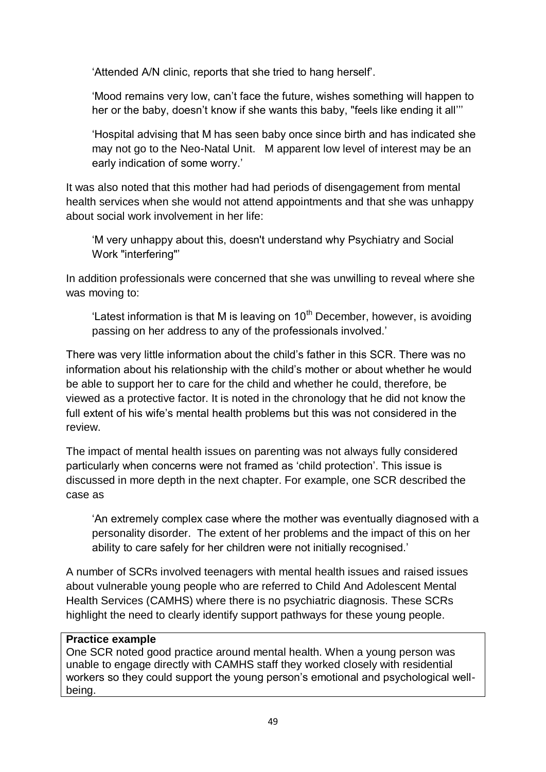'Attended A/N clinic, reports that she tried to hang herself'.

'Mood remains very low, can't face the future, wishes something will happen to her or the baby, doesn't know if she wants this baby, "feels like ending it all'''

'Hospital advising that M has seen baby once since birth and has indicated she may not go to the Neo-Natal Unit. M apparent low level of interest may be an early indication of some worry.'

It was also noted that this mother had had periods of disengagement from mental health services when she would not attend appointments and that she was unhappy about social work involvement in her life:

'M very unhappy about this, doesn't understand why Psychiatry and Social Work "interfering"'

In addition professionals were concerned that she was unwilling to reveal where she was moving to:

'Latest information is that M is leaving on  $10<sup>th</sup>$  December, however, is avoiding passing on her address to any of the professionals involved.'

There was very little information about the child's father in this SCR. There was no information about his relationship with the child's mother or about whether he would be able to support her to care for the child and whether he could, therefore, be viewed as a protective factor. It is noted in the chronology that he did not know the full extent of his wife's mental health problems but this was not considered in the review.

The impact of mental health issues on parenting was not always fully considered particularly when concerns were not framed as 'child protection'. This issue is discussed in more depth in the next chapter. For example, one SCR described the case as

'An extremely complex case where the mother was eventually diagnosed with a personality disorder. The extent of her problems and the impact of this on her ability to care safely for her children were not initially recognised.'

A number of SCRs involved teenagers with mental health issues and raised issues about vulnerable young people who are referred to Child And Adolescent Mental Health Services (CAMHS) where there is no psychiatric diagnosis. These SCRs highlight the need to clearly identify support pathways for these young people.

## **Practice example**

One SCR noted good practice around mental health. When a young person was unable to engage directly with CAMHS staff they worked closely with residential workers so they could support the young person's emotional and psychological wellbeing.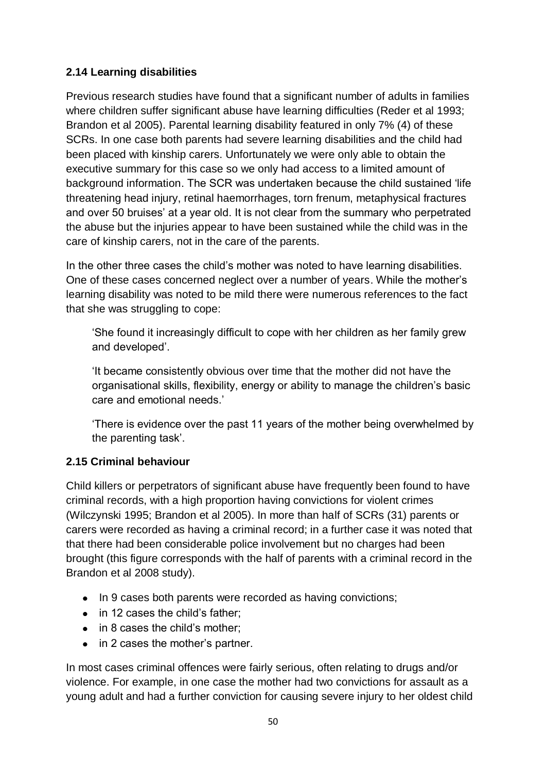## **2.14 Learning disabilities**

Previous research studies have found that a significant number of adults in families where children suffer significant abuse have learning difficulties (Reder et al 1993; Brandon et al 2005). Parental learning disability featured in only 7% (4) of these SCRs. In one case both parents had severe learning disabilities and the child had been placed with kinship carers. Unfortunately we were only able to obtain the executive summary for this case so we only had access to a limited amount of background information. The SCR was undertaken because the child sustained 'life threatening head injury, retinal haemorrhages, torn frenum, metaphysical fractures and over 50 bruises' at a year old. It is not clear from the summary who perpetrated the abuse but the injuries appear to have been sustained while the child was in the care of kinship carers, not in the care of the parents.

In the other three cases the child's mother was noted to have learning disabilities. One of these cases concerned neglect over a number of years. While the mother's learning disability was noted to be mild there were numerous references to the fact that she was struggling to cope:

'She found it increasingly difficult to cope with her children as her family grew and developed'.

'It became consistently obvious over time that the mother did not have the organisational skills, flexibility, energy or ability to manage the children's basic care and emotional needs.'

'There is evidence over the past 11 years of the mother being overwhelmed by the parenting task'.

# **2.15 Criminal behaviour**

Child killers or perpetrators of significant abuse have frequently been found to have criminal records, with a high proportion having convictions for violent crimes (Wilczynski 1995; Brandon et al 2005). In more than half of SCRs (31) parents or carers were recorded as having a criminal record; in a further case it was noted that that there had been considerable police involvement but no charges had been brought (this figure corresponds with the half of parents with a criminal record in the Brandon et al 2008 study).

- In 9 cases both parents were recorded as having convictions;
- in 12 cases the child's father:
- in 8 cases the child's mother;
- in 2 cases the mother's partner.

In most cases criminal offences were fairly serious, often relating to drugs and/or violence. For example, in one case the mother had two convictions for assault as a young adult and had a further conviction for causing severe injury to her oldest child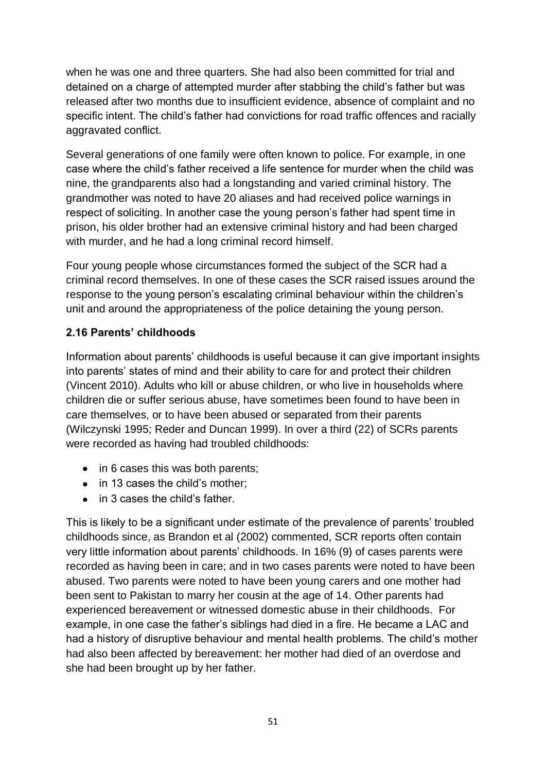when he was one and three quarters. She had also been committed for trial and detained on a charge of attempted murder after stabbing the child's father but was released after two months due to insufficient evidence, absence of complaint and no specific intent. The child's father had convictions for road traffic offences and racially aggravated conflict.

Several generations of one family were often known to police. For example, in one case where the child's father received a life sentence for murder when the child was nine, the grandparents also had a longstanding and varied criminal history. The grandmother was noted to have 20 aliases and had received police warnings in respect of soliciting. In another case the young person's father had spent time in prison, his older brother had an extensive criminal history and had been charged with murder, and he had a long criminal record himself.

Four young people whose circumstances formed the subject of the SCR had a criminal record themselves. In one of these cases the SCR raised issues around the response to the young person's escalating criminal behaviour within the children's unit and around the appropriateness of the police detaining the young person.

## **2.16 Parents' childhoods**

Information about parents' childhoods is useful because it can give important insights into parents' states of mind and their ability to care for and protect their children (Vincent 2010). Adults who kill or abuse children, or who live in households where children die or suffer serious abuse, have sometimes been found to have been in care themselves, or to have been abused or separated from their parents (Wilczynski 1995; Reder and Duncan 1999). In over a third (22) of SCRs parents were recorded as having had troubled childhoods:

- $\bullet$  in 6 cases this was both parents;
- in 13 cases the child's mother:
- in 3 cases the child's father.

This is likely to be a significant under estimate of the prevalence of parents' troubled childhoods since, as Brandon et al (2002) commented, SCR reports often contain very little information about parents' childhoods. In 16% (9) of cases parents were recorded as having been in care; and in two cases parents were noted to have been abused. Two parents were noted to have been young carers and one mother had been sent to Pakistan to marry her cousin at the age of 14. Other parents had experienced bereavement or witnessed domestic abuse in their childhoods. For example, in one case the father's siblings had died in a fire. He became a LAC and had a history of disruptive behaviour and mental health problems. The child's mother had also been affected by bereavement: her mother had died of an overdose and she had been brought up by her father.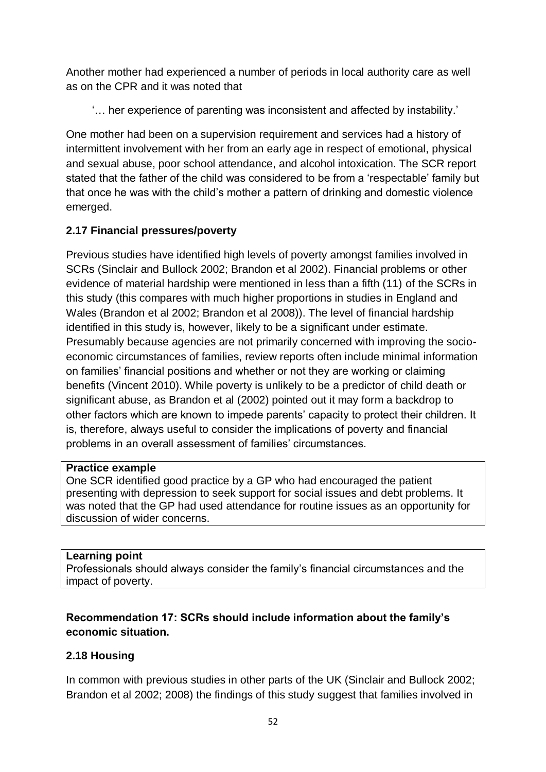Another mother had experienced a number of periods in local authority care as well as on the CPR and it was noted that

'… her experience of parenting was inconsistent and affected by instability.'

One mother had been on a supervision requirement and services had a history of intermittent involvement with her from an early age in respect of emotional, physical and sexual abuse, poor school attendance, and alcohol intoxication. The SCR report stated that the father of the child was considered to be from a 'respectable' family but that once he was with the child's mother a pattern of drinking and domestic violence emerged.

# **2.17 Financial pressures/poverty**

Previous studies have identified high levels of poverty amongst families involved in SCRs (Sinclair and Bullock 2002; Brandon et al 2002). Financial problems or other evidence of material hardship were mentioned in less than a fifth (11) of the SCRs in this study (this compares with much higher proportions in studies in England and Wales (Brandon et al 2002; Brandon et al 2008)). The level of financial hardship identified in this study is, however, likely to be a significant under estimate. Presumably because agencies are not primarily concerned with improving the socioeconomic circumstances of families, review reports often include minimal information on families' financial positions and whether or not they are working or claiming benefits (Vincent 2010). While poverty is unlikely to be a predictor of child death or significant abuse, as Brandon et al (2002) pointed out it may form a backdrop to other factors which are known to impede parents' capacity to protect their children. It is, therefore, always useful to consider the implications of poverty and financial problems in an overall assessment of families' circumstances.

#### **Practice example**

One SCR identified good practice by a GP who had encouraged the patient presenting with depression to seek support for social issues and debt problems. It was noted that the GP had used attendance for routine issues as an opportunity for discussion of wider concerns.

## **Learning point**

Professionals should always consider the family's financial circumstances and the impact of poverty.

# **Recommendation 17: SCRs should include information about the family's economic situation.**

# **2.18 Housing**

In common with previous studies in other parts of the UK (Sinclair and Bullock 2002; Brandon et al 2002; 2008) the findings of this study suggest that families involved in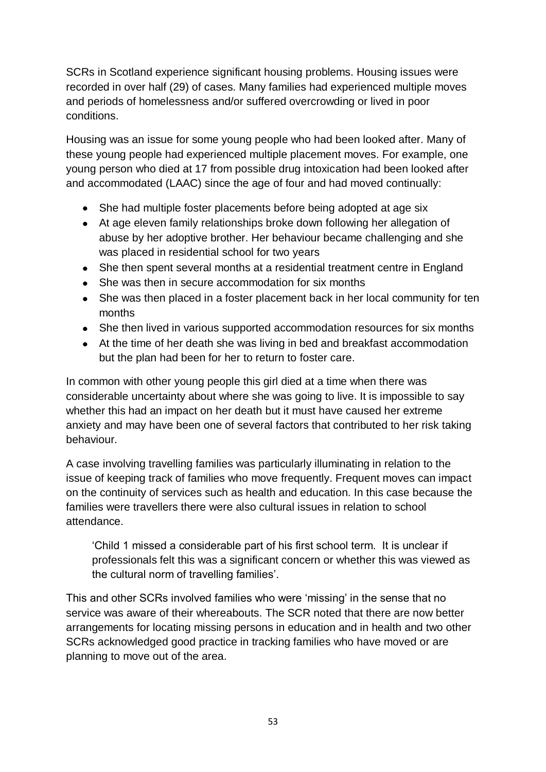SCRs in Scotland experience significant housing problems. Housing issues were recorded in over half (29) of cases. Many families had experienced multiple moves and periods of homelessness and/or suffered overcrowding or lived in poor conditions.

Housing was an issue for some young people who had been looked after. Many of these young people had experienced multiple placement moves. For example, one young person who died at 17 from possible drug intoxication had been looked after and accommodated (LAAC) since the age of four and had moved continually:

- She had multiple foster placements before being adopted at age six
- At age eleven family relationships broke down following her allegation of abuse by her adoptive brother. Her behaviour became challenging and she was placed in residential school for two years
- She then spent several months at a residential treatment centre in England
- She was then in secure accommodation for six months
- She was then placed in a foster placement back in her local community for ten months
- She then lived in various supported accommodation resources for six months
- At the time of her death she was living in bed and breakfast accommodation but the plan had been for her to return to foster care.

In common with other young people this girl died at a time when there was considerable uncertainty about where she was going to live. It is impossible to say whether this had an impact on her death but it must have caused her extreme anxiety and may have been one of several factors that contributed to her risk taking behaviour.

A case involving travelling families was particularly illuminating in relation to the issue of keeping track of families who move frequently. Frequent moves can impact on the continuity of services such as health and education. In this case because the families were travellers there were also cultural issues in relation to school attendance.

'Child 1 missed a considerable part of his first school term. It is unclear if professionals felt this was a significant concern or whether this was viewed as the cultural norm of travelling families'.

This and other SCRs involved families who were 'missing' in the sense that no service was aware of their whereabouts. The SCR noted that there are now better arrangements for locating missing persons in education and in health and two other SCRs acknowledged good practice in tracking families who have moved or are planning to move out of the area.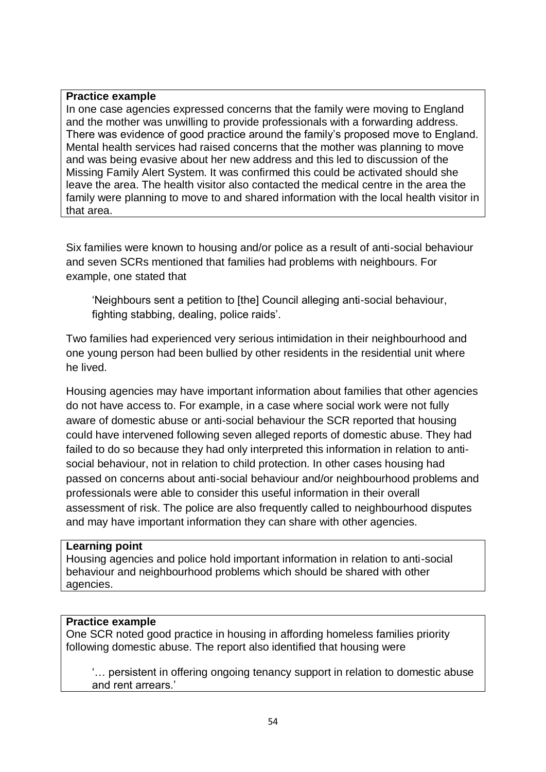#### **Practice example**

In one case agencies expressed concerns that the family were moving to England and the mother was unwilling to provide professionals with a forwarding address. There was evidence of good practice around the family's proposed move to England. Mental health services had raised concerns that the mother was planning to move and was being evasive about her new address and this led to discussion of the Missing Family Alert System. It was confirmed this could be activated should she leave the area. The health visitor also contacted the medical centre in the area the family were planning to move to and shared information with the local health visitor in that area.

Six families were known to housing and/or police as a result of anti-social behaviour and seven SCRs mentioned that families had problems with neighbours. For example, one stated that

'Neighbours sent a petition to [the] Council alleging anti-social behaviour, fighting stabbing, dealing, police raids'.

Two families had experienced very serious intimidation in their neighbourhood and one young person had been bullied by other residents in the residential unit where he lived.

Housing agencies may have important information about families that other agencies do not have access to. For example, in a case where social work were not fully aware of domestic abuse or anti-social behaviour the SCR reported that housing could have intervened following seven alleged reports of domestic abuse. They had failed to do so because they had only interpreted this information in relation to antisocial behaviour, not in relation to child protection. In other cases housing had passed on concerns about anti-social behaviour and/or neighbourhood problems and professionals were able to consider this useful information in their overall assessment of risk. The police are also frequently called to neighbourhood disputes and may have important information they can share with other agencies.

#### **Learning point**

Housing agencies and police hold important information in relation to anti-social behaviour and neighbourhood problems which should be shared with other agencies.

#### **Practice example**

One SCR noted good practice in housing in affording homeless families priority following domestic abuse. The report also identified that housing were

'… persistent in offering ongoing tenancy support in relation to domestic abuse and rent arrears.'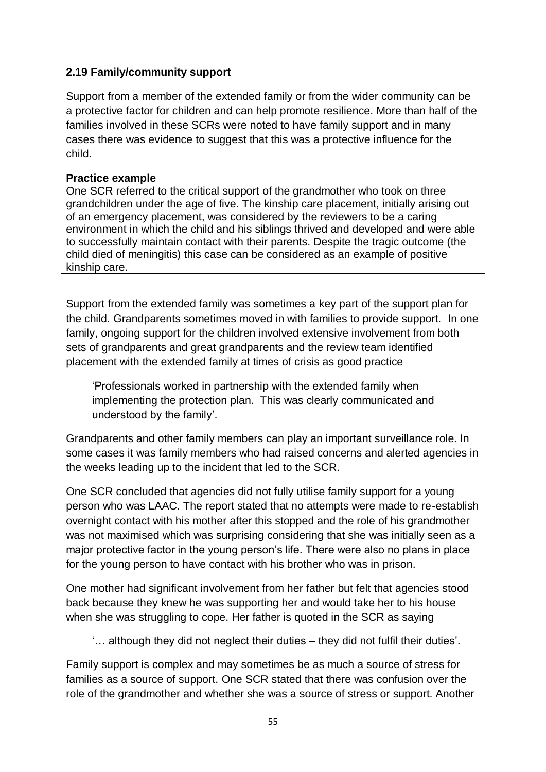## **2.19 Family/community support**

Support from a member of the extended family or from the wider community can be a protective factor for children and can help promote resilience. More than half of the families involved in these SCRs were noted to have family support and in many cases there was evidence to suggest that this was a protective influence for the child.

#### **Practice example**

One SCR referred to the critical support of the grandmother who took on three grandchildren under the age of five. The kinship care placement, initially arising out of an emergency placement, was considered by the reviewers to be a caring environment in which the child and his siblings thrived and developed and were able to successfully maintain contact with their parents. Despite the tragic outcome (the child died of meningitis) this case can be considered as an example of positive kinship care.

Support from the extended family was sometimes a key part of the support plan for the child. Grandparents sometimes moved in with families to provide support. In one family, ongoing support for the children involved extensive involvement from both sets of grandparents and great grandparents and the review team identified placement with the extended family at times of crisis as good practice

'Professionals worked in partnership with the extended family when implementing the protection plan. This was clearly communicated and understood by the family'.

Grandparents and other family members can play an important surveillance role. In some cases it was family members who had raised concerns and alerted agencies in the weeks leading up to the incident that led to the SCR.

One SCR concluded that agencies did not fully utilise family support for a young person who was LAAC. The report stated that no attempts were made to re-establish overnight contact with his mother after this stopped and the role of his grandmother was not maximised which was surprising considering that she was initially seen as a major protective factor in the young person's life. There were also no plans in place for the young person to have contact with his brother who was in prison.

One mother had significant involvement from her father but felt that agencies stood back because they knew he was supporting her and would take her to his house when she was struggling to cope. Her father is quoted in the SCR as saying

'… although they did not neglect their duties – they did not fulfil their duties'.

Family support is complex and may sometimes be as much a source of stress for families as a source of support. One SCR stated that there was confusion over the role of the grandmother and whether she was a source of stress or support. Another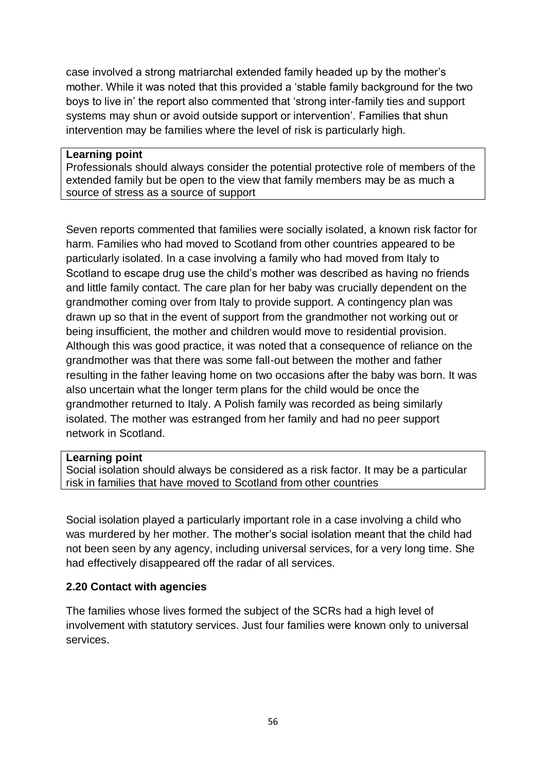case involved a strong matriarchal extended family headed up by the mother's mother. While it was noted that this provided a 'stable family background for the two boys to live in' the report also commented that 'strong inter-family ties and support systems may shun or avoid outside support or intervention'. Families that shun intervention may be families where the level of risk is particularly high.

#### **Learning point**

Professionals should always consider the potential protective role of members of the extended family but be open to the view that family members may be as much a source of stress as a source of support

Seven reports commented that families were socially isolated, a known risk factor for harm. Families who had moved to Scotland from other countries appeared to be particularly isolated. In a case involving a family who had moved from Italy to Scotland to escape drug use the child's mother was described as having no friends and little family contact. The care plan for her baby was crucially dependent on the grandmother coming over from Italy to provide support. A contingency plan was drawn up so that in the event of support from the grandmother not working out or being insufficient, the mother and children would move to residential provision. Although this was good practice, it was noted that a consequence of reliance on the grandmother was that there was some fall-out between the mother and father resulting in the father leaving home on two occasions after the baby was born. It was also uncertain what the longer term plans for the child would be once the grandmother returned to Italy. A Polish family was recorded as being similarly isolated. The mother was estranged from her family and had no peer support network in Scotland.

#### **Learning point**

Social isolation should always be considered as a risk factor. It may be a particular risk in families that have moved to Scotland from other countries

Social isolation played a particularly important role in a case involving a child who was murdered by her mother. The mother's social isolation meant that the child had not been seen by any agency, including universal services, for a very long time. She had effectively disappeared off the radar of all services.

## **2.20 Contact with agencies**

The families whose lives formed the subject of the SCRs had a high level of involvement with statutory services. Just four families were known only to universal services.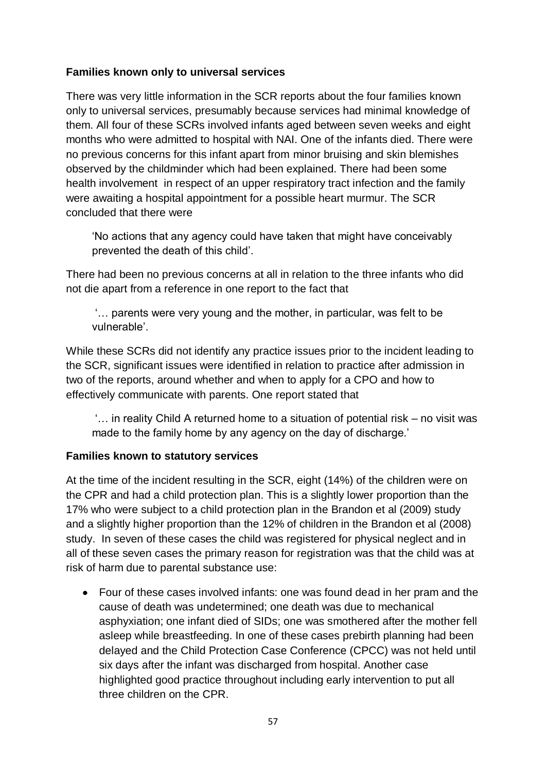## **Families known only to universal services**

There was very little information in the SCR reports about the four families known only to universal services, presumably because services had minimal knowledge of them. All four of these SCRs involved infants aged between seven weeks and eight months who were admitted to hospital with NAI. One of the infants died. There were no previous concerns for this infant apart from minor bruising and skin blemishes observed by the childminder which had been explained. There had been some health involvement in respect of an upper respiratory tract infection and the family were awaiting a hospital appointment for a possible heart murmur. The SCR concluded that there were

'No actions that any agency could have taken that might have conceivably prevented the death of this child'.

There had been no previous concerns at all in relation to the three infants who did not die apart from a reference in one report to the fact that

'… parents were very young and the mother, in particular, was felt to be vulnerable'.

While these SCRs did not identify any practice issues prior to the incident leading to the SCR, significant issues were identified in relation to practice after admission in two of the reports, around whether and when to apply for a CPO and how to effectively communicate with parents. One report stated that

'… in reality Child A returned home to a situation of potential risk – no visit was made to the family home by any agency on the day of discharge.'

## **Families known to statutory services**

At the time of the incident resulting in the SCR, eight (14%) of the children were on the CPR and had a child protection plan. This is a slightly lower proportion than the 17% who were subject to a child protection plan in the Brandon et al (2009) study and a slightly higher proportion than the 12% of children in the Brandon et al (2008) study. In seven of these cases the child was registered for physical neglect and in all of these seven cases the primary reason for registration was that the child was at risk of harm due to parental substance use:

Four of these cases involved infants: one was found dead in her pram and the cause of death was undetermined; one death was due to mechanical asphyxiation; one infant died of SIDs; one was smothered after the mother fell asleep while breastfeeding. In one of these cases prebirth planning had been delayed and the Child Protection Case Conference (CPCC) was not held until six days after the infant was discharged from hospital. Another case highlighted good practice throughout including early intervention to put all three children on the CPR.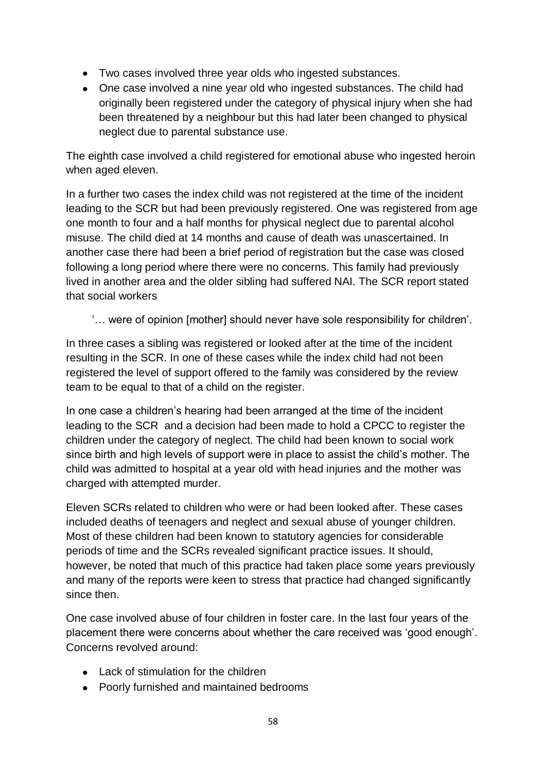- Two cases involved three year olds who ingested substances.
- One case involved a nine year old who ingested substances. The child had originally been registered under the category of physical injury when she had been threatened by a neighbour but this had later been changed to physical neglect due to parental substance use.

The eighth case involved a child registered for emotional abuse who ingested heroin when aged eleven.

In a further two cases the index child was not registered at the time of the incident leading to the SCR but had been previously registered. One was registered from age one month to four and a half months for physical neglect due to parental alcohol misuse. The child died at 14 months and cause of death was unascertained. In another case there had been a brief period of registration but the case was closed following a long period where there were no concerns. This family had previously lived in another area and the older sibling had suffered NAI. The SCR report stated that social workers

'… were of opinion [mother] should never have sole responsibility for children'.

In three cases a sibling was registered or looked after at the time of the incident resulting in the SCR. In one of these cases while the index child had not been registered the level of support offered to the family was considered by the review team to be equal to that of a child on the register.

In one case a children's hearing had been arranged at the time of the incident leading to the SCR and a decision had been made to hold a CPCC to register the children under the category of neglect. The child had been known to social work since birth and high levels of support were in place to assist the child's mother. The child was admitted to hospital at a year old with head injuries and the mother was charged with attempted murder.

Eleven SCRs related to children who were or had been looked after. These cases included deaths of teenagers and neglect and sexual abuse of younger children. Most of these children had been known to statutory agencies for considerable periods of time and the SCRs revealed significant practice issues. It should, however, be noted that much of this practice had taken place some years previously and many of the reports were keen to stress that practice had changed significantly since then.

One case involved abuse of four children in foster care. In the last four years of the placement there were concerns about whether the care received was 'good enough'. Concerns revolved around:

- $\bullet$  Lack of stimulation for the children
- Poorly furnished and maintained bedrooms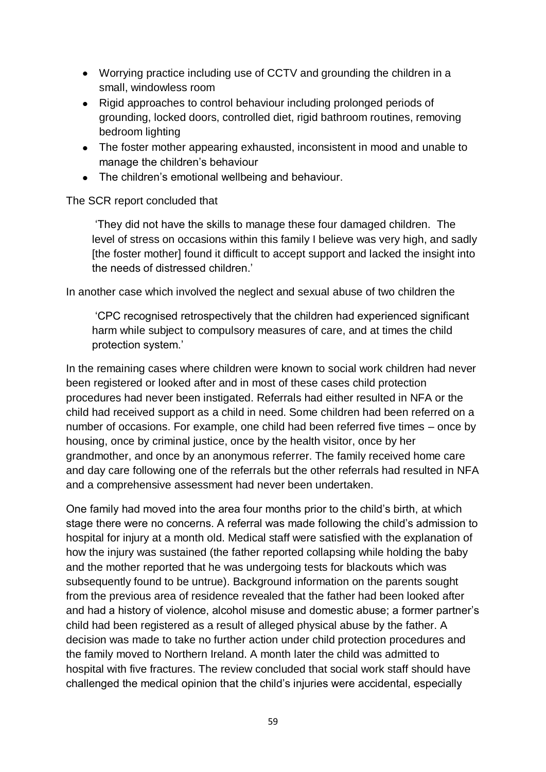- Worrying practice including use of CCTV and grounding the children in a small, windowless room
- Rigid approaches to control behaviour including prolonged periods of grounding, locked doors, controlled diet, rigid bathroom routines, removing bedroom lighting
- The foster mother appearing exhausted, inconsistent in mood and unable to manage the children's behaviour
- The children's emotional wellbeing and behaviour.

## The SCR report concluded that

'They did not have the skills to manage these four damaged children. The level of stress on occasions within this family I believe was very high, and sadly [the foster mother] found it difficult to accept support and lacked the insight into the needs of distressed children.'

In another case which involved the neglect and sexual abuse of two children the

'CPC recognised retrospectively that the children had experienced significant harm while subject to compulsory measures of care, and at times the child protection system.'

In the remaining cases where children were known to social work children had never been registered or looked after and in most of these cases child protection procedures had never been instigated. Referrals had either resulted in NFA or the child had received support as a child in need. Some children had been referred on a number of occasions. For example, one child had been referred five times – once by housing, once by criminal justice, once by the health visitor, once by her grandmother, and once by an anonymous referrer. The family received home care and day care following one of the referrals but the other referrals had resulted in NFA and a comprehensive assessment had never been undertaken.

One family had moved into the area four months prior to the child's birth, at which stage there were no concerns. A referral was made following the child's admission to hospital for injury at a month old. Medical staff were satisfied with the explanation of how the injury was sustained (the father reported collapsing while holding the baby and the mother reported that he was undergoing tests for blackouts which was subsequently found to be untrue). Background information on the parents sought from the previous area of residence revealed that the father had been looked after and had a history of violence, alcohol misuse and domestic abuse; a former partner's child had been registered as a result of alleged physical abuse by the father. A decision was made to take no further action under child protection procedures and the family moved to Northern Ireland. A month later the child was admitted to hospital with five fractures. The review concluded that social work staff should have challenged the medical opinion that the child's injuries were accidental, especially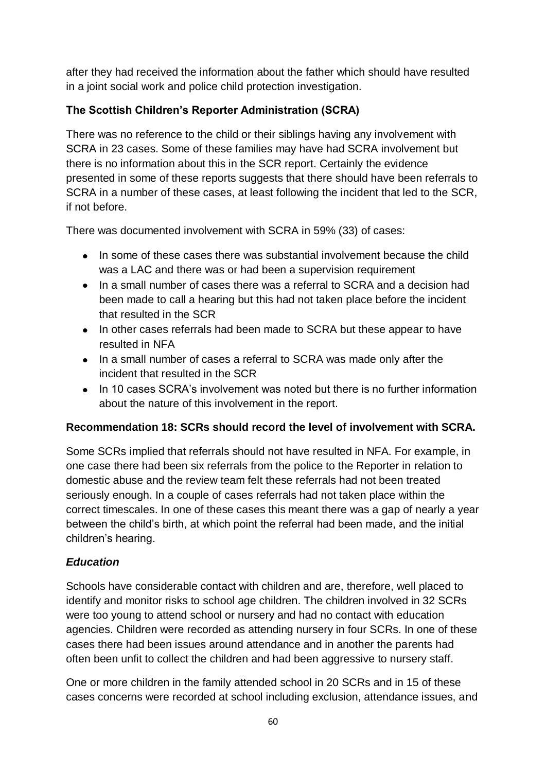after they had received the information about the father which should have resulted in a joint social work and police child protection investigation.

# **The Scottish Children's Reporter Administration (SCRA)**

There was no reference to the child or their siblings having any involvement with SCRA in 23 cases. Some of these families may have had SCRA involvement but there is no information about this in the SCR report. Certainly the evidence presented in some of these reports suggests that there should have been referrals to SCRA in a number of these cases, at least following the incident that led to the SCR, if not before.

There was documented involvement with SCRA in 59% (33) of cases:

- In some of these cases there was substantial involvement because the child was a LAC and there was or had been a supervision requirement
- In a small number of cases there was a referral to SCRA and a decision had been made to call a hearing but this had not taken place before the incident that resulted in the SCR
- In other cases referrals had been made to SCRA but these appear to have resulted in NFA
- In a small number of cases a referral to SCRA was made only after the incident that resulted in the SCR
- In 10 cases SCRA's involvement was noted but there is no further information about the nature of this involvement in the report.

# **Recommendation 18: SCRs should record the level of involvement with SCRA.**

Some SCRs implied that referrals should not have resulted in NFA. For example, in one case there had been six referrals from the police to the Reporter in relation to domestic abuse and the review team felt these referrals had not been treated seriously enough. In a couple of cases referrals had not taken place within the correct timescales. In one of these cases this meant there was a gap of nearly a year between the child's birth, at which point the referral had been made, and the initial children's hearing.

# *Education*

Schools have considerable contact with children and are, therefore, well placed to identify and monitor risks to school age children. The children involved in 32 SCRs were too young to attend school or nursery and had no contact with education agencies. Children were recorded as attending nursery in four SCRs. In one of these cases there had been issues around attendance and in another the parents had often been unfit to collect the children and had been aggressive to nursery staff.

One or more children in the family attended school in 20 SCRs and in 15 of these cases concerns were recorded at school including exclusion, attendance issues, and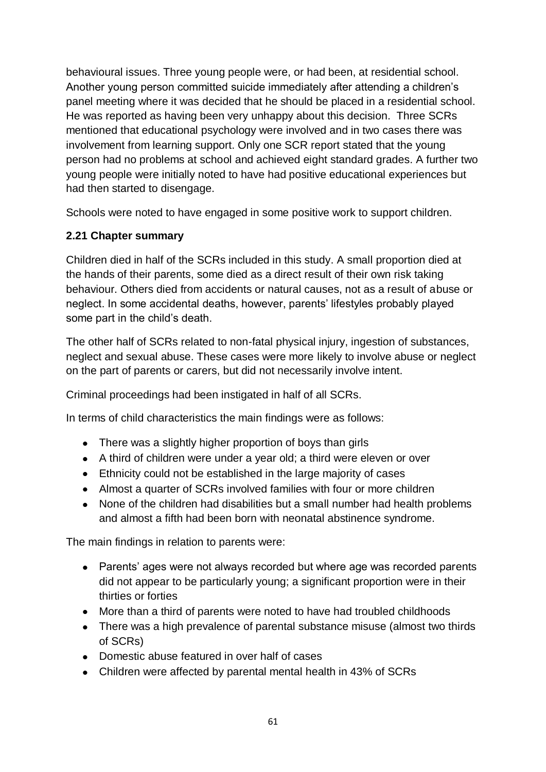behavioural issues. Three young people were, or had been, at residential school. Another young person committed suicide immediately after attending a children's panel meeting where it was decided that he should be placed in a residential school. He was reported as having been very unhappy about this decision. Three SCRs mentioned that educational psychology were involved and in two cases there was involvement from learning support. Only one SCR report stated that the young person had no problems at school and achieved eight standard grades. A further two young people were initially noted to have had positive educational experiences but had then started to disengage.

Schools were noted to have engaged in some positive work to support children.

## **2.21 Chapter summary**

Children died in half of the SCRs included in this study. A small proportion died at the hands of their parents, some died as a direct result of their own risk taking behaviour. Others died from accidents or natural causes, not as a result of abuse or neglect. In some accidental deaths, however, parents' lifestyles probably played some part in the child's death.

The other half of SCRs related to non-fatal physical injury, ingestion of substances, neglect and sexual abuse. These cases were more likely to involve abuse or neglect on the part of parents or carers, but did not necessarily involve intent.

Criminal proceedings had been instigated in half of all SCRs.

In terms of child characteristics the main findings were as follows:

- There was a slightly higher proportion of boys than girls
- A third of children were under a year old; a third were eleven or over
- Ethnicity could not be established in the large majority of cases
- Almost a quarter of SCRs involved families with four or more children
- None of the children had disabilities but a small number had health problems and almost a fifth had been born with neonatal abstinence syndrome.

The main findings in relation to parents were:

- Parents' ages were not always recorded but where age was recorded parents did not appear to be particularly young; a significant proportion were in their thirties or forties
- More than a third of parents were noted to have had troubled childhoods
- There was a high prevalence of parental substance misuse (almost two thirds of SCRs)
- Domestic abuse featured in over half of cases
- Children were affected by parental mental health in 43% of SCRs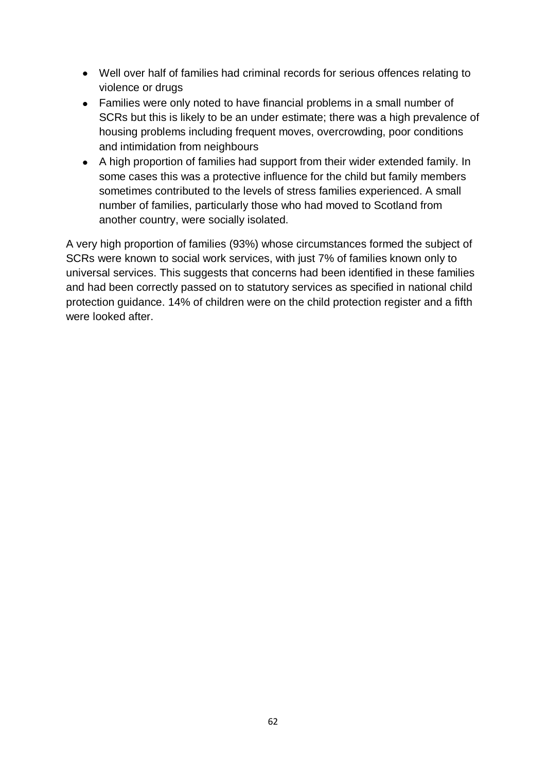- Well over half of families had criminal records for serious offences relating to violence or drugs
- Families were only noted to have financial problems in a small number of SCRs but this is likely to be an under estimate; there was a high prevalence of housing problems including frequent moves, overcrowding, poor conditions and intimidation from neighbours
- A high proportion of families had support from their wider extended family. In some cases this was a protective influence for the child but family members sometimes contributed to the levels of stress families experienced. A small number of families, particularly those who had moved to Scotland from another country, were socially isolated.

A very high proportion of families (93%) whose circumstances formed the subject of SCRs were known to social work services, with just 7% of families known only to universal services. This suggests that concerns had been identified in these families and had been correctly passed on to statutory services as specified in national child protection guidance. 14% of children were on the child protection register and a fifth were looked after.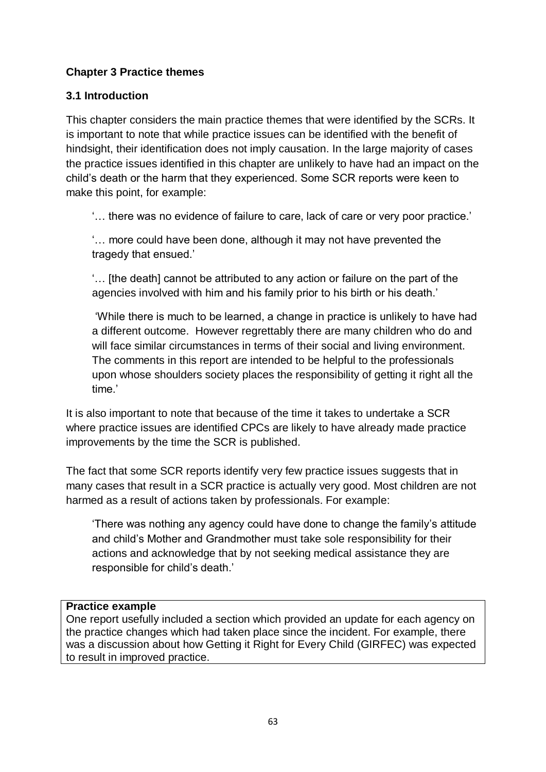# **Chapter 3 Practice themes**

### **3.1 Introduction**

This chapter considers the main practice themes that were identified by the SCRs. It is important to note that while practice issues can be identified with the benefit of hindsight, their identification does not imply causation. In the large majority of cases the practice issues identified in this chapter are unlikely to have had an impact on the child's death or the harm that they experienced. Some SCR reports were keen to make this point, for example:

'… there was no evidence of failure to care, lack of care or very poor practice.'

'… more could have been done, although it may not have prevented the tragedy that ensued.'

'… [the death] cannot be attributed to any action or failure on the part of the agencies involved with him and his family prior to his birth or his death.'

'While there is much to be learned, a change in practice is unlikely to have had a different outcome. However regrettably there are many children who do and will face similar circumstances in terms of their social and living environment. The comments in this report are intended to be helpful to the professionals upon whose shoulders society places the responsibility of getting it right all the time.'

It is also important to note that because of the time it takes to undertake a SCR where practice issues are identified CPCs are likely to have already made practice improvements by the time the SCR is published.

The fact that some SCR reports identify very few practice issues suggests that in many cases that result in a SCR practice is actually very good. Most children are not harmed as a result of actions taken by professionals. For example:

'There was nothing any agency could have done to change the family's attitude and child's Mother and Grandmother must take sole responsibility for their actions and acknowledge that by not seeking medical assistance they are responsible for child's death.'

#### **Practice example**

One report usefully included a section which provided an update for each agency on the practice changes which had taken place since the incident. For example, there was a discussion about how Getting it Right for Every Child (GIRFEC) was expected to result in improved practice.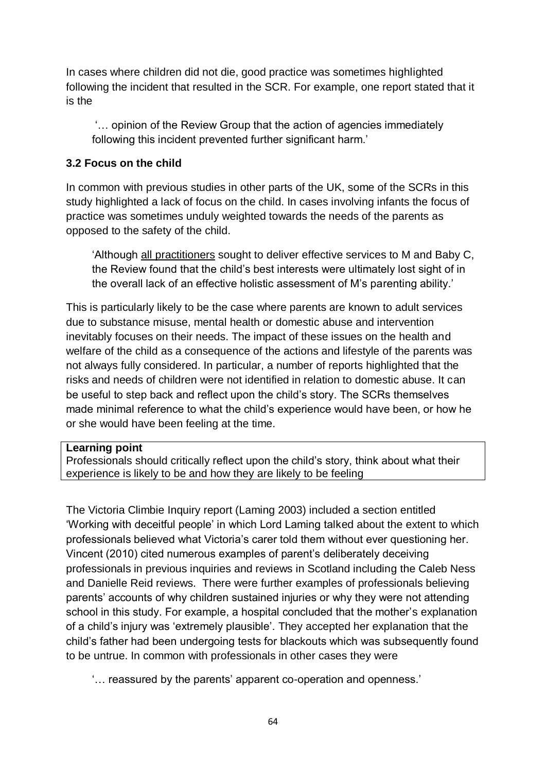In cases where children did not die, good practice was sometimes highlighted following the incident that resulted in the SCR. For example, one report stated that it is the

'… opinion of the Review Group that the action of agencies immediately following this incident prevented further significant harm.'

## **3.2 Focus on the child**

In common with previous studies in other parts of the UK, some of the SCRs in this study highlighted a lack of focus on the child. In cases involving infants the focus of practice was sometimes unduly weighted towards the needs of the parents as opposed to the safety of the child.

'Although all practitioners sought to deliver effective services to M and Baby C, the Review found that the child's best interests were ultimately lost sight of in the overall lack of an effective holistic assessment of M's parenting ability.'

This is particularly likely to be the case where parents are known to adult services due to substance misuse, mental health or domestic abuse and intervention inevitably focuses on their needs. The impact of these issues on the health and welfare of the child as a consequence of the actions and lifestyle of the parents was not always fully considered. In particular, a number of reports highlighted that the risks and needs of children were not identified in relation to domestic abuse. It can be useful to step back and reflect upon the child's story. The SCRs themselves made minimal reference to what the child's experience would have been, or how he or she would have been feeling at the time.

## **Learning point**

Professionals should critically reflect upon the child's story, think about what their experience is likely to be and how they are likely to be feeling

The Victoria Climbie Inquiry report (Laming 2003) included a section entitled 'Working with deceitful people' in which Lord Laming talked about the extent to which professionals believed what Victoria's carer told them without ever questioning her. Vincent (2010) cited numerous examples of parent's deliberately deceiving professionals in previous inquiries and reviews in Scotland including the Caleb Ness and Danielle Reid reviews. There were further examples of professionals believing parents' accounts of why children sustained injuries or why they were not attending school in this study. For example, a hospital concluded that the mother's explanation of a child's injury was 'extremely plausible'. They accepted her explanation that the child's father had been undergoing tests for blackouts which was subsequently found to be untrue. In common with professionals in other cases they were

'… reassured by the parents' apparent co-operation and openness.'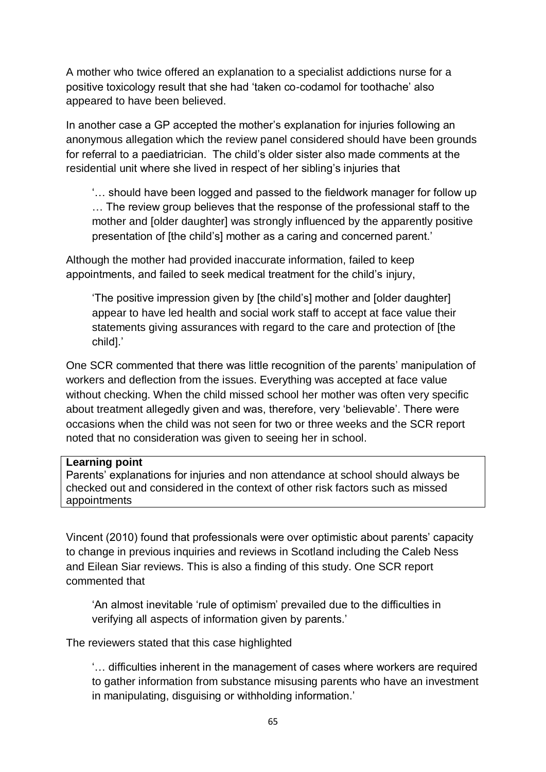A mother who twice offered an explanation to a specialist addictions nurse for a positive toxicology result that she had 'taken co-codamol for toothache' also appeared to have been believed.

In another case a GP accepted the mother's explanation for injuries following an anonymous allegation which the review panel considered should have been grounds for referral to a paediatrician. The child's older sister also made comments at the residential unit where she lived in respect of her sibling's injuries that

'… should have been logged and passed to the fieldwork manager for follow up … The review group believes that the response of the professional staff to the mother and [older daughter] was strongly influenced by the apparently positive presentation of [the child's] mother as a caring and concerned parent.'

Although the mother had provided inaccurate information, failed to keep appointments, and failed to seek medical treatment for the child's injury,

'The positive impression given by [the child's] mother and [older daughter] appear to have led health and social work staff to accept at face value their statements giving assurances with regard to the care and protection of [the child].'

One SCR commented that there was little recognition of the parents' manipulation of workers and deflection from the issues. Everything was accepted at face value without checking. When the child missed school her mother was often very specific about treatment allegedly given and was, therefore, very 'believable'. There were occasions when the child was not seen for two or three weeks and the SCR report noted that no consideration was given to seeing her in school.

#### **Learning point**

Parents' explanations for injuries and non attendance at school should always be checked out and considered in the context of other risk factors such as missed appointments

Vincent (2010) found that professionals were over optimistic about parents' capacity to change in previous inquiries and reviews in Scotland including the Caleb Ness and Eilean Siar reviews. This is also a finding of this study. One SCR report commented that

'An almost inevitable 'rule of optimism' prevailed due to the difficulties in verifying all aspects of information given by parents.'

The reviewers stated that this case highlighted

'… difficulties inherent in the management of cases where workers are required to gather information from substance misusing parents who have an investment in manipulating, disguising or withholding information.'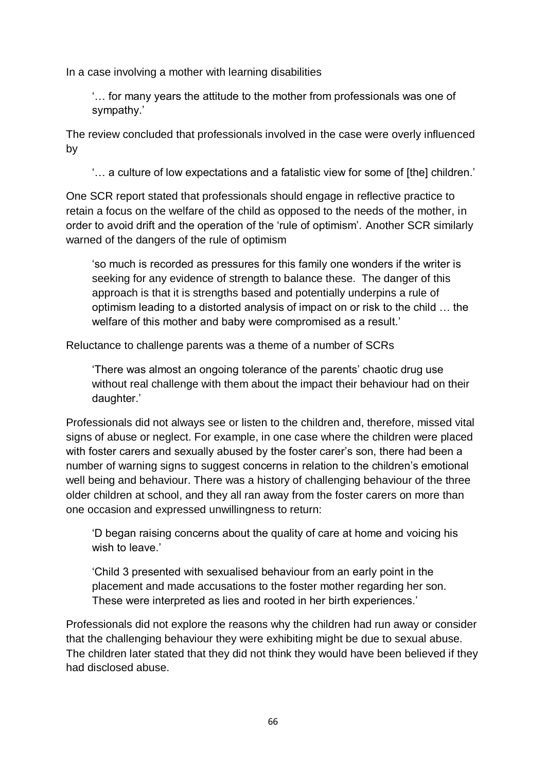In a case involving a mother with learning disabilities

'… for many years the attitude to the mother from professionals was one of sympathy.'

The review concluded that professionals involved in the case were overly influenced by

'… a culture of low expectations and a fatalistic view for some of [the] children.'

One SCR report stated that professionals should engage in reflective practice to retain a focus on the welfare of the child as opposed to the needs of the mother, in order to avoid drift and the operation of the 'rule of optimism'*.* Another SCR similarly warned of the dangers of the rule of optimism

'so much is recorded as pressures for this family one wonders if the writer is seeking for any evidence of strength to balance these. The danger of this approach is that it is strengths based and potentially underpins a rule of optimism leading to a distorted analysis of impact on or risk to the child … the welfare of this mother and baby were compromised as a result.'

Reluctance to challenge parents was a theme of a number of SCRs

'There was almost an ongoing tolerance of the parents' chaotic drug use without real challenge with them about the impact their behaviour had on their daughter.'

Professionals did not always see or listen to the children and, therefore, missed vital signs of abuse or neglect. For example, in one case where the children were placed with foster carers and sexually abused by the foster carer's son, there had been a number of warning signs to suggest concerns in relation to the children's emotional well being and behaviour. There was a history of challenging behaviour of the three older children at school, and they all ran away from the foster carers on more than one occasion and expressed unwillingness to return:

'D began raising concerns about the quality of care at home and voicing his wish to leave.'

'Child 3 presented with sexualised behaviour from an early point in the placement and made accusations to the foster mother regarding her son. These were interpreted as lies and rooted in her birth experiences.'

Professionals did not explore the reasons why the children had run away or consider that the challenging behaviour they were exhibiting might be due to sexual abuse. The children later stated that they did not think they would have been believed if they had disclosed abuse.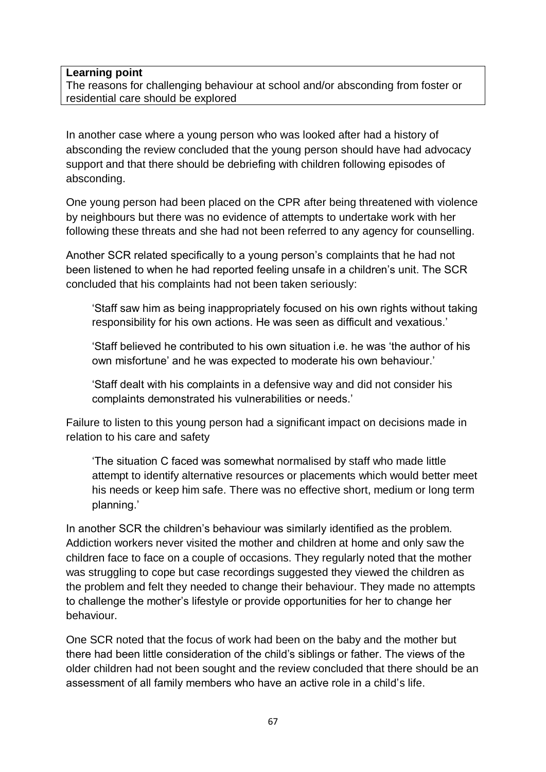#### **Learning point**

The reasons for challenging behaviour at school and/or absconding from foster or residential care should be explored

In another case where a young person who was looked after had a history of absconding the review concluded that the young person should have had advocacy support and that there should be debriefing with children following episodes of absconding.

One young person had been placed on the CPR after being threatened with violence by neighbours but there was no evidence of attempts to undertake work with her following these threats and she had not been referred to any agency for counselling.

Another SCR related specifically to a young person's complaints that he had not been listened to when he had reported feeling unsafe in a children's unit. The SCR concluded that his complaints had not been taken seriously:

'Staff saw him as being inappropriately focused on his own rights without taking responsibility for his own actions. He was seen as difficult and vexatious.'

'Staff believed he contributed to his own situation i.e. he was 'the author of his own misfortune' and he was expected to moderate his own behaviour.'

'Staff dealt with his complaints in a defensive way and did not consider his complaints demonstrated his vulnerabilities or needs.'

Failure to listen to this young person had a significant impact on decisions made in relation to his care and safety

'The situation C faced was somewhat normalised by staff who made little attempt to identify alternative resources or placements which would better meet his needs or keep him safe. There was no effective short, medium or long term planning.'

In another SCR the children's behaviour was similarly identified as the problem. Addiction workers never visited the mother and children at home and only saw the children face to face on a couple of occasions. They regularly noted that the mother was struggling to cope but case recordings suggested they viewed the children as the problem and felt they needed to change their behaviour. They made no attempts to challenge the mother's lifestyle or provide opportunities for her to change her behaviour.

One SCR noted that the focus of work had been on the baby and the mother but there had been little consideration of the child's siblings or father. The views of the older children had not been sought and the review concluded that there should be an assessment of all family members who have an active role in a child's life.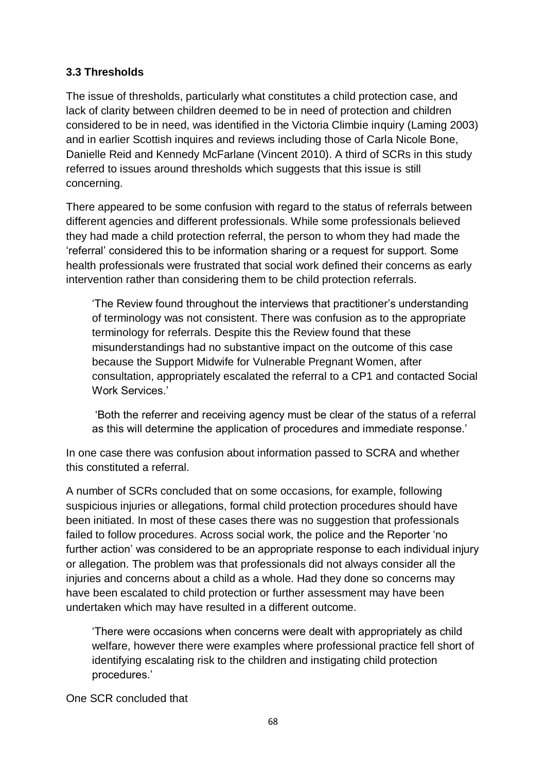## **3.3 Thresholds**

The issue of thresholds, particularly what constitutes a child protection case, and lack of clarity between children deemed to be in need of protection and children considered to be in need, was identified in the Victoria Climbie inquiry (Laming 2003) and in earlier Scottish inquires and reviews including those of Carla Nicole Bone, Danielle Reid and Kennedy McFarlane (Vincent 2010). A third of SCRs in this study referred to issues around thresholds which suggests that this issue is still concerning.

There appeared to be some confusion with regard to the status of referrals between different agencies and different professionals. While some professionals believed they had made a child protection referral, the person to whom they had made the 'referral' considered this to be information sharing or a request for support. Some health professionals were frustrated that social work defined their concerns as early intervention rather than considering them to be child protection referrals.

'The Review found throughout the interviews that practitioner's understanding of terminology was not consistent. There was confusion as to the appropriate terminology for referrals. Despite this the Review found that these misunderstandings had no substantive impact on the outcome of this case because the Support Midwife for Vulnerable Pregnant Women, after consultation, appropriately escalated the referral to a CP1 and contacted Social Work Services<sup>'</sup>

'Both the referrer and receiving agency must be clear of the status of a referral as this will determine the application of procedures and immediate response.'

In one case there was confusion about information passed to SCRA and whether this constituted a referral.

A number of SCRs concluded that on some occasions, for example, following suspicious injuries or allegations, formal child protection procedures should have been initiated. In most of these cases there was no suggestion that professionals failed to follow procedures. Across social work, the police and the Reporter 'no further action' was considered to be an appropriate response to each individual injury or allegation. The problem was that professionals did not always consider all the injuries and concerns about a child as a whole. Had they done so concerns may have been escalated to child protection or further assessment may have been undertaken which may have resulted in a different outcome.

'There were occasions when concerns were dealt with appropriately as child welfare, however there were examples where professional practice fell short of identifying escalating risk to the children and instigating child protection procedures.'

One SCR concluded that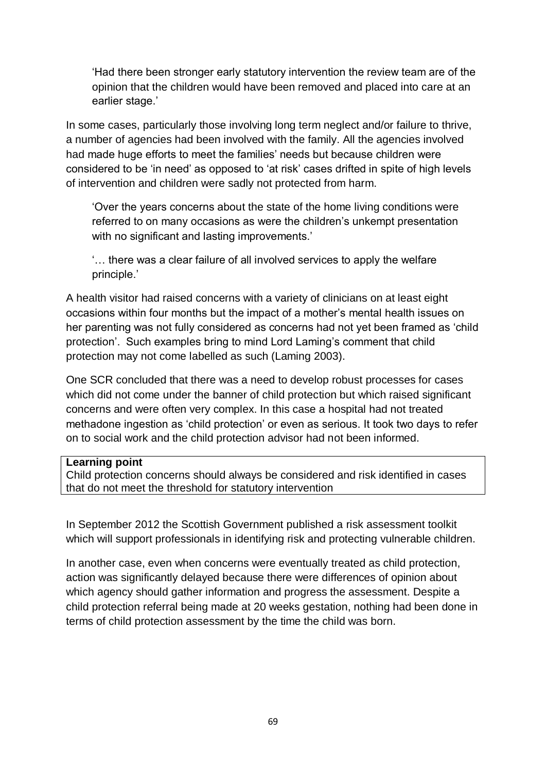'Had there been stronger early statutory intervention the review team are of the opinion that the children would have been removed and placed into care at an earlier stage.'

In some cases, particularly those involving long term neglect and/or failure to thrive, a number of agencies had been involved with the family. All the agencies involved had made huge efforts to meet the families' needs but because children were considered to be 'in need' as opposed to 'at risk' cases drifted in spite of high levels of intervention and children were sadly not protected from harm.

'Over the years concerns about the state of the home living conditions were referred to on many occasions as were the children's unkempt presentation with no significant and lasting improvements.'

'… there was a clear failure of all involved services to apply the welfare principle.'

A health visitor had raised concerns with a variety of clinicians on at least eight occasions within four months but the impact of a mother's mental health issues on her parenting was not fully considered as concerns had not yet been framed as 'child protection'. Such examples bring to mind Lord Laming's comment that child protection may not come labelled as such (Laming 2003).

One SCR concluded that there was a need to develop robust processes for cases which did not come under the banner of child protection but which raised significant concerns and were often very complex. In this case a hospital had not treated methadone ingestion as 'child protection' or even as serious. It took two days to refer on to social work and the child protection advisor had not been informed.

#### **Learning point**

Child protection concerns should always be considered and risk identified in cases that do not meet the threshold for statutory intervention

In September 2012 the Scottish Government published a risk assessment toolkit which will support professionals in identifying risk and protecting vulnerable children.

In another case, even when concerns were eventually treated as child protection, action was significantly delayed because there were differences of opinion about which agency should gather information and progress the assessment. Despite a child protection referral being made at 20 weeks gestation, nothing had been done in terms of child protection assessment by the time the child was born.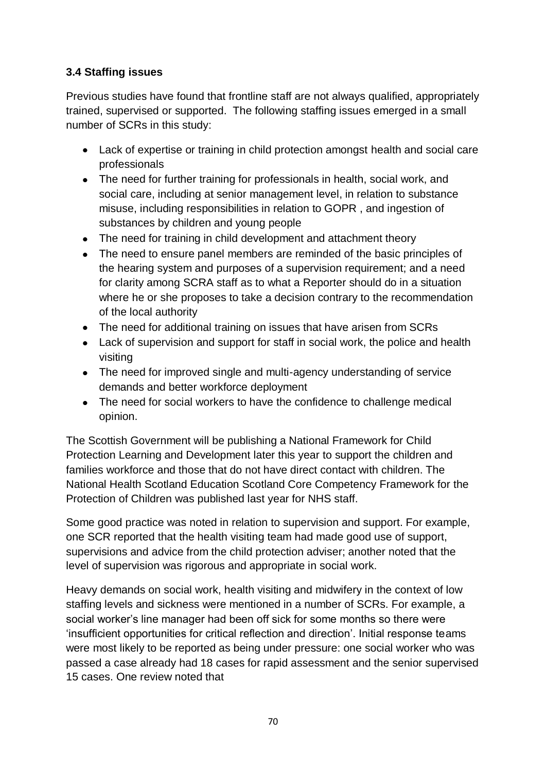# **3.4 Staffing issues**

Previous studies have found that frontline staff are not always qualified, appropriately trained, supervised or supported. The following staffing issues emerged in a small number of SCRs in this study:

- Lack of expertise or training in child protection amongst health and social care professionals
- The need for further training for professionals in health, social work, and social care, including at senior management level, in relation to substance misuse, including responsibilities in relation to GOPR , and ingestion of substances by children and young people
- The need for training in child development and attachment theory
- The need to ensure panel members are reminded of the basic principles of the hearing system and purposes of a supervision requirement; and a need for clarity among SCRA staff as to what a Reporter should do in a situation where he or she proposes to take a decision contrary to the recommendation of the local authority
- The need for additional training on issues that have arisen from SCRs
- Lack of supervision and support for staff in social work, the police and health visiting
- The need for improved single and multi-agency understanding of service demands and better workforce deployment
- The need for social workers to have the confidence to challenge medical opinion.

The Scottish Government will be publishing a National Framework for Child Protection Learning and Development later this year to support the children and families workforce and those that do not have direct contact with children. The National Health Scotland Education Scotland Core Competency Framework for the Protection of Children was published last year for NHS staff.

Some good practice was noted in relation to supervision and support. For example, one SCR reported that the health visiting team had made good use of support, supervisions and advice from the child protection adviser; another noted that the level of supervision was rigorous and appropriate in social work.

Heavy demands on social work, health visiting and midwifery in the context of low staffing levels and sickness were mentioned in a number of SCRs. For example, a social worker's line manager had been off sick for some months so there were 'insufficient opportunities for critical reflection and direction'. Initial response teams were most likely to be reported as being under pressure: one social worker who was passed a case already had 18 cases for rapid assessment and the senior supervised 15 cases. One review noted that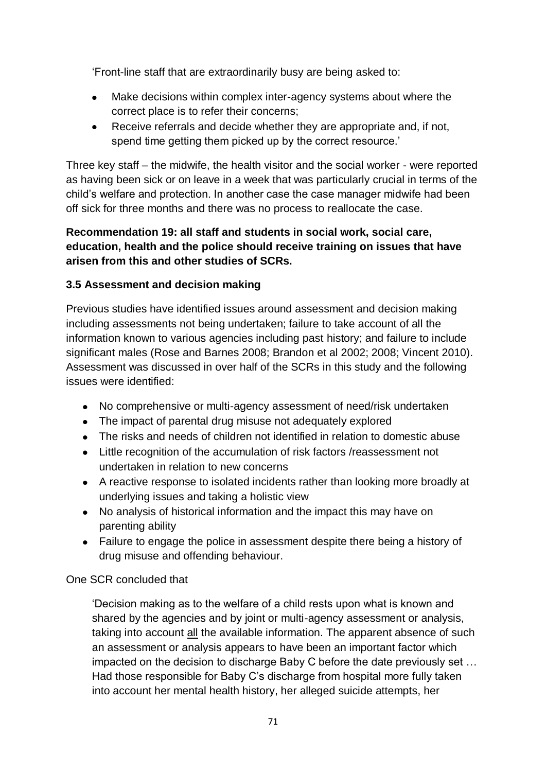'Front-line staff that are extraordinarily busy are being asked to:

- Make decisions within complex inter-agency systems about where the correct place is to refer their concerns;
- $\bullet$ Receive referrals and decide whether they are appropriate and, if not, spend time getting them picked up by the correct resource.'

Three key staff – the midwife, the health visitor and the social worker - were reported as having been sick or on leave in a week that was particularly crucial in terms of the child's welfare and protection. In another case the case manager midwife had been off sick for three months and there was no process to reallocate the case.

## **Recommendation 19: all staff and students in social work, social care, education, health and the police should receive training on issues that have arisen from this and other studies of SCRs.**

# **3.5 Assessment and decision making**

Previous studies have identified issues around assessment and decision making including assessments not being undertaken; failure to take account of all the information known to various agencies including past history; and failure to include significant males (Rose and Barnes 2008; Brandon et al 2002; 2008; Vincent 2010). Assessment was discussed in over half of the SCRs in this study and the following issues were identified:

- No comprehensive or multi-agency assessment of need/risk undertaken
- The impact of parental drug misuse not adequately explored
- The risks and needs of children not identified in relation to domestic abuse
- Little recognition of the accumulation of risk factors /reassessment not undertaken in relation to new concerns
- A reactive response to isolated incidents rather than looking more broadly at underlying issues and taking a holistic view
- No analysis of historical information and the impact this may have on parenting ability
- Failure to engage the police in assessment despite there being a history of drug misuse and offending behaviour.

# One SCR concluded that

'Decision making as to the welfare of a child rests upon what is known and shared by the agencies and by joint or multi-agency assessment or analysis, taking into account all the available information. The apparent absence of such an assessment or analysis appears to have been an important factor which impacted on the decision to discharge Baby C before the date previously set … Had those responsible for Baby C's discharge from hospital more fully taken into account her mental health history, her alleged suicide attempts, her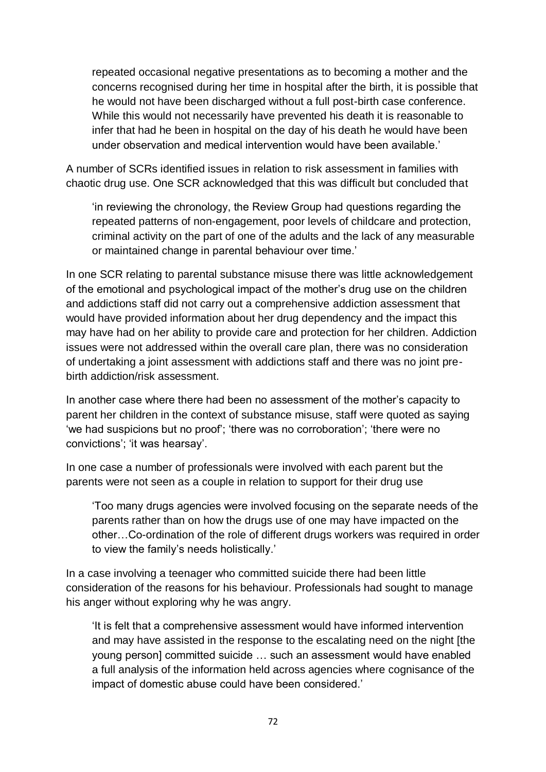repeated occasional negative presentations as to becoming a mother and the concerns recognised during her time in hospital after the birth, it is possible that he would not have been discharged without a full post-birth case conference. While this would not necessarily have prevented his death it is reasonable to infer that had he been in hospital on the day of his death he would have been under observation and medical intervention would have been available.'

A number of SCRs identified issues in relation to risk assessment in families with chaotic drug use. One SCR acknowledged that this was difficult but concluded that

'in reviewing the chronology, the Review Group had questions regarding the repeated patterns of non-engagement, poor levels of childcare and protection, criminal activity on the part of one of the adults and the lack of any measurable or maintained change in parental behaviour over time.'

In one SCR relating to parental substance misuse there was little acknowledgement of the emotional and psychological impact of the mother's drug use on the children and addictions staff did not carry out a comprehensive addiction assessment that would have provided information about her drug dependency and the impact this may have had on her ability to provide care and protection for her children. Addiction issues were not addressed within the overall care plan, there was no consideration of undertaking a joint assessment with addictions staff and there was no joint prebirth addiction/risk assessment.

In another case where there had been no assessment of the mother's capacity to parent her children in the context of substance misuse, staff were quoted as saying 'we had suspicions but no proof'; 'there was no corroboration'; 'there were no convictions'; 'it was hearsay'.

In one case a number of professionals were involved with each parent but the parents were not seen as a couple in relation to support for their drug use

'Too many drugs agencies were involved focusing on the separate needs of the parents rather than on how the drugs use of one may have impacted on the other…Co-ordination of the role of different drugs workers was required in order to view the family's needs holistically.'

In a case involving a teenager who committed suicide there had been little consideration of the reasons for his behaviour. Professionals had sought to manage his anger without exploring why he was angry.

'It is felt that a comprehensive assessment would have informed intervention and may have assisted in the response to the escalating need on the night [the young person] committed suicide … such an assessment would have enabled a full analysis of the information held across agencies where cognisance of the impact of domestic abuse could have been considered.'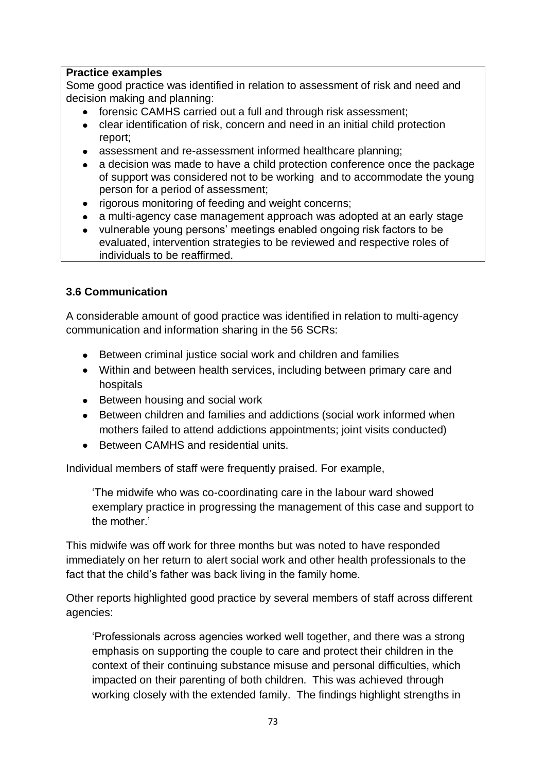### **Practice examples**

Some good practice was identified in relation to assessment of risk and need and decision making and planning:

- forensic CAMHS carried out a full and through risk assessment;
- clear identification of risk, concern and need in an initial child protection report;
- assessment and re-assessment informed healthcare planning;
- $\bullet$ a decision was made to have a child protection conference once the package of support was considered not to be working and to accommodate the young person for a period of assessment;
- rigorous monitoring of feeding and weight concerns;
- a multi-agency case management approach was adopted at an early stage
- vulnerable young persons' meetings enabled ongoing risk factors to be evaluated, intervention strategies to be reviewed and respective roles of individuals to be reaffirmed.

### **3.6 Communication**

A considerable amount of good practice was identified in relation to multi-agency communication and information sharing in the 56 SCRs:

- Between criminal justice social work and children and families
- Within and between health services, including between primary care and hospitals
- Between housing and social work
- Between children and families and addictions (social work informed when mothers failed to attend addictions appointments; joint visits conducted)
- Between CAMHS and residential units.

Individual members of staff were frequently praised. For example,

'The midwife who was co-coordinating care in the labour ward showed exemplary practice in progressing the management of this case and support to the mother.'

This midwife was off work for three months but was noted to have responded immediately on her return to alert social work and other health professionals to the fact that the child's father was back living in the family home.

Other reports highlighted good practice by several members of staff across different agencies:

'Professionals across agencies worked well together, and there was a strong emphasis on supporting the couple to care and protect their children in the context of their continuing substance misuse and personal difficulties, which impacted on their parenting of both children. This was achieved through working closely with the extended family. The findings highlight strengths in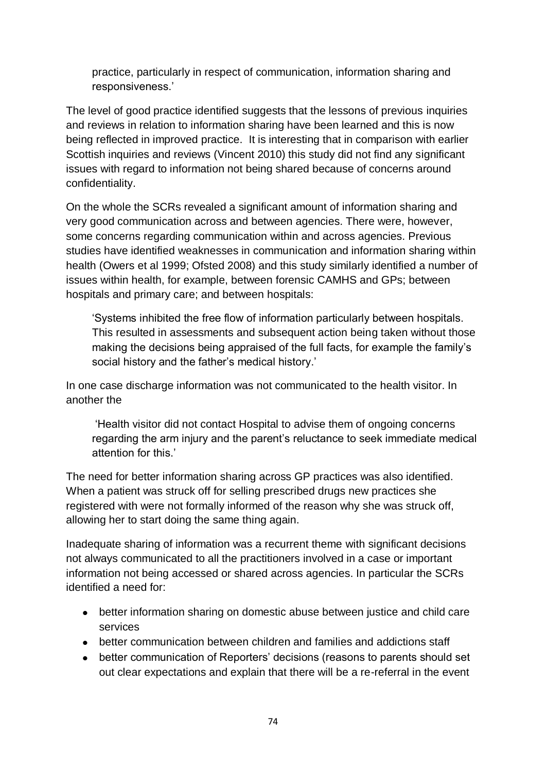practice, particularly in respect of communication, information sharing and responsiveness.'

The level of good practice identified suggests that the lessons of previous inquiries and reviews in relation to information sharing have been learned and this is now being reflected in improved practice. It is interesting that in comparison with earlier Scottish inquiries and reviews (Vincent 2010) this study did not find any significant issues with regard to information not being shared because of concerns around confidentiality.

On the whole the SCRs revealed a significant amount of information sharing and very good communication across and between agencies. There were, however, some concerns regarding communication within and across agencies. Previous studies have identified weaknesses in communication and information sharing within health (Owers et al 1999; Ofsted 2008) and this study similarly identified a number of issues within health, for example, between forensic CAMHS and GPs; between hospitals and primary care; and between hospitals:

'Systems inhibited the free flow of information particularly between hospitals. This resulted in assessments and subsequent action being taken without those making the decisions being appraised of the full facts, for example the family's social history and the father's medical history.'

In one case discharge information was not communicated to the health visitor. In another the

'Health visitor did not contact Hospital to advise them of ongoing concerns regarding the arm injury and the parent's reluctance to seek immediate medical attention for this.'

The need for better information sharing across GP practices was also identified. When a patient was struck off for selling prescribed drugs new practices she registered with were not formally informed of the reason why she was struck off, allowing her to start doing the same thing again.

Inadequate sharing of information was a recurrent theme with significant decisions not always communicated to all the practitioners involved in a case or important information not being accessed or shared across agencies. In particular the SCRs identified a need for:

- better information sharing on domestic abuse between justice and child care services
- better communication between children and families and addictions staff
- better communication of Reporters' decisions (reasons to parents should set out clear expectations and explain that there will be a re-referral in the event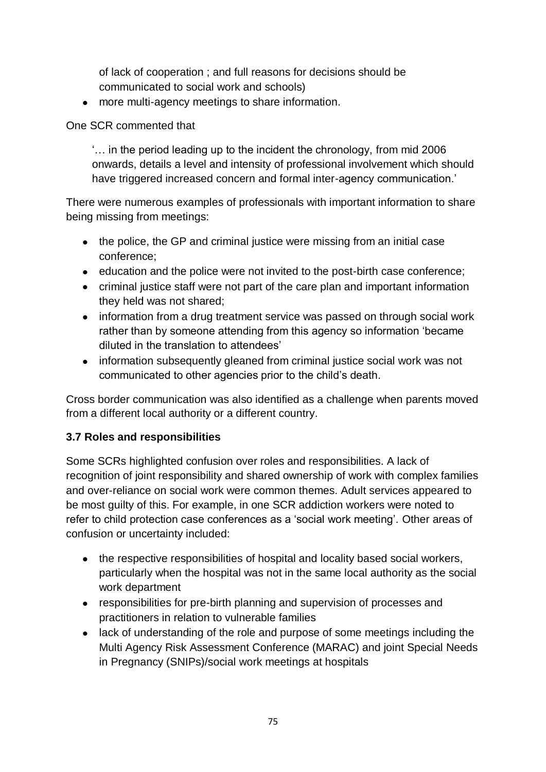of lack of cooperation ; and full reasons for decisions should be communicated to social work and schools)

more multi-agency meetings to share information.

# One SCR commented that

'… in the period leading up to the incident the chronology, from mid 2006 onwards, details a level and intensity of professional involvement which should have triggered increased concern and formal inter-agency communication.'

There were numerous examples of professionals with important information to share being missing from meetings:

- the police, the GP and criminal justice were missing from an initial case conference;
- education and the police were not invited to the post-birth case conference;
- criminal justice staff were not part of the care plan and important information they held was not shared;
- information from a drug treatment service was passed on through social work rather than by someone attending from this agency so information 'became diluted in the translation to attendees'
- information subsequently gleaned from criminal justice social work was not communicated to other agencies prior to the child's death.

Cross border communication was also identified as a challenge when parents moved from a different local authority or a different country.

# **3.7 Roles and responsibilities**

Some SCRs highlighted confusion over roles and responsibilities. A lack of recognition of joint responsibility and shared ownership of work with complex families and over-reliance on social work were common themes. Adult services appeared to be most guilty of this. For example, in one SCR addiction workers were noted to refer to child protection case conferences as a 'social work meeting'*.* Other areas of confusion or uncertainty included:

- the respective responsibilities of hospital and locality based social workers, particularly when the hospital was not in the same local authority as the social work department
- responsibilities for pre-birth planning and supervision of processes and practitioners in relation to vulnerable families
- lack of understanding of the role and purpose of some meetings including the Multi Agency Risk Assessment Conference (MARAC) and joint Special Needs in Pregnancy (SNIPs)/social work meetings at hospitals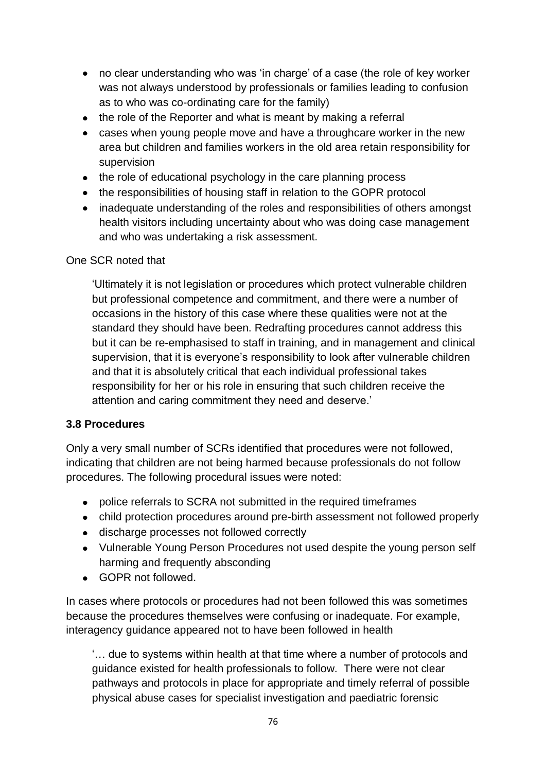- no clear understanding who was 'in charge' of a case (the role of key worker was not always understood by professionals or families leading to confusion as to who was co-ordinating care for the family)
- the role of the Reporter and what is meant by making a referral
- cases when young people move and have a throughcare worker in the new area but children and families workers in the old area retain responsibility for supervision
- the role of educational psychology in the care planning process
- the responsibilities of housing staff in relation to the GOPR protocol
- inadequate understanding of the roles and responsibilities of others amongst health visitors including uncertainty about who was doing case management and who was undertaking a risk assessment.

### One SCR noted that

'Ultimately it is not legislation or procedures which protect vulnerable children but professional competence and commitment, and there were a number of occasions in the history of this case where these qualities were not at the standard they should have been. Redrafting procedures cannot address this but it can be re-emphasised to staff in training, and in management and clinical supervision, that it is everyone's responsibility to look after vulnerable children and that it is absolutely critical that each individual professional takes responsibility for her or his role in ensuring that such children receive the attention and caring commitment they need and deserve.'

### **3.8 Procedures**

Only a very small number of SCRs identified that procedures were not followed, indicating that children are not being harmed because professionals do not follow procedures. The following procedural issues were noted:

- police referrals to SCRA not submitted in the required timeframes
- child protection procedures around pre-birth assessment not followed properly
- discharge processes not followed correctly
- Vulnerable Young Person Procedures not used despite the young person self harming and frequently absconding
- GOPR not followed.

In cases where protocols or procedures had not been followed this was sometimes because the procedures themselves were confusing or inadequate. For example, interagency guidance appeared not to have been followed in health

'… due to systems within health at that time where a number of protocols and guidance existed for health professionals to follow. There were not clear pathways and protocols in place for appropriate and timely referral of possible physical abuse cases for specialist investigation and paediatric forensic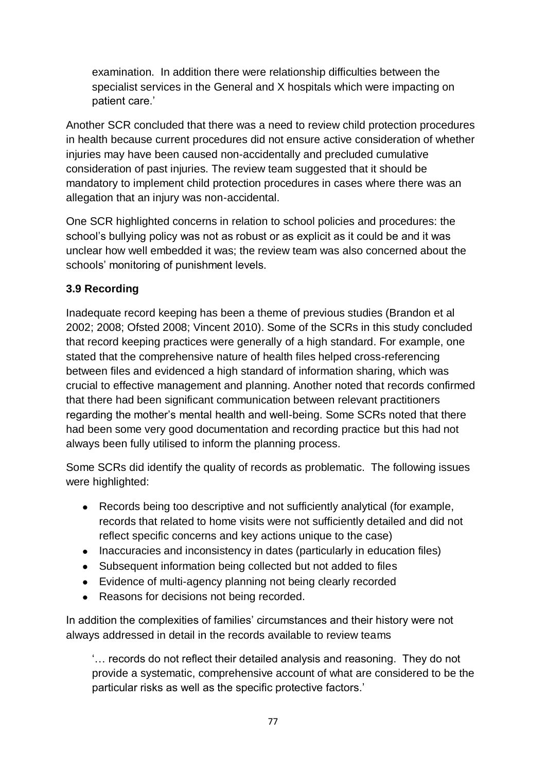examination. In addition there were relationship difficulties between the specialist services in the General and X hospitals which were impacting on patient care.'

Another SCR concluded that there was a need to review child protection procedures in health because current procedures did not ensure active consideration of whether injuries may have been caused non-accidentally and precluded cumulative consideration of past injuries. The review team suggested that it should be mandatory to implement child protection procedures in cases where there was an allegation that an injury was non-accidental.

One SCR highlighted concerns in relation to school policies and procedures: the school's bullying policy was not as robust or as explicit as it could be and it was unclear how well embedded it was; the review team was also concerned about the schools' monitoring of punishment levels.

# **3.9 Recording**

Inadequate record keeping has been a theme of previous studies (Brandon et al 2002; 2008; Ofsted 2008; Vincent 2010). Some of the SCRs in this study concluded that record keeping practices were generally of a high standard. For example, one stated that the comprehensive nature of health files helped cross-referencing between files and evidenced a high standard of information sharing, which was crucial to effective management and planning. Another noted that records confirmed that there had been significant communication between relevant practitioners regarding the mother's mental health and well-being. Some SCRs noted that there had been some very good documentation and recording practice but this had not always been fully utilised to inform the planning process.

Some SCRs did identify the quality of records as problematic. The following issues were highlighted:

- Records being too descriptive and not sufficiently analytical (for example, records that related to home visits were not sufficiently detailed and did not reflect specific concerns and key actions unique to the case)
- Inaccuracies and inconsistency in dates (particularly in education files)
- Subsequent information being collected but not added to files
- Evidence of multi-agency planning not being clearly recorded
- Reasons for decisions not being recorded.

In addition the complexities of families' circumstances and their history were not always addressed in detail in the records available to review teams

'… records do not reflect their detailed analysis and reasoning. They do not provide a systematic, comprehensive account of what are considered to be the particular risks as well as the specific protective factors.'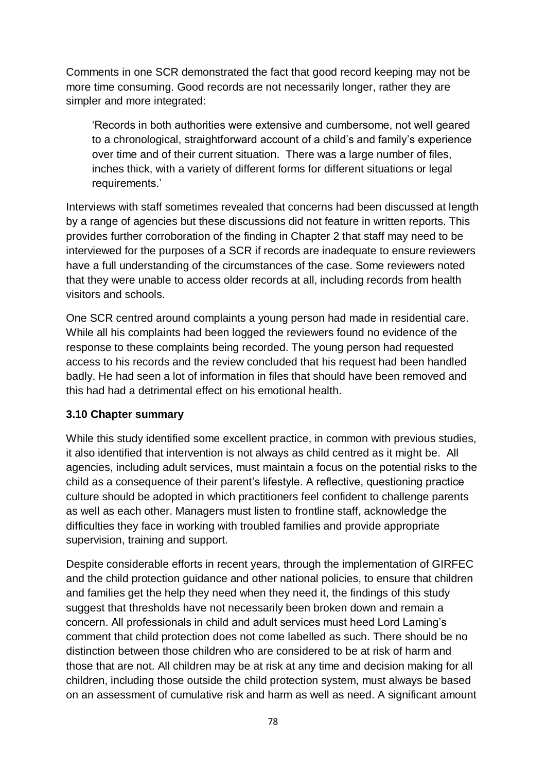Comments in one SCR demonstrated the fact that good record keeping may not be more time consuming. Good records are not necessarily longer, rather they are simpler and more integrated:

'Records in both authorities were extensive and cumbersome, not well geared to a chronological, straightforward account of a child's and family's experience over time and of their current situation. There was a large number of files, inches thick, with a variety of different forms for different situations or legal requirements.'

Interviews with staff sometimes revealed that concerns had been discussed at length by a range of agencies but these discussions did not feature in written reports. This provides further corroboration of the finding in Chapter 2 that staff may need to be interviewed for the purposes of a SCR if records are inadequate to ensure reviewers have a full understanding of the circumstances of the case. Some reviewers noted that they were unable to access older records at all, including records from health visitors and schools.

One SCR centred around complaints a young person had made in residential care. While all his complaints had been logged the reviewers found no evidence of the response to these complaints being recorded. The young person had requested access to his records and the review concluded that his request had been handled badly. He had seen a lot of information in files that should have been removed and this had had a detrimental effect on his emotional health.

### **3.10 Chapter summary**

While this study identified some excellent practice, in common with previous studies, it also identified that intervention is not always as child centred as it might be. All agencies, including adult services, must maintain a focus on the potential risks to the child as a consequence of their parent's lifestyle. A reflective, questioning practice culture should be adopted in which practitioners feel confident to challenge parents as well as each other. Managers must listen to frontline staff, acknowledge the difficulties they face in working with troubled families and provide appropriate supervision, training and support.

Despite considerable efforts in recent years, through the implementation of GIRFEC and the child protection guidance and other national policies, to ensure that children and families get the help they need when they need it, the findings of this study suggest that thresholds have not necessarily been broken down and remain a concern. All professionals in child and adult services must heed Lord Laming's comment that child protection does not come labelled as such. There should be no distinction between those children who are considered to be at risk of harm and those that are not. All children may be at risk at any time and decision making for all children, including those outside the child protection system, must always be based on an assessment of cumulative risk and harm as well as need. A significant amount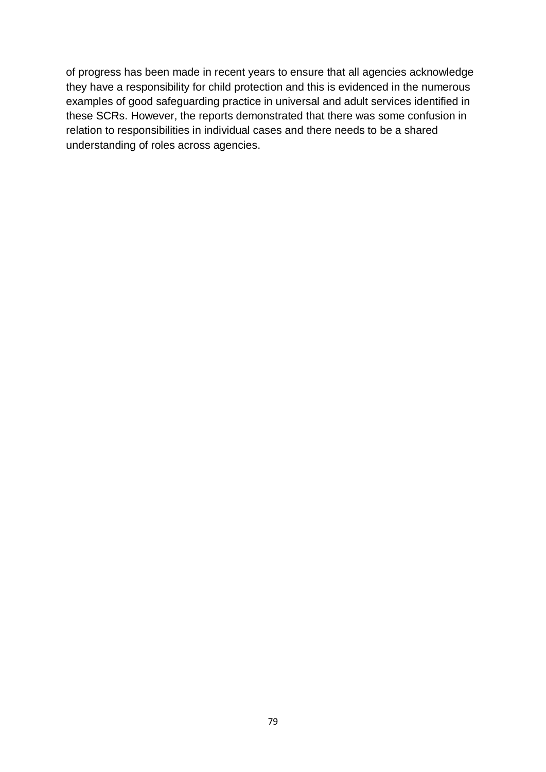of progress has been made in recent years to ensure that all agencies acknowledge they have a responsibility for child protection and this is evidenced in the numerous examples of good safeguarding practice in universal and adult services identified in these SCRs. However, the reports demonstrated that there was some confusion in relation to responsibilities in individual cases and there needs to be a shared understanding of roles across agencies.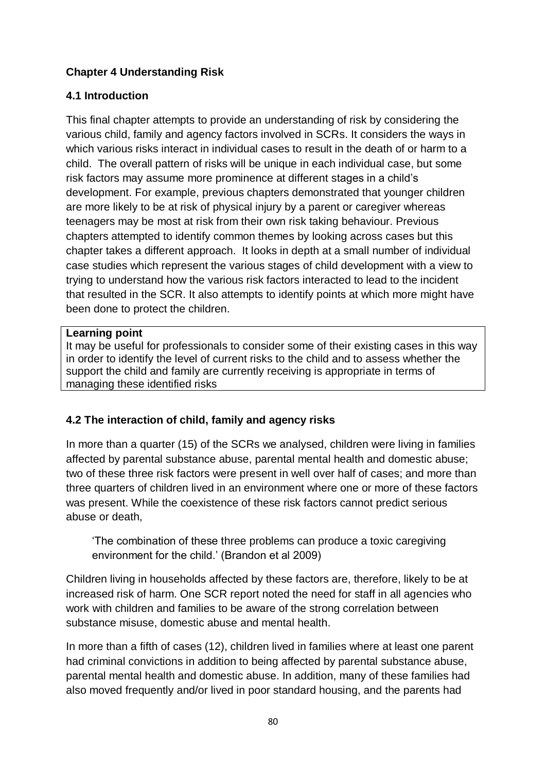# **Chapter 4 Understanding Risk**

# **4.1 Introduction**

This final chapter attempts to provide an understanding of risk by considering the various child, family and agency factors involved in SCRs. It considers the ways in which various risks interact in individual cases to result in the death of or harm to a child. The overall pattern of risks will be unique in each individual case, but some risk factors may assume more prominence at different stages in a child's development. For example, previous chapters demonstrated that younger children are more likely to be at risk of physical injury by a parent or caregiver whereas teenagers may be most at risk from their own risk taking behaviour. Previous chapters attempted to identify common themes by looking across cases but this chapter takes a different approach. It looks in depth at a small number of individual case studies which represent the various stages of child development with a view to trying to understand how the various risk factors interacted to lead to the incident that resulted in the SCR. It also attempts to identify points at which more might have been done to protect the children.

#### **Learning point**

It may be useful for professionals to consider some of their existing cases in this way in order to identify the level of current risks to the child and to assess whether the support the child and family are currently receiving is appropriate in terms of managing these identified risks

# **4.2 The interaction of child, family and agency risks**

In more than a quarter (15) of the SCRs we analysed, children were living in families affected by parental substance abuse, parental mental health and domestic abuse; two of these three risk factors were present in well over half of cases; and more than three quarters of children lived in an environment where one or more of these factors was present. While the coexistence of these risk factors cannot predict serious abuse or death,

'The combination of these three problems can produce a toxic caregiving environment for the child.' (Brandon et al 2009)

Children living in households affected by these factors are, therefore, likely to be at increased risk of harm. One SCR report noted the need for staff in all agencies who work with children and families to be aware of the strong correlation between substance misuse, domestic abuse and mental health.

In more than a fifth of cases (12), children lived in families where at least one parent had criminal convictions in addition to being affected by parental substance abuse, parental mental health and domestic abuse. In addition, many of these families had also moved frequently and/or lived in poor standard housing, and the parents had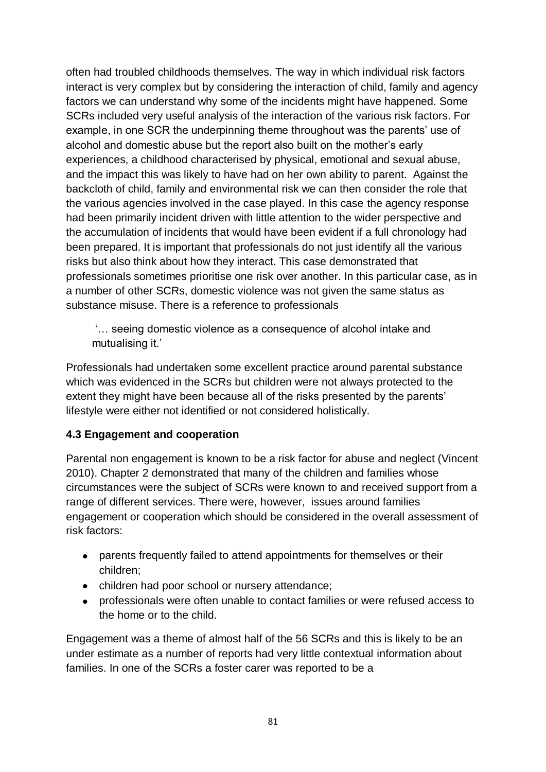often had troubled childhoods themselves. The way in which individual risk factors interact is very complex but by considering the interaction of child, family and agency factors we can understand why some of the incidents might have happened. Some SCRs included very useful analysis of the interaction of the various risk factors. For example, in one SCR the underpinning theme throughout was the parents' use of alcohol and domestic abuse but the report also built on the mother's early experiences, a childhood characterised by physical, emotional and sexual abuse, and the impact this was likely to have had on her own ability to parent. Against the backcloth of child, family and environmental risk we can then consider the role that the various agencies involved in the case played. In this case the agency response had been primarily incident driven with little attention to the wider perspective and the accumulation of incidents that would have been evident if a full chronology had been prepared. It is important that professionals do not just identify all the various risks but also think about how they interact. This case demonstrated that professionals sometimes prioritise one risk over another. In this particular case, as in a number of other SCRs, domestic violence was not given the same status as substance misuse. There is a reference to professionals

'… seeing domestic violence as a consequence of alcohol intake and mutualising it.'

Professionals had undertaken some excellent practice around parental substance which was evidenced in the SCRs but children were not always protected to the extent they might have been because all of the risks presented by the parents' lifestyle were either not identified or not considered holistically.

### **4.3 Engagement and cooperation**

Parental non engagement is known to be a risk factor for abuse and neglect (Vincent 2010). Chapter 2 demonstrated that many of the children and families whose circumstances were the subject of SCRs were known to and received support from a range of different services. There were, however, issues around families engagement or cooperation which should be considered in the overall assessment of risk factors:

- parents frequently failed to attend appointments for themselves or their children;
- children had poor school or nursery attendance;
- professionals were often unable to contact families or were refused access to the home or to the child.

Engagement was a theme of almost half of the 56 SCRs and this is likely to be an under estimate as a number of reports had very little contextual information about families. In one of the SCRs a foster carer was reported to be a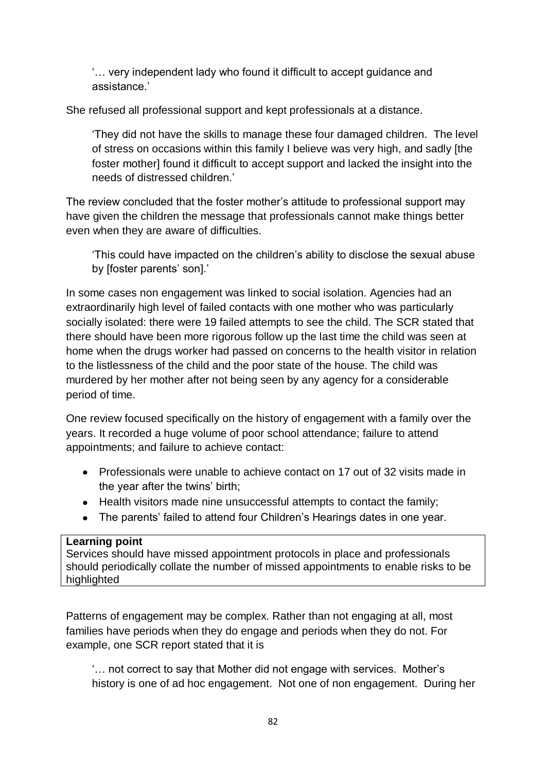'… very independent lady who found it difficult to accept guidance and assistance.'

She refused all professional support and kept professionals at a distance.

'They did not have the skills to manage these four damaged children. The level of stress on occasions within this family I believe was very high, and sadly [the foster mother] found it difficult to accept support and lacked the insight into the needs of distressed children.'

The review concluded that the foster mother's attitude to professional support may have given the children the message that professionals cannot make things better even when they are aware of difficulties.

'This could have impacted on the children's ability to disclose the sexual abuse by [foster parents' son].'

In some cases non engagement was linked to social isolation. Agencies had an extraordinarily high level of failed contacts with one mother who was particularly socially isolated: there were 19 failed attempts to see the child. The SCR stated that there should have been more rigorous follow up the last time the child was seen at home when the drugs worker had passed on concerns to the health visitor in relation to the listlessness of the child and the poor state of the house. The child was murdered by her mother after not being seen by any agency for a considerable period of time.

One review focused specifically on the history of engagement with a family over the years. It recorded a huge volume of poor school attendance; failure to attend appointments; and failure to achieve contact:

- Professionals were unable to achieve contact on 17 out of 32 visits made in the year after the twins' birth;
- Health visitors made nine unsuccessful attempts to contact the family;
- The parents' failed to attend four Children's Hearings dates in one year.

### **Learning point**

Services should have missed appointment protocols in place and professionals should periodically collate the number of missed appointments to enable risks to be highlighted

Patterns of engagement may be complex. Rather than not engaging at all, most families have periods when they do engage and periods when they do not. For example, one SCR report stated that it is

'… not correct to say that Mother did not engage with services. Mother's history is one of ad hoc engagement. Not one of non engagement. During her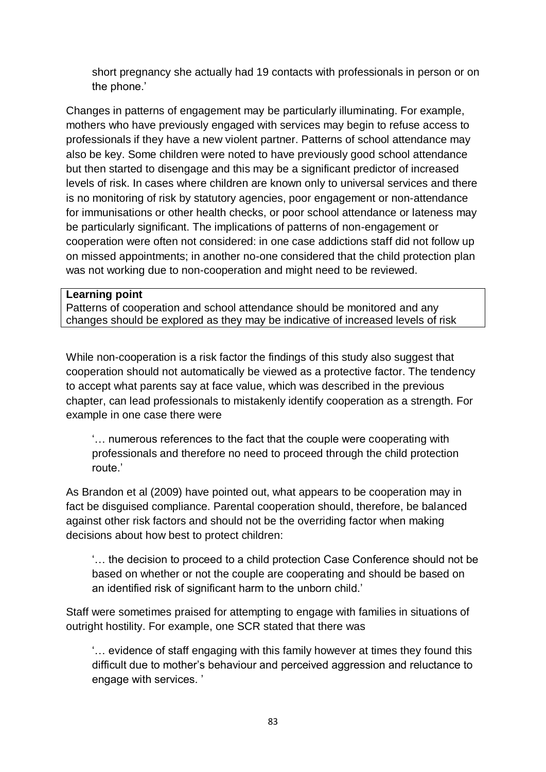short pregnancy she actually had 19 contacts with professionals in person or on the phone.'

Changes in patterns of engagement may be particularly illuminating. For example, mothers who have previously engaged with services may begin to refuse access to professionals if they have a new violent partner. Patterns of school attendance may also be key. Some children were noted to have previously good school attendance but then started to disengage and this may be a significant predictor of increased levels of risk. In cases where children are known only to universal services and there is no monitoring of risk by statutory agencies, poor engagement or non-attendance for immunisations or other health checks, or poor school attendance or lateness may be particularly significant. The implications of patterns of non-engagement or cooperation were often not considered: in one case addictions staff did not follow up on missed appointments; in another no-one considered that the child protection plan was not working due to non-cooperation and might need to be reviewed.

#### **Learning point**

Patterns of cooperation and school attendance should be monitored and any changes should be explored as they may be indicative of increased levels of risk

While non-cooperation is a risk factor the findings of this study also suggest that cooperation should not automatically be viewed as a protective factor. The tendency to accept what parents say at face value, which was described in the previous chapter, can lead professionals to mistakenly identify cooperation as a strength. For example in one case there were

'… numerous references to the fact that the couple were cooperating with professionals and therefore no need to proceed through the child protection route.'

As Brandon et al (2009) have pointed out, what appears to be cooperation may in fact be disguised compliance. Parental cooperation should, therefore, be balanced against other risk factors and should not be the overriding factor when making decisions about how best to protect children:

'… the decision to proceed to a child protection Case Conference should not be based on whether or not the couple are cooperating and should be based on an identified risk of significant harm to the unborn child.'

Staff were sometimes praised for attempting to engage with families in situations of outright hostility. For example, one SCR stated that there was

'… evidence of staff engaging with this family however at times they found this difficult due to mother's behaviour and perceived aggression and reluctance to engage with services. '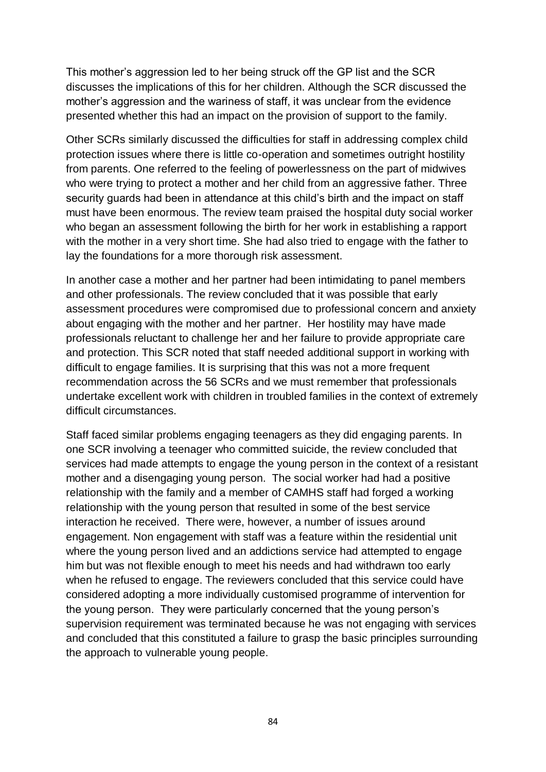This mother's aggression led to her being struck off the GP list and the SCR discusses the implications of this for her children. Although the SCR discussed the mother's aggression and the wariness of staff, it was unclear from the evidence presented whether this had an impact on the provision of support to the family.

Other SCRs similarly discussed the difficulties for staff in addressing complex child protection issues where there is little co-operation and sometimes outright hostility from parents. One referred to the feeling of powerlessness on the part of midwives who were trying to protect a mother and her child from an aggressive father. Three security guards had been in attendance at this child's birth and the impact on staff must have been enormous. The review team praised the hospital duty social worker who began an assessment following the birth for her work in establishing a rapport with the mother in a very short time. She had also tried to engage with the father to lay the foundations for a more thorough risk assessment.

In another case a mother and her partner had been intimidating to panel members and other professionals. The review concluded that it was possible that early assessment procedures were compromised due to professional concern and anxiety about engaging with the mother and her partner. Her hostility may have made professionals reluctant to challenge her and her failure to provide appropriate care and protection. This SCR noted that staff needed additional support in working with difficult to engage families. It is surprising that this was not a more frequent recommendation across the 56 SCRs and we must remember that professionals undertake excellent work with children in troubled families in the context of extremely difficult circumstances.

Staff faced similar problems engaging teenagers as they did engaging parents. In one SCR involving a teenager who committed suicide, the review concluded that services had made attempts to engage the young person in the context of a resistant mother and a disengaging young person. The social worker had had a positive relationship with the family and a member of CAMHS staff had forged a working relationship with the young person that resulted in some of the best service interaction he received. There were, however, a number of issues around engagement. Non engagement with staff was a feature within the residential unit where the young person lived and an addictions service had attempted to engage him but was not flexible enough to meet his needs and had withdrawn too early when he refused to engage. The reviewers concluded that this service could have considered adopting a more individually customised programme of intervention for the young person. They were particularly concerned that the young person's supervision requirement was terminated because he was not engaging with services and concluded that this constituted a failure to grasp the basic principles surrounding the approach to vulnerable young people.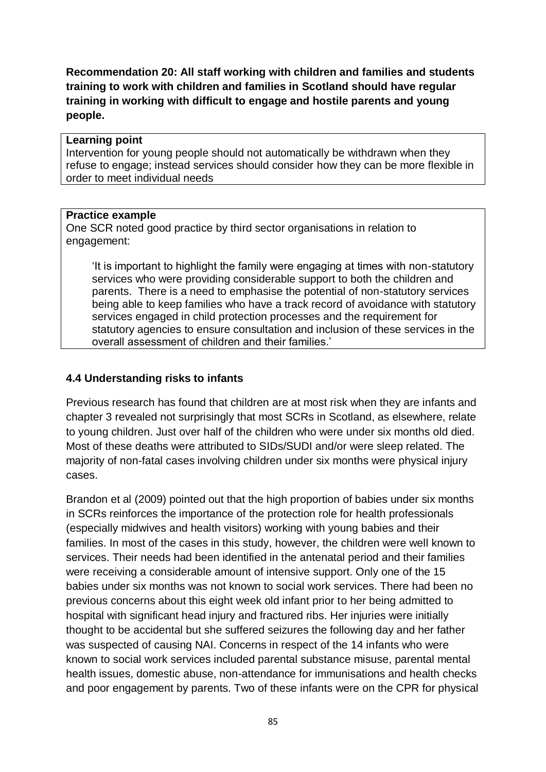**Recommendation 20: All staff working with children and families and students training to work with children and families in Scotland should have regular training in working with difficult to engage and hostile parents and young people.**

#### **Learning point**

Intervention for young people should not automatically be withdrawn when they refuse to engage; instead services should consider how they can be more flexible in order to meet individual needs

#### **Practice example**

One SCR noted good practice by third sector organisations in relation to engagement:

'It is important to highlight the family were engaging at times with non-statutory services who were providing considerable support to both the children and parents. There is a need to emphasise the potential of non-statutory services being able to keep families who have a track record of avoidance with statutory services engaged in child protection processes and the requirement for statutory agencies to ensure consultation and inclusion of these services in the overall assessment of children and their families.'

#### **4.4 Understanding risks to infants**

Previous research has found that children are at most risk when they are infants and chapter 3 revealed not surprisingly that most SCRs in Scotland, as elsewhere, relate to young children. Just over half of the children who were under six months old died. Most of these deaths were attributed to SIDs/SUDI and/or were sleep related. The majority of non-fatal cases involving children under six months were physical injury cases.

Brandon et al (2009) pointed out that the high proportion of babies under six months in SCRs reinforces the importance of the protection role for health professionals (especially midwives and health visitors) working with young babies and their families. In most of the cases in this study, however, the children were well known to services. Their needs had been identified in the antenatal period and their families were receiving a considerable amount of intensive support. Only one of the 15 babies under six months was not known to social work services. There had been no previous concerns about this eight week old infant prior to her being admitted to hospital with significant head injury and fractured ribs. Her injuries were initially thought to be accidental but she suffered seizures the following day and her father was suspected of causing NAI. Concerns in respect of the 14 infants who were known to social work services included parental substance misuse, parental mental health issues, domestic abuse, non-attendance for immunisations and health checks and poor engagement by parents. Two of these infants were on the CPR for physical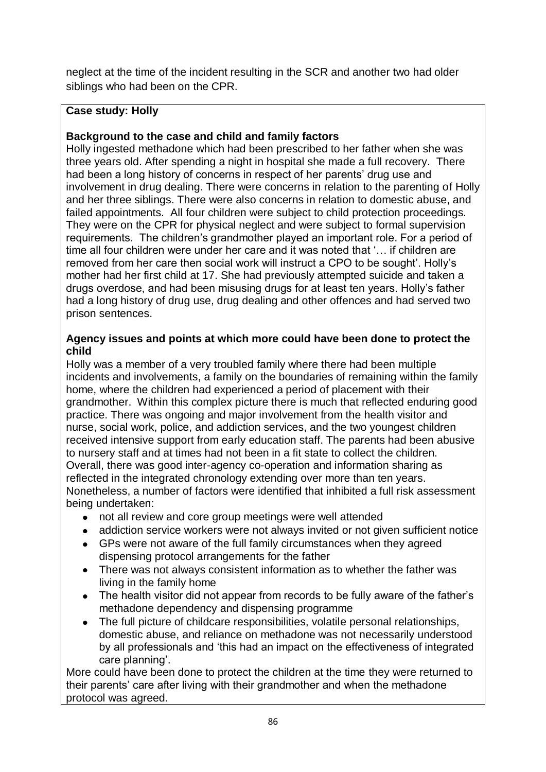neglect at the time of the incident resulting in the SCR and another two had older siblings who had been on the CPR.

# **Case study: Holly**

# **Background to the case and child and family factors**

Holly ingested methadone which had been prescribed to her father when she was three years old. After spending a night in hospital she made a full recovery. There had been a long history of concerns in respect of her parents' drug use and involvement in drug dealing. There were concerns in relation to the parenting of Holly and her three siblings. There were also concerns in relation to domestic abuse, and failed appointments. All four children were subject to child protection proceedings. They were on the CPR for physical neglect and were subject to formal supervision requirements. The children's grandmother played an important role. For a period of time all four children were under her care and it was noted that '… if children are removed from her care then social work will instruct a CPO to be sought'. Holly's mother had her first child at 17. She had previously attempted suicide and taken a drugs overdose, and had been misusing drugs for at least ten years. Holly's father had a long history of drug use, drug dealing and other offences and had served two prison sentences.

### **Agency issues and points at which more could have been done to protect the child**

Holly was a member of a very troubled family where there had been multiple incidents and involvements, a family on the boundaries of remaining within the family home, where the children had experienced a period of placement with their grandmother. Within this complex picture there is much that reflected enduring good practice. There was ongoing and major involvement from the health visitor and nurse, social work, police, and addiction services, and the two youngest children received intensive support from early education staff. The parents had been abusive to nursery staff and at times had not been in a fit state to collect the children. Overall, there was good inter-agency co-operation and information sharing as reflected in the integrated chronology extending over more than ten years. Nonetheless, a number of factors were identified that inhibited a full risk assessment being undertaken:

- not all review and core group meetings were well attended
- $\bullet$ addiction service workers were not always invited or not given sufficient notice
- GPs were not aware of the full family circumstances when they agreed dispensing protocol arrangements for the father
- There was not always consistent information as to whether the father was living in the family home
- The health visitor did not appear from records to be fully aware of the father's methadone dependency and dispensing programme
- The full picture of childcare responsibilities, volatile personal relationships, domestic abuse, and reliance on methadone was not necessarily understood by all professionals and 'this had an impact on the effectiveness of integrated care planning'.

More could have been done to protect the children at the time they were returned to their parents' care after living with their grandmother and when the methadone protocol was agreed.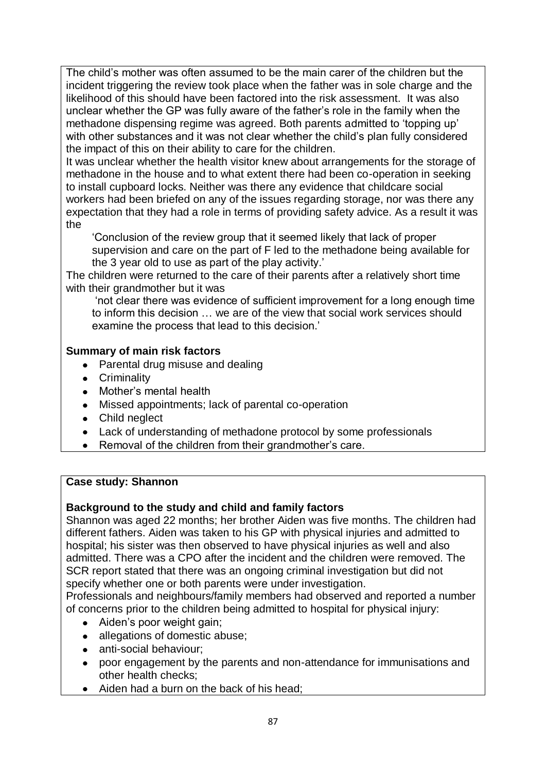The child's mother was often assumed to be the main carer of the children but the incident triggering the review took place when the father was in sole charge and the likelihood of this should have been factored into the risk assessment. It was also unclear whether the GP was fully aware of the father's role in the family when the methadone dispensing regime was agreed. Both parents admitted to 'topping up' with other substances and it was not clear whether the child's plan fully considered the impact of this on their ability to care for the children.

It was unclear whether the health visitor knew about arrangements for the storage of methadone in the house and to what extent there had been co-operation in seeking to install cupboard locks. Neither was there any evidence that childcare social workers had been briefed on any of the issues regarding storage, nor was there any expectation that they had a role in terms of providing safety advice. As a result it was the

'Conclusion of the review group that it seemed likely that lack of proper supervision and care on the part of F led to the methadone being available for the 3 year old to use as part of the play activity.'

The children were returned to the care of their parents after a relatively short time with their grandmother but it was

'not clear there was evidence of sufficient improvement for a long enough time to inform this decision … we are of the view that social work services should examine the process that lead to this decision.'

# **Summary of main risk factors**

- Parental drug misuse and dealing
- **•** Criminality
- Mother's mental health
- Missed appointments; lack of parental co-operation
- Child neglect
- Lack of understanding of methadone protocol by some professionals
- Removal of the children from their grandmother's care.

### **Case study: Shannon**

### **Background to the study and child and family factors**

Shannon was aged 22 months; her brother Aiden was five months. The children had different fathers. Aiden was taken to his GP with physical injuries and admitted to hospital; his sister was then observed to have physical injuries as well and also admitted. There was a CPO after the incident and the children were removed. The SCR report stated that there was an ongoing criminal investigation but did not specify whether one or both parents were under investigation.

Professionals and neighbours/family members had observed and reported a number of concerns prior to the children being admitted to hospital for physical injury:

- Aiden's poor weight gain;
- allegations of domestic abuse;
- anti-social behaviour;  $\bullet$
- poor engagement by the parents and non-attendance for immunisations and other health checks;
- Aiden had a burn on the back of his head;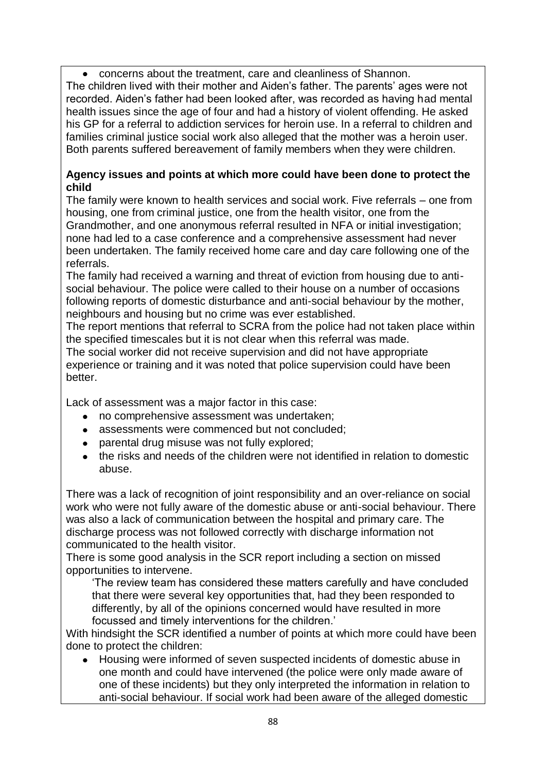concerns about the treatment, care and cleanliness of Shannon.  $\bullet$ 

The children lived with their mother and Aiden's father. The parents' ages were not recorded. Aiden's father had been looked after, was recorded as having had mental health issues since the age of four and had a history of violent offending. He asked his GP for a referral to addiction services for heroin use. In a referral to children and families criminal justice social work also alleged that the mother was a heroin user. Both parents suffered bereavement of family members when they were children.

### **Agency issues and points at which more could have been done to protect the child**

The family were known to health services and social work. Five referrals – one from housing, one from criminal justice, one from the health visitor, one from the Grandmother, and one anonymous referral resulted in NFA or initial investigation; none had led to a case conference and a comprehensive assessment had never been undertaken. The family received home care and day care following one of the referrals.

The family had received a warning and threat of eviction from housing due to antisocial behaviour. The police were called to their house on a number of occasions following reports of domestic disturbance and anti-social behaviour by the mother, neighbours and housing but no crime was ever established.

The report mentions that referral to SCRA from the police had not taken place within the specified timescales but it is not clear when this referral was made.

The social worker did not receive supervision and did not have appropriate experience or training and it was noted that police supervision could have been better.

Lack of assessment was a major factor in this case:

- no comprehensive assessment was undertaken;
- assessments were commenced but not concluded;
- parental drug misuse was not fully explored;  $\bullet$
- $\bullet$ the risks and needs of the children were not identified in relation to domestic abuse.

There was a lack of recognition of joint responsibility and an over-reliance on social work who were not fully aware of the domestic abuse or anti-social behaviour. There was also a lack of communication between the hospital and primary care. The discharge process was not followed correctly with discharge information not communicated to the health visitor.

There is some good analysis in the SCR report including a section on missed opportunities to intervene.

'The review team has considered these matters carefully and have concluded that there were several key opportunities that, had they been responded to differently, by all of the opinions concerned would have resulted in more focussed and timely interventions for the children.'

With hindsight the SCR identified a number of points at which more could have been done to protect the children:

Housing were informed of seven suspected incidents of domestic abuse in one month and could have intervened (the police were only made aware of one of these incidents) but they only interpreted the information in relation to anti-social behaviour. If social work had been aware of the alleged domestic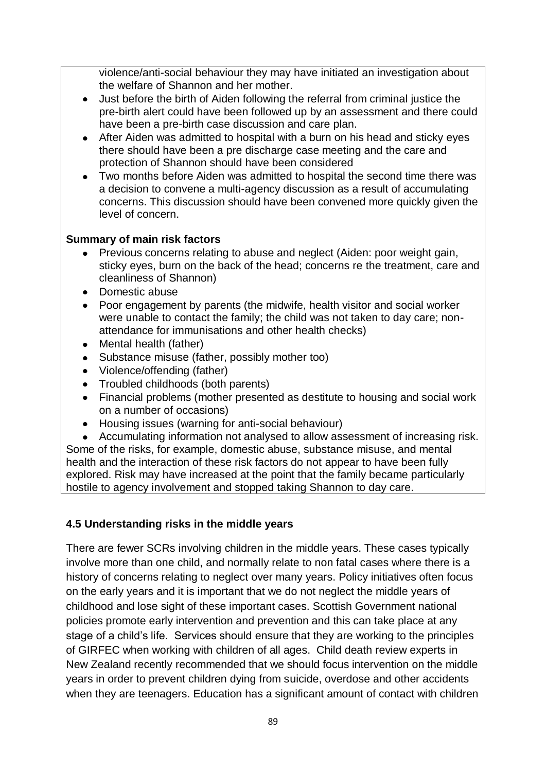violence/anti-social behaviour they may have initiated an investigation about the welfare of Shannon and her mother.

- Just before the birth of Aiden following the referral from criminal justice the  $\bullet$ pre-birth alert could have been followed up by an assessment and there could have been a pre-birth case discussion and care plan.
- After Aiden was admitted to hospital with a burn on his head and sticky eyes there should have been a pre discharge case meeting and the care and protection of Shannon should have been considered
- Two months before Aiden was admitted to hospital the second time there was a decision to convene a multi-agency discussion as a result of accumulating concerns. This discussion should have been convened more quickly given the level of concern.

# **Summary of main risk factors**

- Previous concerns relating to abuse and neglect (Aiden: poor weight gain, sticky eyes, burn on the back of the head; concerns re the treatment, care and cleanliness of Shannon)
- Domestic abuse
- Poor engagement by parents (the midwife, health visitor and social worker were unable to contact the family; the child was not taken to day care; nonattendance for immunisations and other health checks)
- $\bullet$ Mental health (father)
- Substance misuse (father, possibly mother too)
- Violence/offending (father)
- Troubled childhoods (both parents)
- Financial problems (mother presented as destitute to housing and social work on a number of occasions)
- Housing issues (warning for anti-social behaviour)

Accumulating information not analysed to allow assessment of increasing risk. Some of the risks, for example, domestic abuse, substance misuse, and mental health and the interaction of these risk factors do not appear to have been fully explored. Risk may have increased at the point that the family became particularly hostile to agency involvement and stopped taking Shannon to day care.

# **4.5 Understanding risks in the middle years**

There are fewer SCRs involving children in the middle years. These cases typically involve more than one child, and normally relate to non fatal cases where there is a history of concerns relating to neglect over many years. Policy initiatives often focus on the early years and it is important that we do not neglect the middle years of childhood and lose sight of these important cases. Scottish Government national policies promote early intervention and prevention and this can take place at any stage of a child's life. Services should ensure that they are working to the principles of GIRFEC when working with children of all ages. Child death review experts in New Zealand recently recommended that we should focus intervention on the middle years in order to prevent children dying from suicide, overdose and other accidents when they are teenagers. Education has a significant amount of contact with children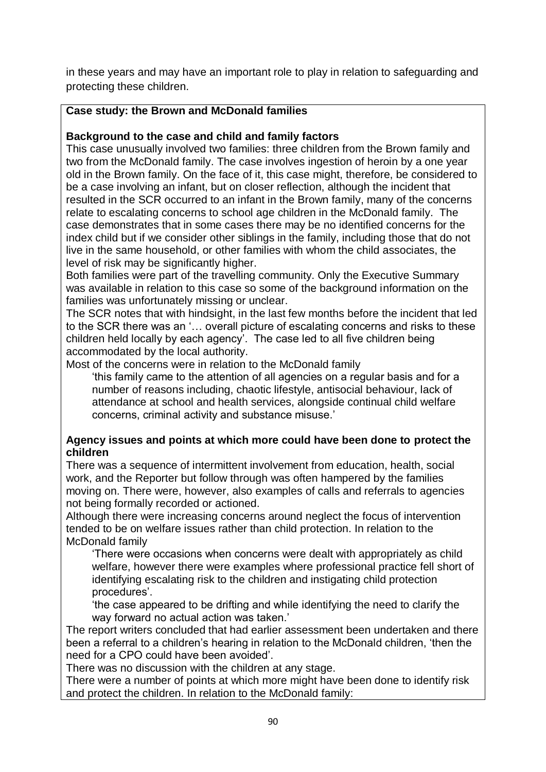in these years and may have an important role to play in relation to safeguarding and protecting these children.

## **Case study: the Brown and McDonald families**

## **Background to the case and child and family factors**

This case unusually involved two families: three children from the Brown family and two from the McDonald family. The case involves ingestion of heroin by a one year old in the Brown family. On the face of it, this case might, therefore, be considered to be a case involving an infant, but on closer reflection, although the incident that resulted in the SCR occurred to an infant in the Brown family, many of the concerns relate to escalating concerns to school age children in the McDonald family. The case demonstrates that in some cases there may be no identified concerns for the index child but if we consider other siblings in the family, including those that do not live in the same household, or other families with whom the child associates, the level of risk may be significantly higher.

Both families were part of the travelling community. Only the Executive Summary was available in relation to this case so some of the background information on the families was unfortunately missing or unclear.

The SCR notes that with hindsight, in the last few months before the incident that led to the SCR there was an '… overall picture of escalating concerns and risks to these children held locally by each agency'. The case led to all five children being accommodated by the local authority.

Most of the concerns were in relation to the McDonald family

'this family came to the attention of all agencies on a regular basis and for a number of reasons including, chaotic lifestyle, antisocial behaviour, lack of attendance at school and health services, alongside continual child welfare concerns, criminal activity and substance misuse.'

#### **Agency issues and points at which more could have been done to protect the children**

There was a sequence of intermittent involvement from education, health, social work, and the Reporter but follow through was often hampered by the families moving on. There were, however, also examples of calls and referrals to agencies not being formally recorded or actioned.

Although there were increasing concerns around neglect the focus of intervention tended to be on welfare issues rather than child protection. In relation to the McDonald family

'There were occasions when concerns were dealt with appropriately as child welfare, however there were examples where professional practice fell short of identifying escalating risk to the children and instigating child protection procedures'.

'the case appeared to be drifting and while identifying the need to clarify the way forward no actual action was taken.'

The report writers concluded that had earlier assessment been undertaken and there been a referral to a children's hearing in relation to the McDonald children, 'then the need for a CPO could have been avoided'.

There was no discussion with the children at any stage.

There were a number of points at which more might have been done to identify risk and protect the children. In relation to the McDonald family: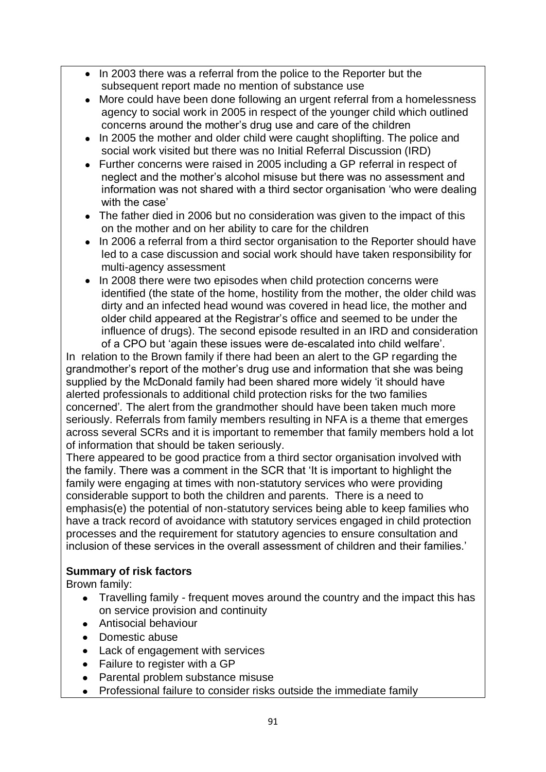- In 2003 there was a referral from the police to the Reporter but the subsequent report made no mention of substance use
- More could have been done following an urgent referral from a homelessness  $\bullet$ agency to social work in 2005 in respect of the younger child which outlined concerns around the mother's drug use and care of the children
- In 2005 the mother and older child were caught shoplifting. The police and social work visited but there was no Initial Referral Discussion (IRD)
- Further concerns were raised in 2005 including a GP referral in respect of  $\bullet$ neglect and the mother's alcohol misuse but there was no assessment and information was not shared with a third sector organisation 'who were dealing with the case'
- The father died in 2006 but no consideration was given to the impact of this on the mother and on her ability to care for the children
- In 2006 a referral from a third sector organisation to the Reporter should have led to a case discussion and social work should have taken responsibility for multi-agency assessment
- In 2008 there were two episodes when child protection concerns were identified (the state of the home, hostility from the mother, the older child was dirty and an infected head wound was covered in head lice, the mother and older child appeared at the Registrar's office and seemed to be under the influence of drugs). The second episode resulted in an IRD and consideration of a CPO but 'again these issues were de-escalated into child welfare'.

In relation to the Brown family if there had been an alert to the GP regarding the grandmother's report of the mother's drug use and information that she was being supplied by the McDonald family had been shared more widely 'it should have alerted professionals to additional child protection risks for the two families concerned'*.* The alert from the grandmother should have been taken much more seriously. Referrals from family members resulting in NFA is a theme that emerges across several SCRs and it is important to remember that family members hold a lot of information that should be taken seriously.

There appeared to be good practice from a third sector organisation involved with the family. There was a comment in the SCR that 'It is important to highlight the family were engaging at times with non-statutory services who were providing considerable support to both the children and parents. There is a need to emphasis(e) the potential of non-statutory services being able to keep families who have a track record of avoidance with statutory services engaged in child protection processes and the requirement for statutory agencies to ensure consultation and inclusion of these services in the overall assessment of children and their families.'

### **Summary of risk factors**

Brown family:

- Travelling family frequent moves around the country and the impact this has  $\bullet$ on service provision and continuity
- Antisocial behaviour
- Domestic abuse
- Lack of engagement with services
- Failure to register with a GP
- Parental problem substance misuse
- Professional failure to consider risks outside the immediate family $\bullet$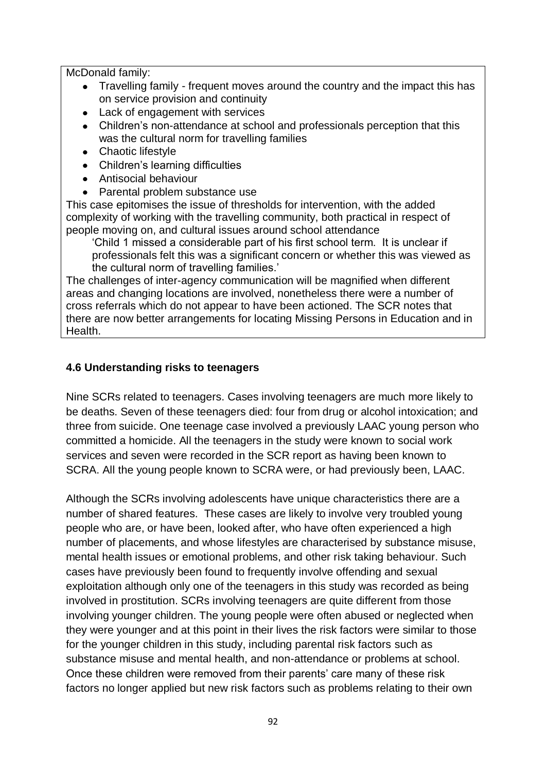McDonald family:

- Travelling family frequent moves around the country and the impact this has on service provision and continuity
- Lack of engagement with services
- Children's non-attendance at school and professionals perception that this was the cultural norm for travelling families
- Chaotic lifestyle
- Children's learning difficulties
- Antisocial behaviour
- Parental problem substance use

This case epitomises the issue of thresholds for intervention, with the added complexity of working with the travelling community, both practical in respect of people moving on, and cultural issues around school attendance

'Child 1 missed a considerable part of his first school term. It is unclear if professionals felt this was a significant concern or whether this was viewed as the cultural norm of travelling families.'

The challenges of inter-agency communication will be magnified when different areas and changing locations are involved, nonetheless there were a number of cross referrals which do not appear to have been actioned. The SCR notes that there are now better arrangements for locating Missing Persons in Education and in Health.

#### **4.6 Understanding risks to teenagers**

Nine SCRs related to teenagers. Cases involving teenagers are much more likely to be deaths. Seven of these teenagers died: four from drug or alcohol intoxication; and three from suicide. One teenage case involved a previously LAAC young person who committed a homicide. All the teenagers in the study were known to social work services and seven were recorded in the SCR report as having been known to SCRA. All the young people known to SCRA were, or had previously been, LAAC.

Although the SCRs involving adolescents have unique characteristics there are a number of shared features. These cases are likely to involve very troubled young people who are, or have been, looked after, who have often experienced a high number of placements, and whose lifestyles are characterised by substance misuse, mental health issues or emotional problems, and other risk taking behaviour. Such cases have previously been found to frequently involve offending and sexual exploitation although only one of the teenagers in this study was recorded as being involved in prostitution. SCRs involving teenagers are quite different from those involving younger children. The young people were often abused or neglected when they were younger and at this point in their lives the risk factors were similar to those for the younger children in this study, including parental risk factors such as substance misuse and mental health, and non-attendance or problems at school. Once these children were removed from their parents' care many of these risk factors no longer applied but new risk factors such as problems relating to their own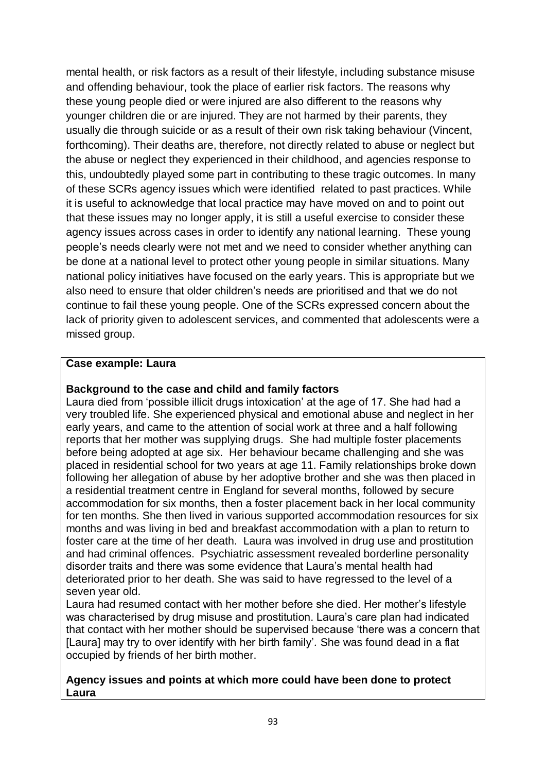mental health, or risk factors as a result of their lifestyle, including substance misuse and offending behaviour, took the place of earlier risk factors. The reasons why these young people died or were injured are also different to the reasons why younger children die or are injured. They are not harmed by their parents, they usually die through suicide or as a result of their own risk taking behaviour (Vincent, forthcoming). Their deaths are, therefore, not directly related to abuse or neglect but the abuse or neglect they experienced in their childhood, and agencies response to this, undoubtedly played some part in contributing to these tragic outcomes. In many of these SCRs agency issues which were identified related to past practices. While it is useful to acknowledge that local practice may have moved on and to point out that these issues may no longer apply, it is still a useful exercise to consider these agency issues across cases in order to identify any national learning. These young people's needs clearly were not met and we need to consider whether anything can be done at a national level to protect other young people in similar situations. Many national policy initiatives have focused on the early years. This is appropriate but we also need to ensure that older children's needs are prioritised and that we do not continue to fail these young people. One of the SCRs expressed concern about the lack of priority given to adolescent services, and commented that adolescents were a missed group.

#### **Case example: Laura**

#### **Background to the case and child and family factors**

Laura died from 'possible illicit drugs intoxication' at the age of 17. She had had a very troubled life. She experienced physical and emotional abuse and neglect in her early years, and came to the attention of social work at three and a half following reports that her mother was supplying drugs. She had multiple foster placements before being adopted at age six. Her behaviour became challenging and she was placed in residential school for two years at age 11. Family relationships broke down following her allegation of abuse by her adoptive brother and she was then placed in a residential treatment centre in England for several months, followed by secure accommodation for six months, then a foster placement back in her local community for ten months. She then lived in various supported accommodation resources for six months and was living in bed and breakfast accommodation with a plan to return to foster care at the time of her death. Laura was involved in drug use and prostitution and had criminal offences. Psychiatric assessment revealed borderline personality disorder traits and there was some evidence that Laura's mental health had deteriorated prior to her death. She was said to have regressed to the level of a seven year old.

Laura had resumed contact with her mother before she died. Her mother's lifestyle was characterised by drug misuse and prostitution. Laura's care plan had indicated that contact with her mother should be supervised because 'there was a concern that [Laura] may try to over identify with her birth family'*.* She was found dead in a flat occupied by friends of her birth mother.

#### **Agency issues and points at which more could have been done to protect Laura**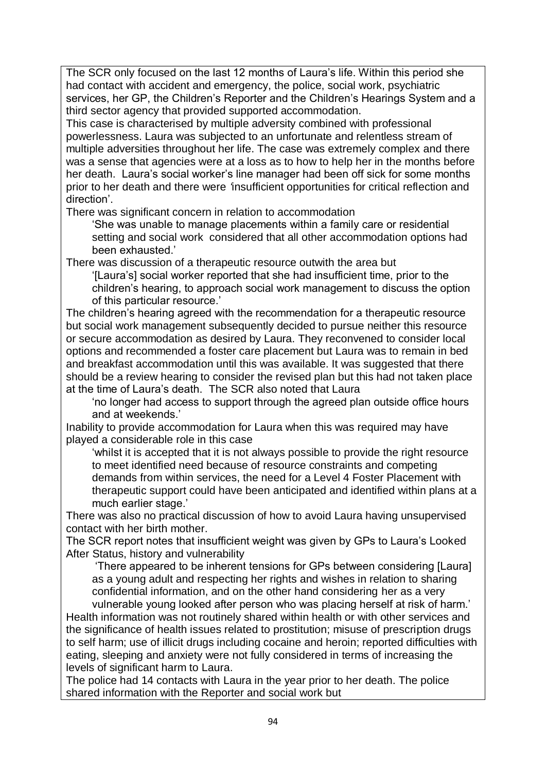The SCR only focused on the last 12 months of Laura's life. Within this period she had contact with accident and emergency, the police, social work, psychiatric services, her GP, the Children's Reporter and the Children's Hearings System and a third sector agency that provided supported accommodation.

This case is characterised by multiple adversity combined with professional powerlessness. Laura was subjected to an unfortunate and relentless stream of multiple adversities throughout her life. The case was extremely complex and there was a sense that agencies were at a loss as to how to help her in the months before her death. Laura's social worker's line manager had been off sick for some months prior to her death and there were *'*insufficient opportunities for critical reflection and direction'.

There was significant concern in relation to accommodation

'She was unable to manage placements within a family care or residential setting and social work considered that all other accommodation options had been exhausted.'

There was discussion of a therapeutic resource outwith the area but

'[Laura's] social worker reported that she had insufficient time, prior to the children's hearing, to approach social work management to discuss the option of this particular resource.'

The children's hearing agreed with the recommendation for a therapeutic resource but social work management subsequently decided to pursue neither this resource or secure accommodation as desired by Laura. They reconvened to consider local options and recommended a foster care placement but Laura was to remain in bed and breakfast accommodation until this was available. It was suggested that there should be a review hearing to consider the revised plan but this had not taken place at the time of Laura's death. The SCR also noted that Laura

'no longer had access to support through the agreed plan outside office hours and at weekends.'

Inability to provide accommodation for Laura when this was required may have played a considerable role in this case

'whilst it is accepted that it is not always possible to provide the right resource to meet identified need because of resource constraints and competing demands from within services, the need for a Level 4 Foster Placement with therapeutic support could have been anticipated and identified within plans at a much earlier stage.'

There was also no practical discussion of how to avoid Laura having unsupervised contact with her birth mother.

The SCR report notes that insufficient weight was given by GPs to Laura's Looked After Status, history and vulnerability

'There appeared to be inherent tensions for GPs between considering [Laura] as a young adult and respecting her rights and wishes in relation to sharing confidential information, and on the other hand considering her as a very

vulnerable young looked after person who was placing herself at risk of harm.' Health information was not routinely shared within health or with other services and the significance of health issues related to prostitution; misuse of prescription drugs to self harm; use of illicit drugs including cocaine and heroin; reported difficulties with eating, sleeping and anxiety were not fully considered in terms of increasing the levels of significant harm to Laura.

The police had 14 contacts with Laura in the year prior to her death. The police shared information with the Reporter and social work but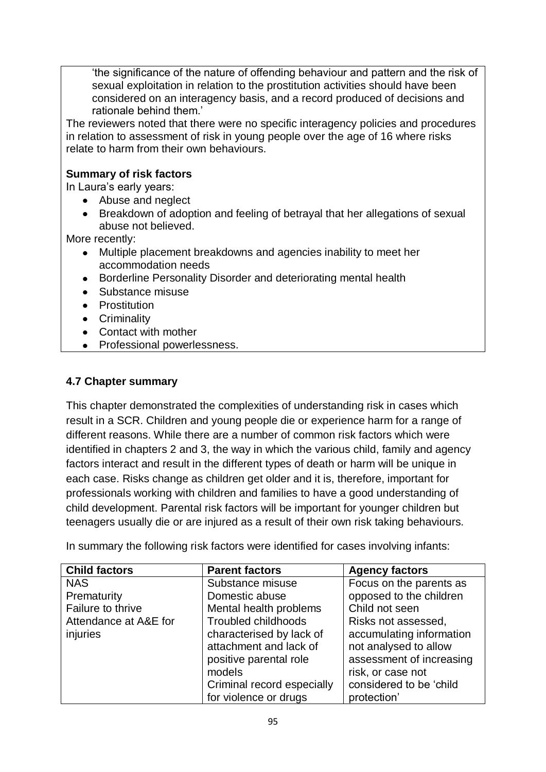'the significance of the nature of offending behaviour and pattern and the risk of sexual exploitation in relation to the prostitution activities should have been considered on an interagency basis, and a record produced of decisions and rationale behind them.'

The reviewers noted that there were no specific interagency policies and procedures in relation to assessment of risk in young people over the age of 16 where risks relate to harm from their own behaviours.

### **Summary of risk factors**

In Laura's early years:

- Abuse and neglect
- Breakdown of adoption and feeling of betrayal that her allegations of sexual abuse not believed.

More recently:

- Multiple placement breakdowns and agencies inability to meet her accommodation needs
- Borderline Personality Disorder and deteriorating mental health
- Substance misuse
- Prostitution
- **•** Criminality
- Contact with mother
- Professional powerlessness.

#### **4.7 Chapter summary**

This chapter demonstrated the complexities of understanding risk in cases which result in a SCR. Children and young people die or experience harm for a range of different reasons. While there are a number of common risk factors which were identified in chapters 2 and 3, the way in which the various child, family and agency factors interact and result in the different types of death or harm will be unique in each case. Risks change as children get older and it is, therefore, important for professionals working with children and families to have a good understanding of child development. Parental risk factors will be important for younger children but teenagers usually die or are injured as a result of their own risk taking behaviours.

In summary the following risk factors were identified for cases involving infants:

| <b>Child factors</b>  | <b>Parent factors</b>      | <b>Agency factors</b>    |
|-----------------------|----------------------------|--------------------------|
| <b>NAS</b>            | Substance misuse           | Focus on the parents as  |
| Prematurity           | Domestic abuse             | opposed to the children  |
| Failure to thrive     | Mental health problems     | Child not seen           |
| Attendance at A&E for | <b>Troubled childhoods</b> | Risks not assessed,      |
| injuries              | characterised by lack of   | accumulating information |
|                       | attachment and lack of     | not analysed to allow    |
|                       | positive parental role     | assessment of increasing |
|                       | models                     | risk, or case not        |
|                       | Criminal record especially | considered to be 'child  |
|                       | for violence or drugs      | protection'              |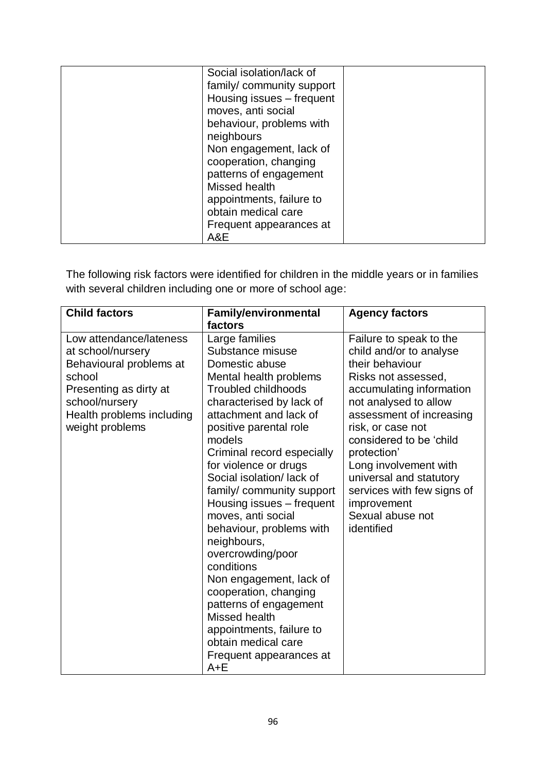| Social isolation/lack of  |  |
|---------------------------|--|
| family/community support  |  |
| Housing issues - frequent |  |
| moves, anti social        |  |
| behaviour, problems with  |  |
| neighbours                |  |
| Non engagement, lack of   |  |
| cooperation, changing     |  |
| patterns of engagement    |  |
| Missed health             |  |
| appointments, failure to  |  |
| obtain medical care       |  |
| Frequent appearances at   |  |
| A&E                       |  |

The following risk factors were identified for children in the middle years or in families with several children including one or more of school age:

| <b>Child factors</b>                                                                                                                                                          | <b>Family/environmental</b><br>factors                                                                                                                                                                                                                                                                                                                                                                                                                                                                                                                                                                                                         | <b>Agency factors</b>                                                                                                                                                                                                                                                                                                                                                           |
|-------------------------------------------------------------------------------------------------------------------------------------------------------------------------------|------------------------------------------------------------------------------------------------------------------------------------------------------------------------------------------------------------------------------------------------------------------------------------------------------------------------------------------------------------------------------------------------------------------------------------------------------------------------------------------------------------------------------------------------------------------------------------------------------------------------------------------------|---------------------------------------------------------------------------------------------------------------------------------------------------------------------------------------------------------------------------------------------------------------------------------------------------------------------------------------------------------------------------------|
| Low attendance/lateness<br>at school/nursery<br>Behavioural problems at<br>school<br>Presenting as dirty at<br>school/nursery<br>Health problems including<br>weight problems | Large families<br>Substance misuse<br>Domestic abuse<br>Mental health problems<br><b>Troubled childhoods</b><br>characterised by lack of<br>attachment and lack of<br>positive parental role<br>models<br>Criminal record especially<br>for violence or drugs<br>Social isolation/lack of<br>family/community support<br>Housing issues – frequent<br>moves, anti social<br>behaviour, problems with<br>neighbours,<br>overcrowding/poor<br>conditions<br>Non engagement, lack of<br>cooperation, changing<br>patterns of engagement<br>Missed health<br>appointments, failure to<br>obtain medical care<br>Frequent appearances at<br>$A + E$ | Failure to speak to the<br>child and/or to analyse<br>their behaviour<br>Risks not assessed,<br>accumulating information<br>not analysed to allow<br>assessment of increasing<br>risk, or case not<br>considered to be 'child<br>protection'<br>Long involvement with<br>universal and statutory<br>services with few signs of<br>improvement<br>Sexual abuse not<br>identified |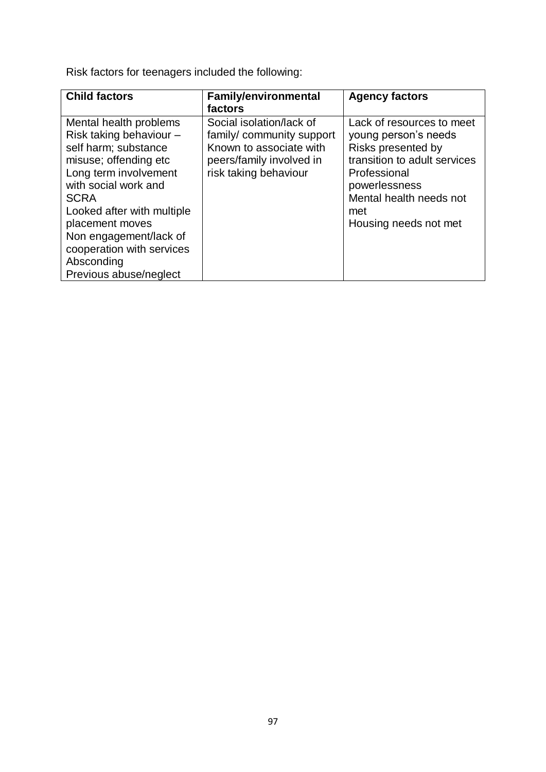Risk factors for teenagers included the following:

| <b>Child factors</b>                                                                                                                                                                                                                                                                                               | <b>Family/environmental</b>                                                                                                          | <b>Agency factors</b>                                                                                                                                                                               |
|--------------------------------------------------------------------------------------------------------------------------------------------------------------------------------------------------------------------------------------------------------------------------------------------------------------------|--------------------------------------------------------------------------------------------------------------------------------------|-----------------------------------------------------------------------------------------------------------------------------------------------------------------------------------------------------|
|                                                                                                                                                                                                                                                                                                                    | factors                                                                                                                              |                                                                                                                                                                                                     |
| Mental health problems<br>Risk taking behaviour -<br>self harm; substance<br>misuse; offending etc<br>Long term involvement<br>with social work and<br><b>SCRA</b><br>Looked after with multiple<br>placement moves<br>Non engagement/lack of<br>cooperation with services<br>Absconding<br>Previous abuse/neglect | Social isolation/lack of<br>family/community support<br>Known to associate with<br>peers/family involved in<br>risk taking behaviour | Lack of resources to meet<br>young person's needs<br>Risks presented by<br>transition to adult services<br>Professional<br>powerlessness<br>Mental health needs not<br>met<br>Housing needs not met |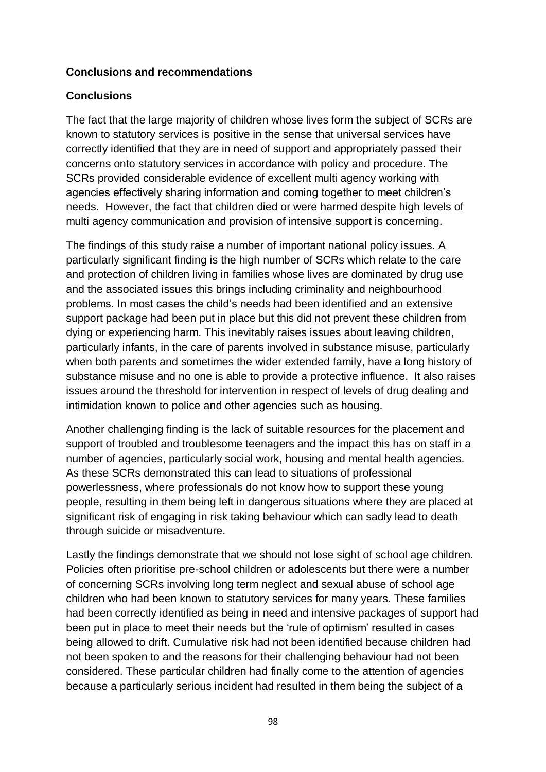#### **Conclusions and recommendations**

#### **Conclusions**

The fact that the large majority of children whose lives form the subject of SCRs are known to statutory services is positive in the sense that universal services have correctly identified that they are in need of support and appropriately passed their concerns onto statutory services in accordance with policy and procedure. The SCRs provided considerable evidence of excellent multi agency working with agencies effectively sharing information and coming together to meet children's needs. However, the fact that children died or were harmed despite high levels of multi agency communication and provision of intensive support is concerning.

The findings of this study raise a number of important national policy issues. A particularly significant finding is the high number of SCRs which relate to the care and protection of children living in families whose lives are dominated by drug use and the associated issues this brings including criminality and neighbourhood problems. In most cases the child's needs had been identified and an extensive support package had been put in place but this did not prevent these children from dying or experiencing harm. This inevitably raises issues about leaving children, particularly infants, in the care of parents involved in substance misuse, particularly when both parents and sometimes the wider extended family, have a long history of substance misuse and no one is able to provide a protective influence. It also raises issues around the threshold for intervention in respect of levels of drug dealing and intimidation known to police and other agencies such as housing.

Another challenging finding is the lack of suitable resources for the placement and support of troubled and troublesome teenagers and the impact this has on staff in a number of agencies, particularly social work, housing and mental health agencies. As these SCRs demonstrated this can lead to situations of professional powerlessness, where professionals do not know how to support these young people, resulting in them being left in dangerous situations where they are placed at significant risk of engaging in risk taking behaviour which can sadly lead to death through suicide or misadventure.

Lastly the findings demonstrate that we should not lose sight of school age children. Policies often prioritise pre-school children or adolescents but there were a number of concerning SCRs involving long term neglect and sexual abuse of school age children who had been known to statutory services for many years. These families had been correctly identified as being in need and intensive packages of support had been put in place to meet their needs but the 'rule of optimism' resulted in cases being allowed to drift. Cumulative risk had not been identified because children had not been spoken to and the reasons for their challenging behaviour had not been considered. These particular children had finally come to the attention of agencies because a particularly serious incident had resulted in them being the subject of a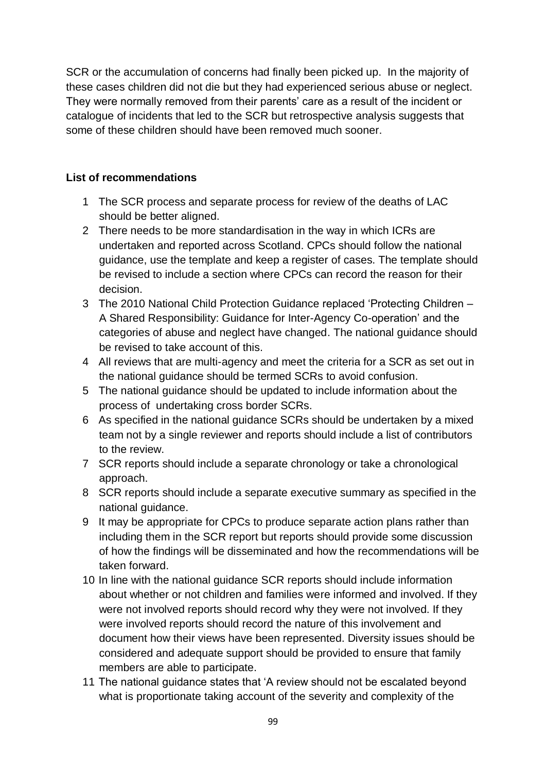SCR or the accumulation of concerns had finally been picked up. In the majority of these cases children did not die but they had experienced serious abuse or neglect. They were normally removed from their parents' care as a result of the incident or catalogue of incidents that led to the SCR but retrospective analysis suggests that some of these children should have been removed much sooner.

# **List of recommendations**

- 1 The SCR process and separate process for review of the deaths of LAC should be better aligned.
- 2 There needs to be more standardisation in the way in which ICRs are undertaken and reported across Scotland. CPCs should follow the national guidance, use the template and keep a register of cases. The template should be revised to include a section where CPCs can record the reason for their decision.
- 3 The 2010 National Child Protection Guidance replaced 'Protecting Children A Shared Responsibility: Guidance for Inter-Agency Co-operation' and the categories of abuse and neglect have changed. The national guidance should be revised to take account of this.
- 4 All reviews that are multi-agency and meet the criteria for a SCR as set out in the national guidance should be termed SCRs to avoid confusion.
- 5 The national guidance should be updated to include information about the process of undertaking cross border SCRs.
- 6 As specified in the national guidance SCRs should be undertaken by a mixed team not by a single reviewer and reports should include a list of contributors to the review.
- 7 SCR reports should include a separate chronology or take a chronological approach.
- 8 SCR reports should include a separate executive summary as specified in the national guidance.
- 9 It may be appropriate for CPCs to produce separate action plans rather than including them in the SCR report but reports should provide some discussion of how the findings will be disseminated and how the recommendations will be taken forward.
- 10 In line with the national guidance SCR reports should include information about whether or not children and families were informed and involved. If they were not involved reports should record why they were not involved. If they were involved reports should record the nature of this involvement and document how their views have been represented. Diversity issues should be considered and adequate support should be provided to ensure that family members are able to participate.
- 11 The national guidance states that 'A review should not be escalated beyond what is proportionate taking account of the severity and complexity of the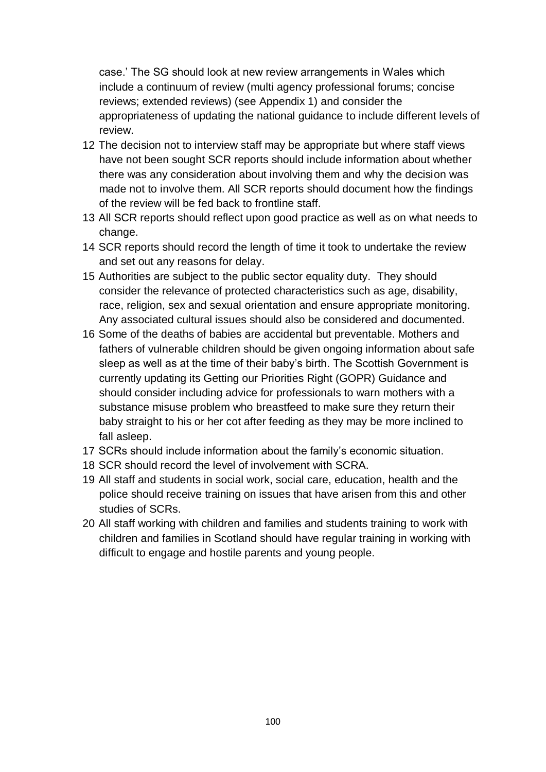case.' The SG should look at new review arrangements in Wales which include a continuum of review (multi agency professional forums; concise reviews; extended reviews) (see Appendix 1) and consider the appropriateness of updating the national guidance to include different levels of review.

- 12 The decision not to interview staff may be appropriate but where staff views have not been sought SCR reports should include information about whether there was any consideration about involving them and why the decision was made not to involve them. All SCR reports should document how the findings of the review will be fed back to frontline staff.
- 13 All SCR reports should reflect upon good practice as well as on what needs to change.
- 14 SCR reports should record the length of time it took to undertake the review and set out any reasons for delay.
- 15 Authorities are subject to the public sector equality duty. They should consider the relevance of protected characteristics such as age, disability, race, religion, sex and sexual orientation and ensure appropriate monitoring. Any associated cultural issues should also be considered and documented.
- 16 Some of the deaths of babies are accidental but preventable. Mothers and fathers of vulnerable children should be given ongoing information about safe sleep as well as at the time of their baby's birth. The Scottish Government is currently updating its Getting our Priorities Right (GOPR) Guidance and should consider including advice for professionals to warn mothers with a substance misuse problem who breastfeed to make sure they return their baby straight to his or her cot after feeding as they may be more inclined to fall asleep.
- 17 SCRs should include information about the family's economic situation.
- 18 SCR should record the level of involvement with SCRA.
- 19 All staff and students in social work, social care, education, health and the police should receive training on issues that have arisen from this and other studies of SCRs.
- 20 All staff working with children and families and students training to work with children and families in Scotland should have regular training in working with difficult to engage and hostile parents and young people.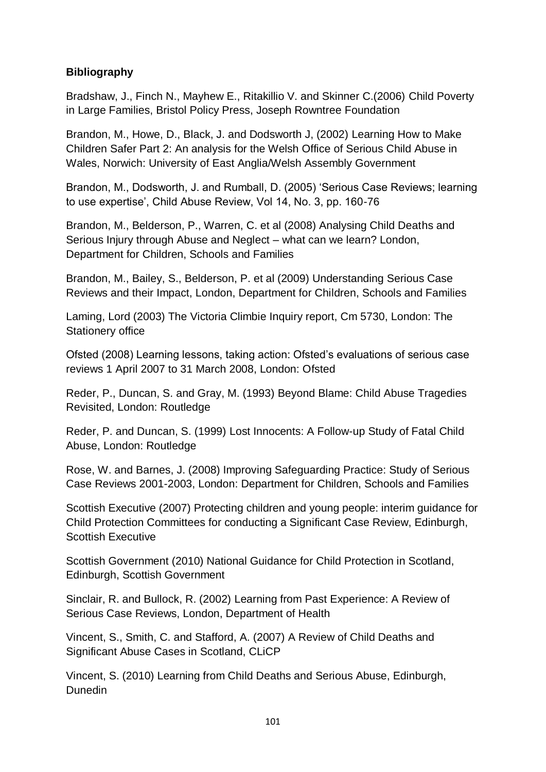## **Bibliography**

Bradshaw, J., Finch N., Mayhew E., Ritakillio V. and Skinner C.(2006) Child Poverty in Large Families, Bristol Policy Press, Joseph Rowntree Foundation

Brandon, M., Howe, D., Black, J. and Dodsworth J, (2002) Learning How to Make Children Safer Part 2: An analysis for the Welsh Office of Serious Child Abuse in Wales, Norwich: University of East Anglia/Welsh Assembly Government

Brandon, M., Dodsworth, J. and Rumball, D. (2005) 'Serious Case Reviews; learning to use expertise', Child Abuse Review, Vol 14, No. 3, pp. 160-76

Brandon, M., Belderson, P., Warren, C. et al (2008) Analysing Child Deaths and Serious Injury through Abuse and Neglect – what can we learn? London, Department for Children, Schools and Families

Brandon, M., Bailey, S., Belderson, P. et al (2009) Understanding Serious Case Reviews and their Impact, London, Department for Children, Schools and Families

Laming, Lord (2003) The Victoria Climbie Inquiry report, Cm 5730, London: The Stationery office

Ofsted (2008) Learning lessons, taking action: Ofsted's evaluations of serious case reviews 1 April 2007 to 31 March 2008, London: Ofsted

Reder, P., Duncan, S. and Gray, M. (1993) Beyond Blame: Child Abuse Tragedies Revisited, London: Routledge

Reder, P. and Duncan, S. (1999) Lost Innocents: A Follow-up Study of Fatal Child Abuse, London: Routledge

Rose, W. and Barnes, J. (2008) Improving Safeguarding Practice: Study of Serious Case Reviews 2001-2003, London: Department for Children, Schools and Families

Scottish Executive (2007) Protecting children and young people: interim guidance for Child Protection Committees for conducting a Significant Case Review, Edinburgh, Scottish Executive

Scottish Government (2010) National Guidance for Child Protection in Scotland, Edinburgh, Scottish Government

Sinclair, R. and Bullock, R. (2002) Learning from Past Experience: A Review of Serious Case Reviews, London, Department of Health

Vincent, S., Smith, C. and Stafford, A. (2007) A Review of Child Deaths and Significant Abuse Cases in Scotland, CLiCP

Vincent, S. (2010) Learning from Child Deaths and Serious Abuse, Edinburgh, **Dunedin**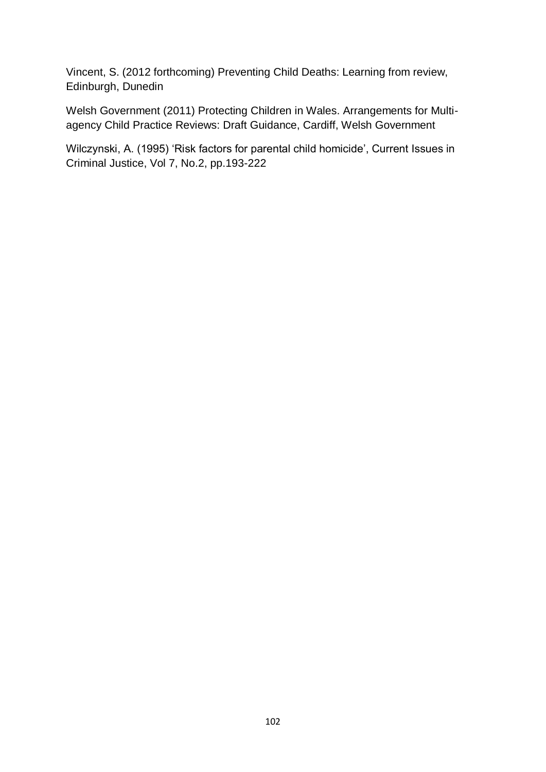Vincent, S. (2012 forthcoming) Preventing Child Deaths: Learning from review, Edinburgh, Dunedin

Welsh Government (2011) Protecting Children in Wales. Arrangements for Multiagency Child Practice Reviews: Draft Guidance, Cardiff, Welsh Government

Wilczynski, A. (1995) 'Risk factors for parental child homicide', Current Issues in Criminal Justice, Vol 7, No.2, pp.193-222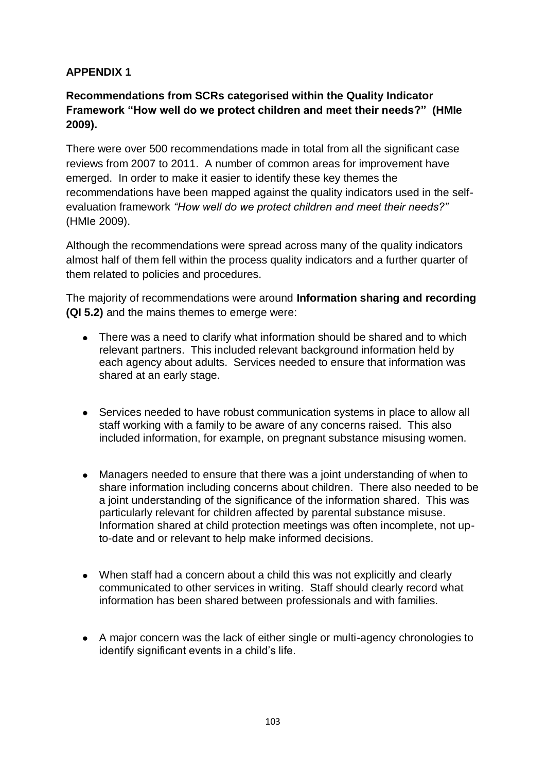# **APPENDIX 1**

# **Recommendations from SCRs categorised within the Quality Indicator Framework "How well do we protect children and meet their needs?" (HMIe 2009).**

There were over 500 recommendations made in total from all the significant case reviews from 2007 to 2011. A number of common areas for improvement have emerged. In order to make it easier to identify these key themes the recommendations have been mapped against the quality indicators used in the selfevaluation framework *"How well do we protect children and meet their needs?"*  (HMIe 2009).

Although the recommendations were spread across many of the quality indicators almost half of them fell within the process quality indicators and a further quarter of them related to policies and procedures.

The majority of recommendations were around **Information sharing and recording (QI 5.2)** and the mains themes to emerge were:

- There was a need to clarify what information should be shared and to which relevant partners. This included relevant background information held by each agency about adults. Services needed to ensure that information was shared at an early stage.
- Services needed to have robust communication systems in place to allow all staff working with a family to be aware of any concerns raised. This also included information, for example, on pregnant substance misusing women.
- Managers needed to ensure that there was a joint understanding of when to share information including concerns about children. There also needed to be a joint understanding of the significance of the information shared. This was particularly relevant for children affected by parental substance misuse. Information shared at child protection meetings was often incomplete, not upto-date and or relevant to help make informed decisions.
- When staff had a concern about a child this was not explicitly and clearly communicated to other services in writing. Staff should clearly record what information has been shared between professionals and with families.
- A major concern was the lack of either single or multi-agency chronologies to identify significant events in a child's life.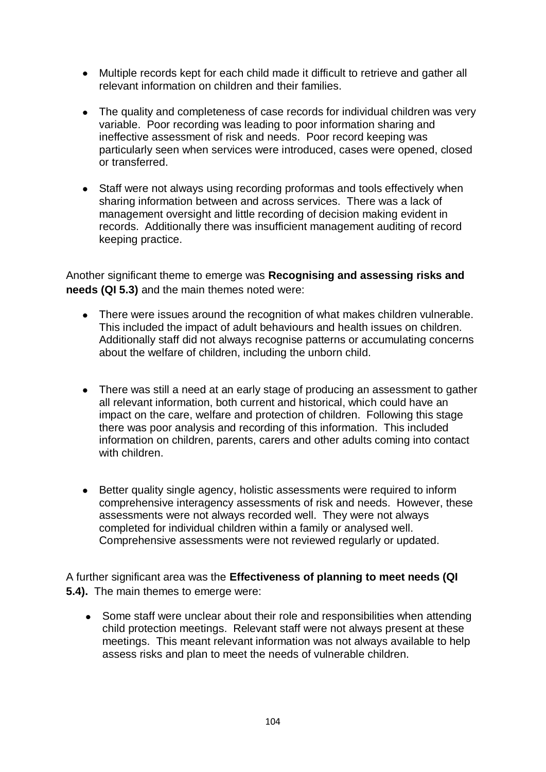- Multiple records kept for each child made it difficult to retrieve and gather all relevant information on children and their families.
- The quality and completeness of case records for individual children was very variable. Poor recording was leading to poor information sharing and ineffective assessment of risk and needs. Poor record keeping was particularly seen when services were introduced, cases were opened, closed or transferred.
- $\bullet$ Staff were not always using recording proformas and tools effectively when sharing information between and across services. There was a lack of management oversight and little recording of decision making evident in records. Additionally there was insufficient management auditing of record keeping practice.

Another significant theme to emerge was **Recognising and assessing risks and needs (QI 5.3)** and the main themes noted were:

- There were issues around the recognition of what makes children vulnerable. This included the impact of adult behaviours and health issues on children. Additionally staff did not always recognise patterns or accumulating concerns about the welfare of children, including the unborn child.
- There was still a need at an early stage of producing an assessment to gather all relevant information, both current and historical, which could have an impact on the care, welfare and protection of children. Following this stage there was poor analysis and recording of this information. This included information on children, parents, carers and other adults coming into contact with children
- Better quality single agency, holistic assessments were required to inform comprehensive interagency assessments of risk and needs. However, these assessments were not always recorded well. They were not always completed for individual children within a family or analysed well. Comprehensive assessments were not reviewed regularly or updated.

A further significant area was the **Effectiveness of planning to meet needs (QI 5.4).** The main themes to emerge were:

Some staff were unclear about their role and responsibilities when attending  $\bullet$ child protection meetings. Relevant staff were not always present at these meetings. This meant relevant information was not always available to help assess risks and plan to meet the needs of vulnerable children.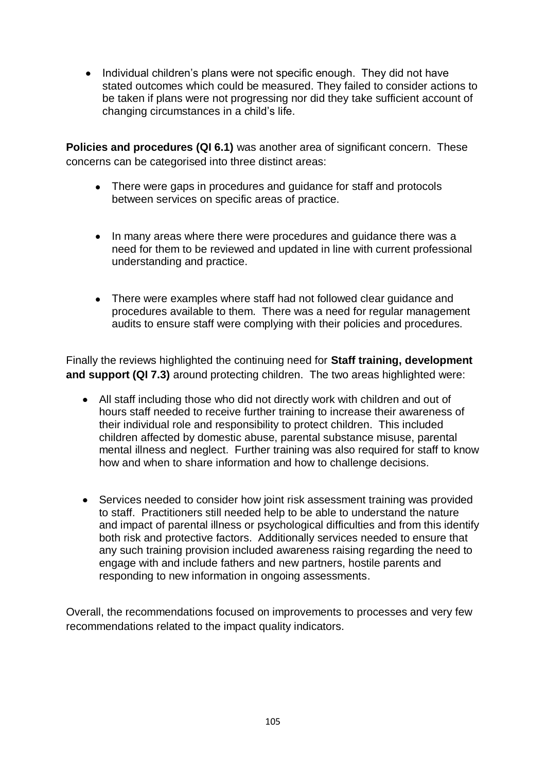• Individual children's plans were not specific enough. They did not have stated outcomes which could be measured. They failed to consider actions to be taken if plans were not progressing nor did they take sufficient account of changing circumstances in a child's life.

**Policies and procedures (QI 6.1)** was another area of significant concern. These concerns can be categorised into three distinct areas:

- There were gaps in procedures and guidance for staff and protocols between services on specific areas of practice.
- In many areas where there were procedures and guidance there was a need for them to be reviewed and updated in line with current professional understanding and practice.
- There were examples where staff had not followed clear guidance and procedures available to them. There was a need for regular management audits to ensure staff were complying with their policies and procedures.

Finally the reviews highlighted the continuing need for **Staff training, development and support (QI 7.3)** around protecting children. The two areas highlighted were:

- All staff including those who did not directly work with children and out of hours staff needed to receive further training to increase their awareness of their individual role and responsibility to protect children. This included children affected by domestic abuse, parental substance misuse, parental mental illness and neglect. Further training was also required for staff to know how and when to share information and how to challenge decisions.
- Services needed to consider how joint risk assessment training was provided to staff. Practitioners still needed help to be able to understand the nature and impact of parental illness or psychological difficulties and from this identify both risk and protective factors. Additionally services needed to ensure that any such training provision included awareness raising regarding the need to engage with and include fathers and new partners, hostile parents and responding to new information in ongoing assessments.

Overall, the recommendations focused on improvements to processes and very few recommendations related to the impact quality indicators.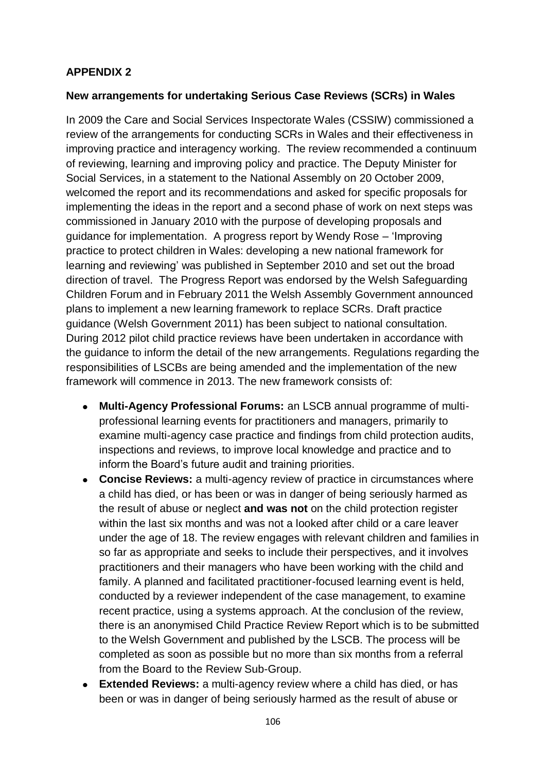# **APPENDIX 2**

#### **New arrangements for undertaking Serious Case Reviews (SCRs) in Wales**

In 2009 the Care and Social Services Inspectorate Wales (CSSIW) commissioned a review of the arrangements for conducting SCRs in Wales and their effectiveness in improving practice and interagency working. The review recommended a continuum of reviewing, learning and improving policy and practice. The Deputy Minister for Social Services, in a statement to the National Assembly on 20 October 2009, welcomed the report and its recommendations and asked for specific proposals for implementing the ideas in the report and a second phase of work on next steps was commissioned in January 2010 with the purpose of developing proposals and guidance for implementation. A progress report by Wendy Rose – 'Improving practice to protect children in Wales: developing a new national framework for learning and reviewing' was published in September 2010 and set out the broad direction of travel. The Progress Report was endorsed by the Welsh Safeguarding Children Forum and in February 2011 the Welsh Assembly Government announced plans to implement a new learning framework to replace SCRs. Draft practice guidance (Welsh Government 2011) has been subject to national consultation. During 2012 pilot child practice reviews have been undertaken in accordance with the guidance to inform the detail of the new arrangements. Regulations regarding the responsibilities of LSCBs are being amended and the implementation of the new framework will commence in 2013. The new framework consists of:

- **Multi-Agency Professional Forums:** an LSCB annual programme of multi- $\bullet$ professional learning events for practitioners and managers, primarily to examine multi-agency case practice and findings from child protection audits, inspections and reviews, to improve local knowledge and practice and to inform the Board's future audit and training priorities.
- **Concise Reviews:** a multi-agency review of practice in circumstances where a child has died, or has been or was in danger of being seriously harmed as the result of abuse or neglect **and was not** on the child protection register within the last six months and was not a looked after child or a care leaver under the age of 18. The review engages with relevant children and families in so far as appropriate and seeks to include their perspectives, and it involves practitioners and their managers who have been working with the child and family. A planned and facilitated practitioner-focused learning event is held, conducted by a reviewer independent of the case management, to examine recent practice, using a systems approach. At the conclusion of the review, there is an anonymised Child Practice Review Report which is to be submitted to the Welsh Government and published by the LSCB. The process will be completed as soon as possible but no more than six months from a referral from the Board to the Review Sub-Group.
- **Extended Reviews:** a multi-agency review where a child has died, or has been or was in danger of being seriously harmed as the result of abuse or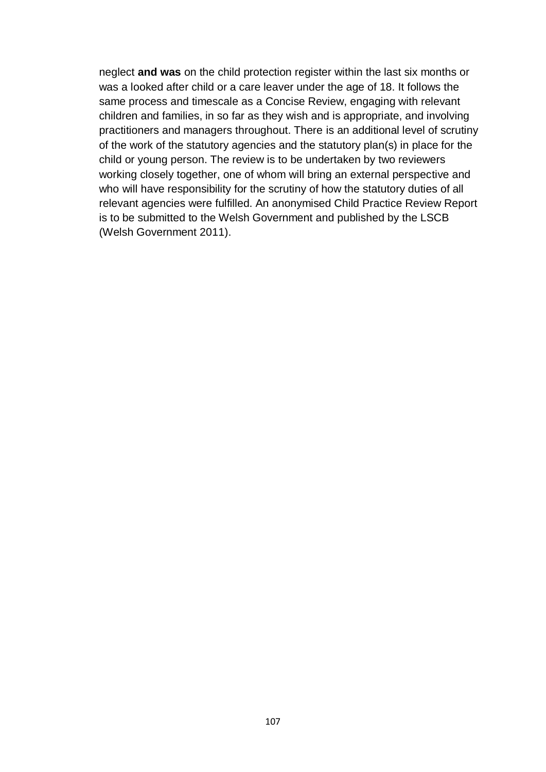neglect **and was** on the child protection register within the last six months or was a looked after child or a care leaver under the age of 18. It follows the same process and timescale as a Concise Review, engaging with relevant children and families, in so far as they wish and is appropriate, and involving practitioners and managers throughout. There is an additional level of scrutiny of the work of the statutory agencies and the statutory plan(s) in place for the child or young person. The review is to be undertaken by two reviewers working closely together, one of whom will bring an external perspective and who will have responsibility for the scrutiny of how the statutory duties of all relevant agencies were fulfilled. An anonymised Child Practice Review Report is to be submitted to the Welsh Government and published by the LSCB (Welsh Government 2011).